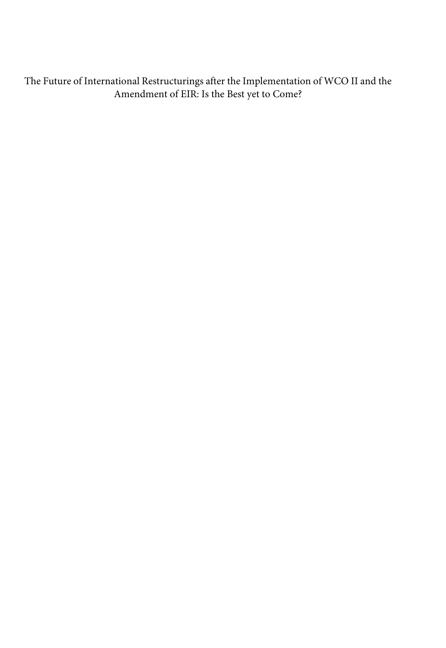The Future of International Restructurings after the Implementation of WCO II and the Amendment of EIR: Is the Best yet to Come?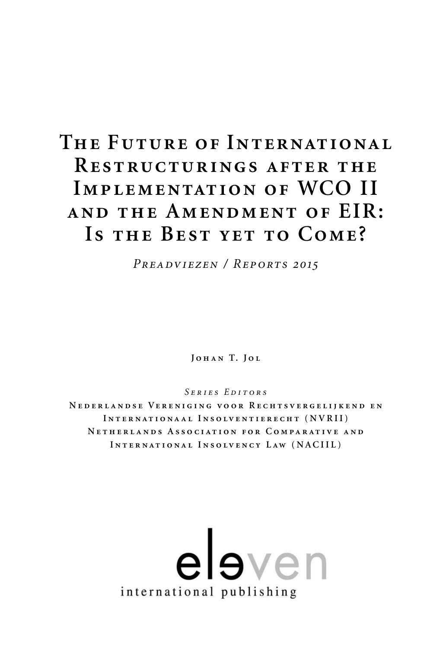# **The Future of Internat ional Restructurings after the Implementat ion of WCO II and the Amendment of EIR: Is the Best yet to Come?**

*Preadviezen / Reports 2015*

**Johan T. Jol**

*Series Editors*

**Nederlandse Verenig ing voor Rechtsvergeli jkend en Internat ionaal Insolventierecht (NVRII) Netherlands Associat ion for Comparat ive and Internat ional Insolvency Law (NACIIL)**

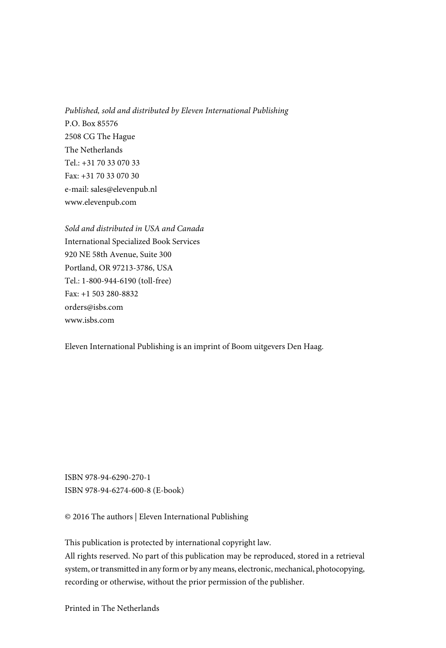Published, sold and distributed by Eleven International Publishing P.O. Box 85576 2508 CG The Hague The Netherlands  $Tel \cdot +31703307033$ Fax: +31 70 33 070 30 e-mail: sales@elevenpub.nl www.elevenpub.com

Sold and distributed in USA and Canada International Specialized Book Services 920 NE 58th Avenue, Suite 300 Portland, OR 97213-3786, USA Tel.: 1-800-944-6190 (toll-free) Fax: +1 503 280-8832 orders@isbs.com www.isbs.com

Eleven International Publishing is an imprint of Boom uitgevers Den Haag.

ISBN 978-94-6290-270-1 ISBN 978-94-6274-600-8 (E-book)

© 2016 The authors | Eleven International Publishing

This publication is protected by international copyright law.

All rights reserved. No part of this publication may be reproduced, stored in a retrieval system, or transmitted in any form or by any means, electronic, mechanical, photocopying, recording or otherwise, without the prior permission of the publisher.

Printed in The Netherlands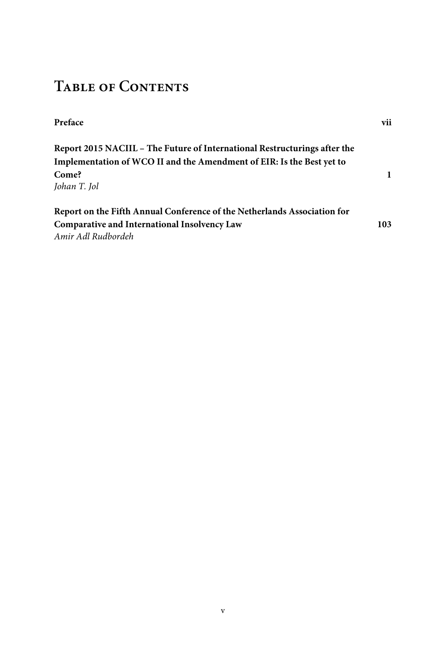# **Table of Contents**

| Preface                                                                   | vii |
|---------------------------------------------------------------------------|-----|
| Report 2015 NACIIL – The Future of International Restructurings after the |     |
| Implementation of WCO II and the Amendment of EIR: Is the Best yet to     |     |
| Come?                                                                     | 1   |
| Johan T. Jol                                                              |     |
| Report on the Fifth Annual Conference of the Netherlands Association for  |     |
| Comparative and International Insolvency Law                              | 103 |
| Amir Adl Rudbordeh                                                        |     |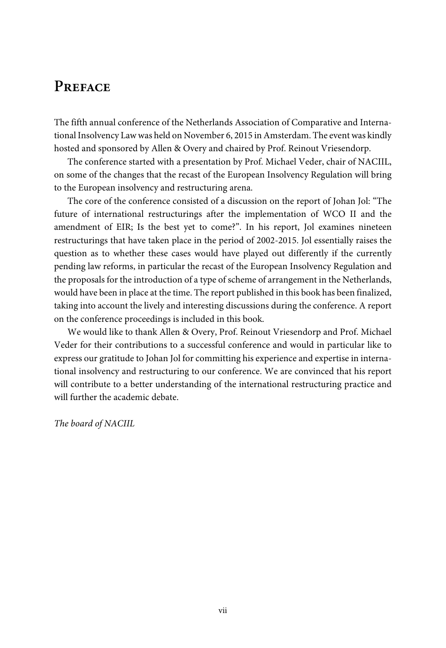# **Preface**

The fifth annual conference of the Netherlands Association of Comparative and International Insolvency Law was held on November 6, 2015 in Amsterdam. The event was kindly hosted and sponsored by Allen & Overy and chaired by Prof. Reinout Vriesendorp.

The conference started with a presentation by Prof. Michael Veder, chair of NACIIL, on some of the changes that the recast of the European Insolvency Regulation will bring to the European insolvency and restructuring arena.

The core of the conference consisted of a discussion on the report of Johan Jol: "The future of international restructurings after the implementation of WCO II and the amendment of EIR; Is the best yet to come?". In his report, Jol examines nineteen restructurings that have taken place in the period of 2002-2015. Jol essentially raises the question as to whether these cases would have played out differently if the currently pending law reforms, in particular the recast of the European Insolvency Regulation and the proposals for the introduction of a type of scheme of arrangement in the Netherlands, would have been in place at the time. The report published in this book has been finalized, taking into account the lively and interesting discussions during the conference. A report on the conference proceedings is included in this book.

We would like to thank Allen & Overy, Prof. Reinout Vriesendorp and Prof. Michael Veder for their contributions to a successful conference and would in particular like to express our gratitude to Johan Jol for committing his experience and expertise in international insolvency and restructuring to our conference. We are convinced that his report will contribute to a better understanding of the international restructuring practice and will further the academic debate.

The board of NACIIL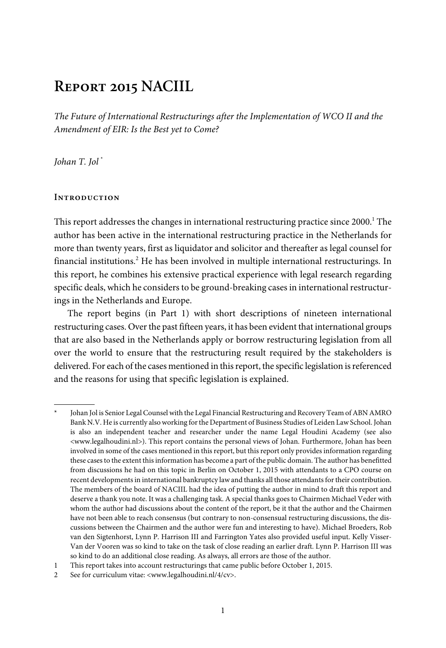# **Report 2015 NACIIL**

The Future of International Restructurings after the Implementation of WCO II and the Amendment of EIR: Is the Best yet to Come?

Johan T. Jol \*

#### **Introduction**

This report addresses the changes in international restructuring practice since 2000.<sup>1</sup> The author has been active in the international restructuring practice in the Netherlands for more than twenty years, first as liquidator and solicitor and thereafter as legal counsel for financial institutions.<sup>2</sup> He has been involved in multiple international restructurings. In this report, he combines his extensive practical experience with legal research regarding specific deals, which he considers to be ground-breaking cases in international restructurings in the Netherlands and Europe.

The report begins (in Part 1) with short descriptions of nineteen international restructuring cases. Over the past fifteen years, it has been evident that international groups that are also based in the Netherlands apply or borrow restructuring legislation from all over the world to ensure that the restructuring result required by the stakeholders is delivered. For each of the cases mentioned in this report, the specific legislation is referenced and the reasons for using that specific legislation is explained.

Johan Jol is Senior Legal Counsel with the Legal Financial Restructuring and Recovery Team of ABN AMRO Bank N.V. He is currently also working for the Department of Business Studies of Leiden Law School. Johan is also an independent teacher and researcher under the name Legal Houdini Academy (see also <www.legalhoudini.nl>). This report contains the personal views of Johan. Furthermore, Johan has been involved in some of the cases mentioned in this report, but this report only provides information regarding these cases to the extent this information has become a part of the public domain. The author has benefitted from discussions he had on this topic in Berlin on October 1, 2015 with attendants to a CPO course on recent developments in international bankruptcy law and thanks all those attendants for their contribution. The members of the board of NACIIL had the idea of putting the author in mind to draft this report and deserve a thank you note. It was a challenging task. A special thanks goes to Chairmen Michael Veder with whom the author had discussions about the content of the report, be it that the author and the Chairmen have not been able to reach consensus (but contrary to non-consensual restructuring discussions, the discussions between the Chairmen and the author were fun and interesting to have). Michael Broeders, Rob van den Sigtenhorst, Lynn P. Harrison III and Farrington Yates also provided useful input. Kelly Visser-Van der Vooren was so kind to take on the task of close reading an earlier draft. Lynn P. Harrison III was so kind to do an additional close reading. As always, all errors are those of the author.

<sup>1</sup> This report takes into account restructurings that came public before October 1, 2015.

<sup>2</sup> See for curriculum vitae: <www.legalhoudini.nl/4/cv>.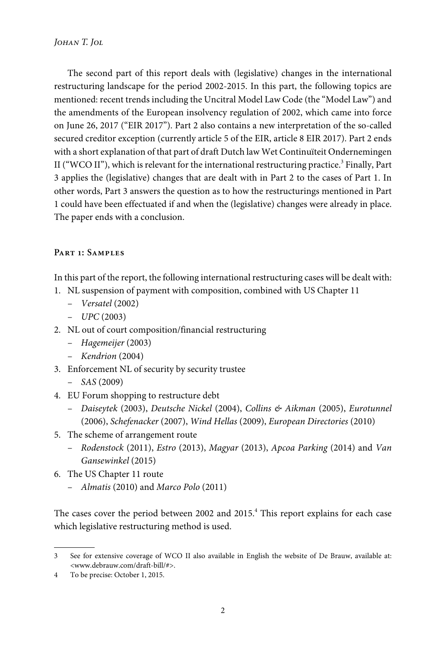The second part of this report deals with (legislative) changes in the international restructuring landscape for the period 2002-2015. In this part, the following topics are mentioned: recent trends including the Uncitral Model Law Code (the "Model Law") and the amendments of the European insolvency regulation of 2002, which came into force on June 26, 2017 ("EIR 2017"). Part 2 also contains a new interpretation of the so-called secured creditor exception (currently article 5 of the EIR, article 8 EIR 2017). Part 2 ends with a short explanation of that part of draft Dutch law Wet Continuïteit Ondernemingen II ("WCO II"), which is relevant for the international restructuring practice. $^3$  Finally, Part 3 applies the (legislative) changes that are dealt with in Part 2 to the cases of Part 1. In other words, Part 3 answers the question as to how the restructurings mentioned in Part 1 could have been effectuated if and when the (legislative) changes were already in place. The paper ends with a conclusion.

### **Part 1: Samples**

In this part of the report, the following international restructuring cases will be dealt with:

- 1. NL suspension of payment with composition, combined with US Chapter 11
	- Versatel (2002)
	- $-$  UPC (2003)
- 2. NL out of court composition/financial restructuring
	- Hagemeijer (2003)
	- Kendrion (2004)
- 3. Enforcement NL of security by security trustee
	- $-$  SAS (2009)
- 4. EU Forum shopping to restructure debt
	- Daiseytek (2003), Deutsche Nickel (2004), Collins & Aikman (2005), Eurotunnel (2006), Schefenacker (2007), Wind Hellas (2009), European Directories (2010)
- 5. The scheme of arrangement route
	- Rodenstock (2011), Estro (2013), Magyar (2013), Apcoa Parking (2014) and Van Gansewinkel (2015)
- 6. The US Chapter 11 route
	- Almatis (2010) and Marco Polo (2011)

The cases cover the period between 2002 and 2015.<sup>4</sup> This report explains for each case which legislative restructuring method is used.

<sup>3</sup> See for extensive coverage of WCO II also available in English the website of De Brauw, available at: <www.debrauw.com/draft-bill/#>.

<sup>4</sup> To be precise: October 1, 2015.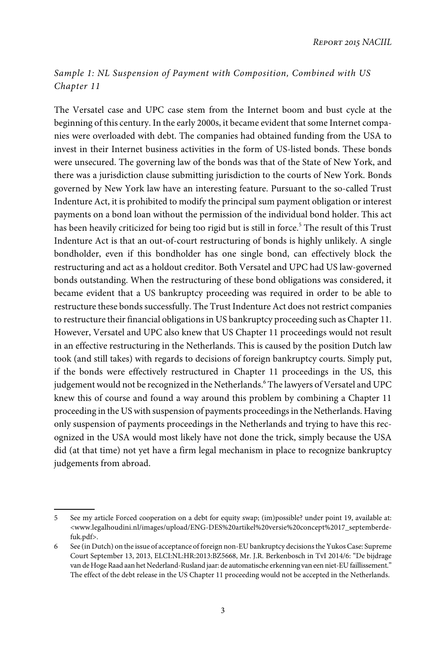# Sample 1: NL Suspension of Payment with Composition, Combined with US Chapter 11

The Versatel case and UPC case stem from the Internet boom and bust cycle at the beginning of this century. In the early 2000s, it became evident that some Internet companies were overloaded with debt. The companies had obtained funding from the USA to invest in their Internet business activities in the form of US-listed bonds. These bonds were unsecured. The governing law of the bonds was that of the State of New York, and there was a jurisdiction clause submitting jurisdiction to the courts of New York. Bonds governed by New York law have an interesting feature. Pursuant to the so-called Trust Indenture Act, it is prohibited to modify the principal sum payment obligation or interest payments on a bond loan without the permission of the individual bond holder. This act has been heavily criticized for being too rigid but is still in force.<sup>5</sup> The result of this Trust Indenture Act is that an out-of-court restructuring of bonds is highly unlikely. A single bondholder, even if this bondholder has one single bond, can effectively block the restructuring and act as a holdout creditor. Both Versatel and UPC had US law-governed bonds outstanding. When the restructuring of these bond obligations was considered, it became evident that a US bankruptcy proceeding was required in order to be able to restructure these bonds successfully. The Trust Indenture Act does not restrict companies to restructure their financial obligations in US bankruptcy proceeding such as Chapter 11. However, Versatel and UPC also knew that US Chapter 11 proceedings would not result in an effective restructuring in the Netherlands. This is caused by the position Dutch law took (and still takes) with regards to decisions of foreign bankruptcy courts. Simply put, if the bonds were effectively restructured in Chapter 11 proceedings in the US, this judgement would not be recognized in the Netherlands.<sup>6</sup> The lawyers of Versatel and UPC knew this of course and found a way around this problem by combining a Chapter 11 proceeding in the US with suspension of payments proceedings in the Netherlands. Having only suspension of payments proceedings in the Netherlands and trying to have this recognized in the USA would most likely have not done the trick, simply because the USA did (at that time) not yet have a firm legal mechanism in place to recognize bankruptcy judgements from abroad.

<sup>5</sup> See my article Forced cooperation on a debt for equity swap; (im)possible? under point 19, available at: <www.legalhoudini.nl/images/upload/ENG-DES%20artikel%20versie%20concept%2017\_septemberdefuk.pdf>.

<sup>6</sup> See (in Dutch) on the issue of acceptance of foreign non-EU bankruptcy decisions the Yukos Case: Supreme Court September 13, 2013, ELCI:NL:HR:2013:BZ5668, Mr. J.R. Berkenbosch in TvI 2014/6: "De bijdrage van de Hoge Raad aan het Nederland-Rusland jaar: de automatische erkenning van een niet-EU faillissement." The effect of the debt release in the US Chapter 11 proceeding would not be accepted in the Netherlands.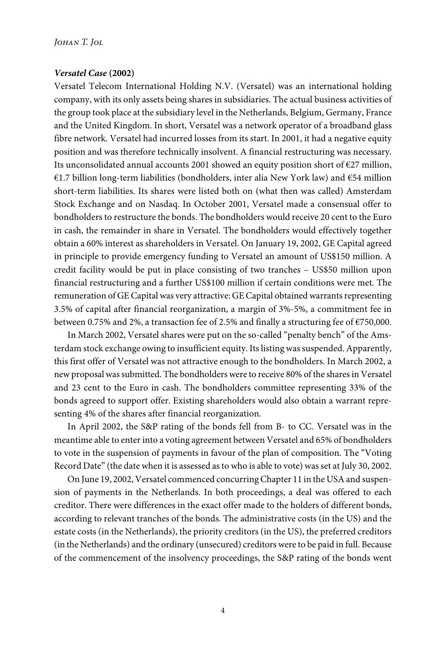#### *Versatel Case* **(2002)**

Versatel Telecom International Holding N.V. (Versatel) was an international holding company, with its only assets being shares in subsidiaries. The actual business activities of the group took place at the subsidiary level in the Netherlands, Belgium, Germany, France and the United Kingdom. In short, Versatel was a network operator of a broadband glass fibre network. Versatel had incurred losses from its start. In 2001, it had a negative equity position and was therefore technically insolvent. A financial restructuring was necessary. Its unconsolidated annual accounts 2001 showed an equity position short of €27 million, €1.7 billion long-term liabilities (bondholders, inter alia New York law) and €54 million short-term liabilities. Its shares were listed both on (what then was called) Amsterdam Stock Exchange and on Nasdaq. In October 2001, Versatel made a consensual offer to bondholders to restructure the bonds. The bondholders would receive 20 cent to the Euro in cash, the remainder in share in Versatel. The bondholders would effectively together obtain a 60% interest as shareholders in Versatel. On January 19, 2002, GE Capital agreed in principle to provide emergency funding to Versatel an amount of US\$150 million. A credit facility would be put in place consisting of two tranches – US\$50 million upon financial restructuring and a further US\$100 million if certain conditions were met. The remuneration of GE Capital was very attractive: GE Capital obtained warrants representing 3.5% of capital after financial reorganization, a margin of 3%-5%, a commitment fee in between 0.75% and 2%, a transaction fee of 2.5% and finally a structuring fee of €750,000.

In March 2002, Versatel shares were put on the so-called "penalty bench" of the Amsterdam stock exchange owing to insufficient equity. Its listing was suspended. Apparently, this first offer of Versatel was not attractive enough to the bondholders. In March 2002, a new proposal was submitted. The bondholders were to receive 80% of the shares in Versatel and 23 cent to the Euro in cash. The bondholders committee representing 33% of the bonds agreed to support offer. Existing shareholders would also obtain a warrant representing 4% of the shares after financial reorganization.

In April 2002, the S&P rating of the bonds fell from B- to CC. Versatel was in the meantime able to enter into a voting agreement between Versatel and 65% of bondholders to vote in the suspension of payments in favour of the plan of composition. The "Voting Record Date" (the date when it is assessed as to who is able to vote) was set at July 30, 2002.

On June 19, 2002, Versatel commenced concurring Chapter 11 in the USA and suspension of payments in the Netherlands. In both proceedings, a deal was offered to each creditor. There were differences in the exact offer made to the holders of different bonds, according to relevant tranches of the bonds. The administrative costs (in the US) and the estate costs (in the Netherlands), the priority creditors (in the US), the preferred creditors (in the Netherlands) and the ordinary (unsecured) creditors were to be paid in full. Because of the commencement of the insolvency proceedings, the S&P rating of the bonds went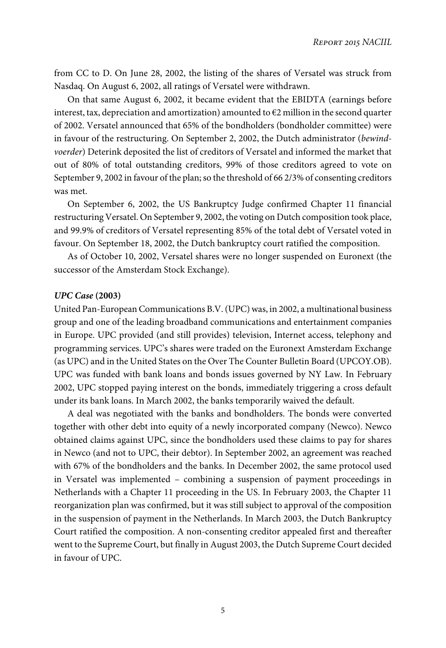from CC to D. On June 28, 2002, the listing of the shares of Versatel was struck from Nasdaq. On August 6, 2002, all ratings of Versatel were withdrawn.

On that same August 6, 2002, it became evident that the EBIDTA (earnings before interest, tax, depreciation and amortization) amounted to  $E2$  million in the second quarter of 2002. Versatel announced that 65% of the bondholders (bondholder committee) were in favour of the restructuring. On September 2, 2002, the Dutch administrator (bewindvoerder) Deterink deposited the list of creditors of Versatel and informed the market that out of 80% of total outstanding creditors, 99% of those creditors agreed to vote on September 9, 2002 in favour of the plan; so the threshold of 66 2/3% of consenting creditors was met.

On September 6, 2002, the US Bankruptcy Judge confirmed Chapter 11 financial restructuring Versatel. On September 9, 2002, the voting on Dutch composition took place, and 99.9% of creditors of Versatel representing 85% of the total debt of Versatel voted in favour. On September 18, 2002, the Dutch bankruptcy court ratified the composition.

As of October 10, 2002, Versatel shares were no longer suspended on Euronext (the successor of the Amsterdam Stock Exchange).

#### *UPC Case* **(2003)**

United Pan-European Communications B.V. (UPC) was, in 2002, a multinational business group and one of the leading broadband communications and entertainment companies in Europe. UPC provided (and still provides) television, Internet access, telephony and programming services. UPC's shares were traded on the Euronext Amsterdam Exchange (as UPC) and in the United States on the Over The Counter Bulletin Board (UPCOY.OB). UPC was funded with bank loans and bonds issues governed by NY Law. In February 2002, UPC stopped paying interest on the bonds, immediately triggering a cross default under its bank loans. In March 2002, the banks temporarily waived the default.

A deal was negotiated with the banks and bondholders. The bonds were converted together with other debt into equity of a newly incorporated company (Newco). Newco obtained claims against UPC, since the bondholders used these claims to pay for shares in Newco (and not to UPC, their debtor). In September 2002, an agreement was reached with 67% of the bondholders and the banks. In December 2002, the same protocol used in Versatel was implemented – combining a suspension of payment proceedings in Netherlands with a Chapter 11 proceeding in the US. In February 2003, the Chapter 11 reorganization plan was confirmed, but it was still subject to approval of the composition in the suspension of payment in the Netherlands. In March 2003, the Dutch Bankruptcy Court ratified the composition. A non-consenting creditor appealed first and thereafter went to the Supreme Court, but finally in August 2003, the Dutch Supreme Court decided in favour of UPC.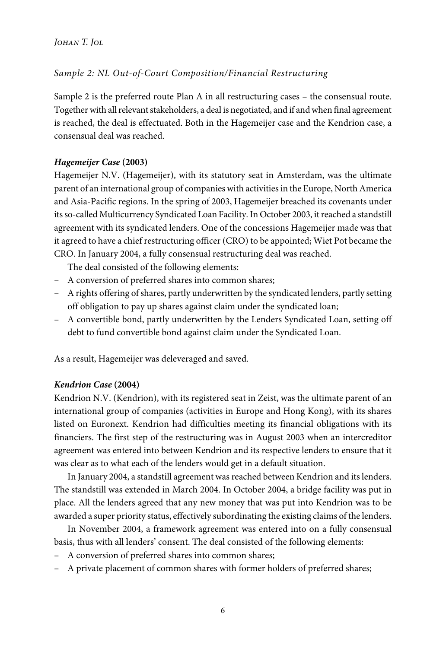# Sample 2: NL Out-of-Court Composition/Financial Restructuring

Sample 2 is the preferred route Plan A in all restructuring cases – the consensual route. Together with all relevant stakeholders, a deal is negotiated, and if and when final agreement is reached, the deal is effectuated. Both in the Hagemeijer case and the Kendrion case, a consensual deal was reached.

### *Hagemeijer Case* **(2003)**

Hagemeijer N.V. (Hagemeijer), with its statutory seat in Amsterdam, was the ultimate parent of an international group of companies with activities in the Europe, North America and Asia-Pacific regions. In the spring of 2003, Hagemeijer breached its covenants under its so-called Multicurrency Syndicated Loan Facility. In October 2003, it reached a standstill agreement with its syndicated lenders. One of the concessions Hagemeijer made was that it agreed to have a chief restructuring officer (CRO) to be appointed; Wiet Pot became the CRO. In January 2004, a fully consensual restructuring deal was reached.

The deal consisted of the following elements:

- A conversion of preferred shares into common shares;
- A rights offering of shares, partly underwritten by the syndicated lenders, partly setting off obligation to pay up shares against claim under the syndicated loan;
- A convertible bond, partly underwritten by the Lenders Syndicated Loan, setting off debt to fund convertible bond against claim under the Syndicated Loan.

As a result, Hagemeijer was deleveraged and saved.

#### *Kendrion Case* **(2004)**

Kendrion N.V. (Kendrion), with its registered seat in Zeist, was the ultimate parent of an international group of companies (activities in Europe and Hong Kong), with its shares listed on Euronext. Kendrion had difficulties meeting its financial obligations with its financiers. The first step of the restructuring was in August 2003 when an intercreditor agreement was entered into between Kendrion and its respective lenders to ensure that it was clear as to what each of the lenders would get in a default situation.

In January 2004, a standstill agreement was reached between Kendrion and its lenders. The standstill was extended in March 2004. In October 2004, a bridge facility was put in place. All the lenders agreed that any new money that was put into Kendrion was to be awarded a super priority status, effectively subordinating the existing claims of the lenders.

In November 2004, a framework agreement was entered into on a fully consensual basis, thus with all lenders' consent. The deal consisted of the following elements:

- A conversion of preferred shares into common shares;
- A private placement of common shares with former holders of preferred shares;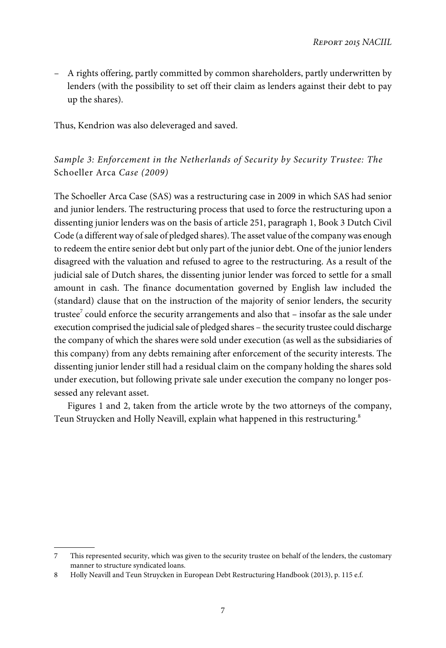– A rights offering, partly committed by common shareholders, partly underwritten by lenders (with the possibility to set off their claim as lenders against their debt to pay up the shares).

Thus, Kendrion was also deleveraged and saved.

# Sample 3: Enforcement in the Netherlands of Security by Security Trustee: The Schoeller Arca Case (2009)

The Schoeller Arca Case (SAS) was a restructuring case in 2009 in which SAS had senior and junior lenders. The restructuring process that used to force the restructuring upon a dissenting junior lenders was on the basis of article 251, paragraph 1, Book 3 Dutch Civil Code (a different way of sale of pledged shares). The asset value of the company was enough to redeem the entire senior debt but only part of the junior debt. One of the junior lenders disagreed with the valuation and refused to agree to the restructuring. As a result of the judicial sale of Dutch shares, the dissenting junior lender was forced to settle for a small amount in cash. The finance documentation governed by English law included the (standard) clause that on the instruction of the majority of senior lenders, the security trustee $^7$  could enforce the security arrangements and also that – insofar as the sale under execution comprised the judicial sale of pledged shares – the security trustee could discharge the company of which the shares were sold under execution (as well as the subsidiaries of this company) from any debts remaining after enforcement of the security interests. The dissenting junior lender still had a residual claim on the company holding the shares sold under execution, but following private sale under execution the company no longer possessed any relevant asset.

Figures 1 and 2, taken from the article wrote by the two attorneys of the company, Teun Struycken and Holly Neavill, explain what happened in this restructuring.<sup>8</sup>

<sup>7</sup> This represented security, which was given to the security trustee on behalf of the lenders, the customary manner to structure syndicated loans.

<sup>8</sup> Holly Neavill and Teun Struycken in European Debt Restructuring Handbook (2013), p. 115 e.f.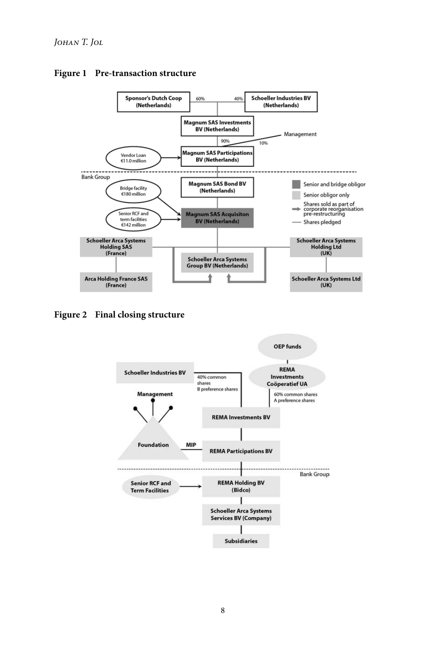

#### **Figure 1 Pre-transaction structure**

**Figure 2 Final closing structure**

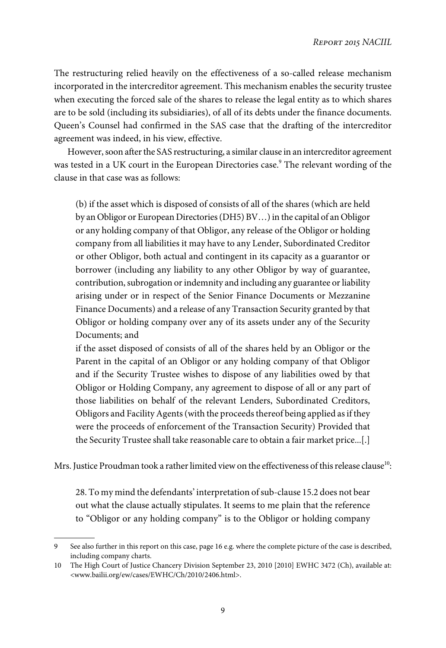The restructuring relied heavily on the effectiveness of a so-called release mechanism incorporated in the intercreditor agreement. This mechanism enables the security trustee when executing the forced sale of the shares to release the legal entity as to which shares are to be sold (including its subsidiaries), of all of its debts under the finance documents. Queen's Counsel had confirmed in the SAS case that the drafting of the intercreditor agreement was indeed, in his view, effective.

However, soon after the SAS restructuring, a similar clause in an intercreditor agreement was tested in a UK court in the European Directories case.<sup>9</sup> The relevant wording of the clause in that case was as follows:

(b) if the asset which is disposed of consists of all of the shares (which are held by an Obligor or European Directories (DH5) BV…) in the capital of an Obligor or any holding company of that Obligor, any release of the Obligor or holding company from all liabilities it may have to any Lender, Subordinated Creditor or other Obligor, both actual and contingent in its capacity as a guarantor or borrower (including any liability to any other Obligor by way of guarantee, contribution, subrogation or indemnity and including any guarantee or liability arising under or in respect of the Senior Finance Documents or Mezzanine Finance Documents) and a release of any Transaction Security granted by that Obligor or holding company over any of its assets under any of the Security Documents; and

if the asset disposed of consists of all of the shares held by an Obligor or the Parent in the capital of an Obligor or any holding company of that Obligor and if the Security Trustee wishes to dispose of any liabilities owed by that Obligor or Holding Company, any agreement to dispose of all or any part of those liabilities on behalf of the relevant Lenders, Subordinated Creditors, Obligors and Facility Agents (with the proceeds thereof being applied as if they were the proceeds of enforcement of the Transaction Security) Provided that the Security Trustee shall take reasonable care to obtain a fair market price...[.]

Mrs. Justice Proudman took a rather limited view on the effectiveness of this release clause $^{\rm 10}$ :

28. To my mind the defendants' interpretation of sub-clause 15.2 does not bear out what the clause actually stipulates. It seems to me plain that the reference to "Obligor or any holding company" is to the Obligor or holding company

<sup>9</sup> See also further in this report on this case, page 16 e.g. where the complete picture of the case is described, including company charts.

<sup>10</sup> The High Court of Justice Chancery Division September 23, 2010 [2010] EWHC 3472 (Ch), available at: <www.bailii.org/ew/cases/EWHC/Ch/2010/2406.html>.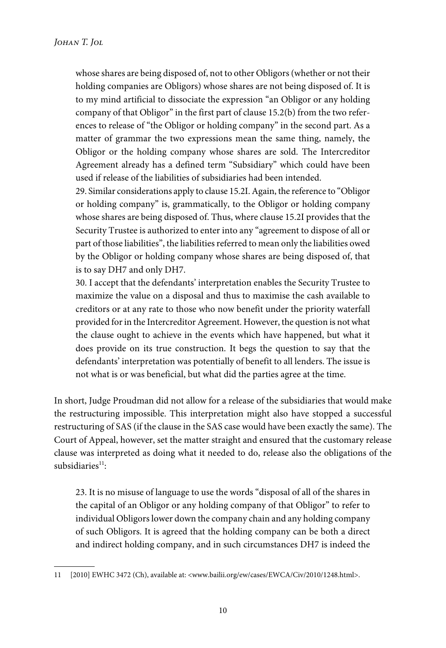whose shares are being disposed of, not to other Obligors (whether or not their holding companies are Obligors) whose shares are not being disposed of. It is to my mind artificial to dissociate the expression "an Obligor or any holding company of that Obligor" in the first part of clause 15.2(b) from the two references to release of "the Obligor or holding company" in the second part. As a matter of grammar the two expressions mean the same thing, namely, the Obligor or the holding company whose shares are sold. The Intercreditor Agreement already has a defined term "Subsidiary" which could have been used if release of the liabilities of subsidiaries had been intended.

29. Similar considerations apply to clause 15.2I. Again, the reference to "Obligor or holding company" is, grammatically, to the Obligor or holding company whose shares are being disposed of. Thus, where clause 15.2I provides that the Security Trustee is authorized to enter into any "agreement to dispose of all or part of those liabilities", the liabilities referred to mean only the liabilities owed by the Obligor or holding company whose shares are being disposed of, that is to say DH7 and only DH7.

30. I accept that the defendants' interpretation enables the Security Trustee to maximize the value on a disposal and thus to maximise the cash available to creditors or at any rate to those who now benefit under the priority waterfall provided for in the Intercreditor Agreement. However, the question is not what the clause ought to achieve in the events which have happened, but what it does provide on its true construction. It begs the question to say that the defendants' interpretation was potentially of benefit to all lenders. The issue is not what is or was beneficial, but what did the parties agree at the time.

In short, Judge Proudman did not allow for a release of the subsidiaries that would make the restructuring impossible. This interpretation might also have stopped a successful restructuring of SAS (if the clause in the SAS case would have been exactly the same). The Court of Appeal, however, set the matter straight and ensured that the customary release clause was interpreted as doing what it needed to do, release also the obligations of the subsidiaries<sup>11</sup>:

23. It is no misuse of language to use the words "disposal of all of the shares in the capital of an Obligor or any holding company of that Obligor" to refer to individual Obligors lower down the company chain and any holding company of such Obligors. It is agreed that the holding company can be both a direct and indirect holding company, and in such circumstances DH7 is indeed the

<sup>11 [2010]</sup> EWHC 3472 (Ch), available at: <www.bailii.org/ew/cases/EWCA/Civ/2010/1248.html>.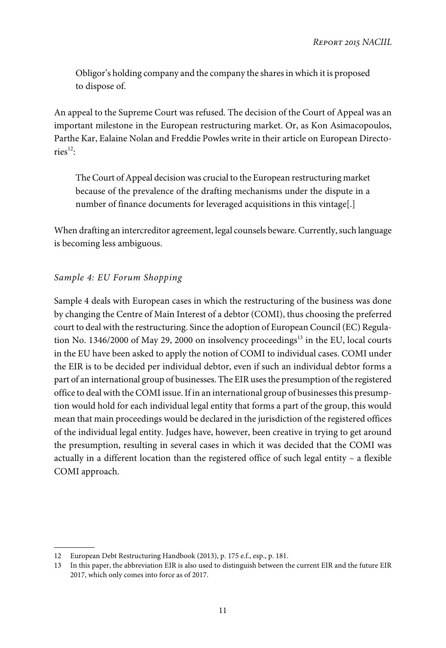Obligor's holding company and the company the shares in which it is proposed to dispose of.

An appeal to the Supreme Court was refused. The decision of the Court of Appeal was an important milestone in the European restructuring market. Or, as Kon Asimacopoulos, Parthe Kar, Ealaine Nolan and Freddie Powles write in their article on European Directo $ries<sup>12</sup>$ :

The Court of Appeal decision was crucial to the European restructuring market because of the prevalence of the drafting mechanisms under the dispute in a number of finance documents for leveraged acquisitions in this vintage[.]

When drafting an intercreditor agreement, legal counsels beware. Currently, such language is becoming less ambiguous.

# Sample 4: EU Forum Shopping

Sample 4 deals with European cases in which the restructuring of the business was done by changing the Centre of Main Interest of a debtor (COMI), thus choosing the preferred court to deal with the restructuring. Since the adoption of European Council (EC) Regulation No. 1346/2000 of May 29, 2000 on insolvency proceedings $^{13}$  in the EU, local courts in the EU have been asked to apply the notion of COMI to individual cases. COMI under the EIR is to be decided per individual debtor, even if such an individual debtor forms a part of an international group of businesses. The EIR uses the presumption of the registered office to deal with the COMI issue. If in an international group of businesses this presumption would hold for each individual legal entity that forms a part of the group, this would mean that main proceedings would be declared in the jurisdiction of the registered offices of the individual legal entity. Judges have, however, been creative in trying to get around the presumption, resulting in several cases in which it was decided that the COMI was actually in a different location than the registered office of such legal entity – a flexible COMI approach.

<sup>12</sup> European Debt Restructuring Handbook (2013), p. 175 e.f., esp., p. 181.

<sup>13</sup> In this paper, the abbreviation EIR is also used to distinguish between the current EIR and the future EIR 2017, which only comes into force as of 2017.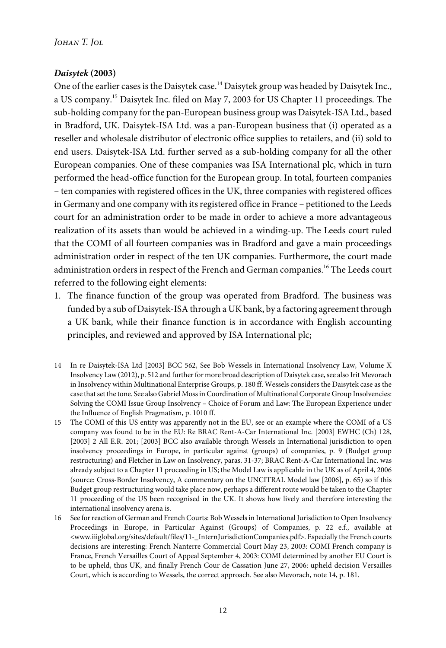# *Daisytek* **(2003)**

One of the earlier cases is the Daisytek case.<sup>14</sup> Daisytek group was headed by Daisytek Inc., a US company.<sup>15</sup> Daisytek Inc. filed on May 7, 2003 for US Chapter 11 proceedings. The sub-holding company for the pan-European business group was Daisytek-ISA Ltd., based in Bradford, UK. Daisytek-ISA Ltd. was a pan-European business that (i) operated as a reseller and wholesale distributor of electronic office supplies to retailers, and (ii) sold to end users. Daisytek-ISA Ltd. further served as a sub-holding company for all the other European companies. One of these companies was ISA International plc, which in turn performed the head-office function for the European group. In total, fourteen companies – ten companies with registered offices in the UK, three companies with registered offices in Germany and one company with its registered office in France – petitioned to the Leeds court for an administration order to be made in order to achieve a more advantageous realization of its assets than would be achieved in a winding-up. The Leeds court ruled that the COMI of all fourteen companies was in Bradford and gave a main proceedings administration order in respect of the ten UK companies. Furthermore, the court made administration orders in respect of the French and German companies.<sup>16</sup> The Leeds court referred to the following eight elements:

1. The finance function of the group was operated from Bradford. The business was funded by a sub of Daisytek-ISA through a UK bank, by a factoring agreement through a UK bank, while their finance function is in accordance with English accounting principles, and reviewed and approved by ISA International plc;

<sup>14</sup> In re Daisytek-ISA Ltd [2003] BCC 562, See Bob Wessels in International Insolvency Law, Volume X Insolvency Law (2012), p. 512 and further for more broad description of Daisytek case, see also Irit Mevorach in Insolvency within Multinational Enterprise Groups, p. 180 ff. Wessels considers the Daisytek case as the case that set the tone. See also Gabriel Moss in Coordination of Multinational Corporate Group Insolvencies: Solving the COMI Issue Group Insolvency – Choice of Forum and Law: The European Experience under the Influence of English Pragmatism, p. 1010 ff.

<sup>15</sup> The COMI of this US entity was apparently not in the EU, see or an example where the COMI of a US company was found to be in the EU: Re BRAC Rent-A-Car International Inc. [2003] EWHC (Ch) 128, [2003] 2 All E.R. 201; [2003] BCC also available through Wessels in International jurisdiction to open insolvency proceedings in Europe, in particular against (groups) of companies, p. 9 (Budget group restructuring) and Fletcher in Law on Insolvency, paras. 31-37; BRAC Rent-A-Car International Inc. was already subject to a Chapter 11 proceeding in US; the Model Law is applicable in the UK as of April 4, 2006 (source: Cross-Border Insolvency, A commentary on the UNCITRAL Model law [2006], p. 65) so if this Budget group restructuring would take place now, perhaps a different route would be taken to the Chapter 11 proceeding of the US been recognised in the UK. It shows how lively and therefore interesting the international insolvency arena is.

<sup>16</sup> See for reaction of German and French Courts: Bob Wessels in International Jurisdiction to Open Insolvency Proceedings in Europe, in Particular Against (Groups) of Companies, p. 22 e.f., available at <www.iiiglobal.org/sites/default/files/11-\_InternJurisdictionCompanies.pdf>. Especially the French courts decisions are interesting: French Nanterre Commercial Court May 23, 2003: COMI French company is France, French Versailles Court of Appeal September 4, 2003: COMI determined by another EU Court is to be upheld, thus UK, and finally French Cour de Cassation June 27, 2006: upheld decision Versailles Court, which is according to Wessels, the correct approach. See also Mevorach, note 14, p. 181.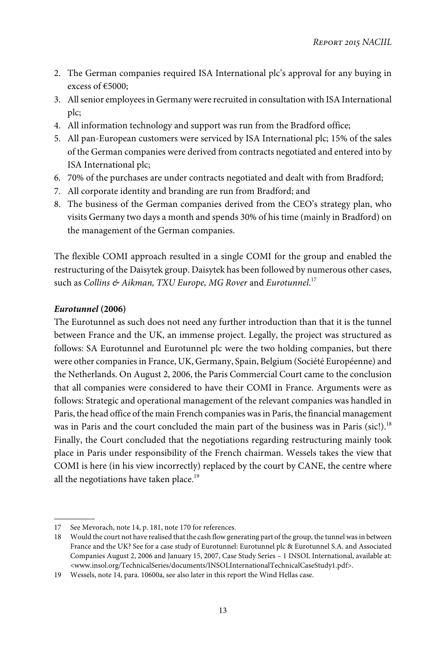- 2. The German companies required ISA International plc's approval for any buying in excess of €5000;
- 3. All senior employees in Germany were recruited in consultation with ISA International plc;
- 4. All information technology and support was run from the Bradford office;
- 5. All pan-European customers were serviced by ISA International plc; 15% of the sales of the German companies were derived from contracts negotiated and entered into by ISA International plc;
- 6. 70% of the purchases are under contracts negotiated and dealt with from Bradford;
- 7. All corporate identity and branding are run from Bradford; and
- 8. The business of the German companies derived from the CEO's strategy plan, who visits Germany two days a month and spends 30% of his time (mainly in Bradford) on the management of the German companies.

The flexible COMI approach resulted in a single COMI for the group and enabled the restructuring of the Daisytek group. Daisytek has been followed by numerous other cases, such as Collins & Aikman, TXU Europe, MG Rover and Eurotunnel.<sup>17</sup>

# *Eurotunnel* **(2006)**

The Eurotunnel as such does not need any further introduction than that it is the tunnel between France and the UK, an immense project. Legally, the project was structured as follows: SA Eurotunnel and Eurotunnel plc were the two holding companies, but there were other companies in France, UK, Germany, Spain, Belgium (Société Européenne) and the Netherlands. On August 2, 2006, the Paris Commercial Court came to the conclusion that all companies were considered to have their COMI in France. Arguments were as follows: Strategic and operational management of the relevant companies was handled in Paris, the head office of the main French companies was in Paris, the financial management was in Paris and the court concluded the main part of the business was in Paris (sic!).<sup>18</sup> Finally, the Court concluded that the negotiations regarding restructuring mainly took place in Paris under responsibility of the French chairman. Wessels takes the view that COMI is here (in his view incorrectly) replaced by the court by CANE, the centre where all the negotiations have taken place.<sup>19</sup>

<sup>17</sup> See Mevorach, note 14, p. 181, note 170 for references.

<sup>18</sup> Would the court not have realised that the cash flow generating part of the group, the tunnel was in between France and the UK? See for a case study of Eurotunnel: Eurotunnel plc & Eurotunnel S.A. and Associated Companies August 2, 2006 and January 15, 2007, Case Study Series – 1 INSOL International, available at: <www.insol.org/TechnicalSeries/documents/INSOLInternationalTechnicalCaseStudy1.pdf>.

<sup>19</sup> Wessels, note 14, para. 10600a, see also later in this report the Wind Hellas case.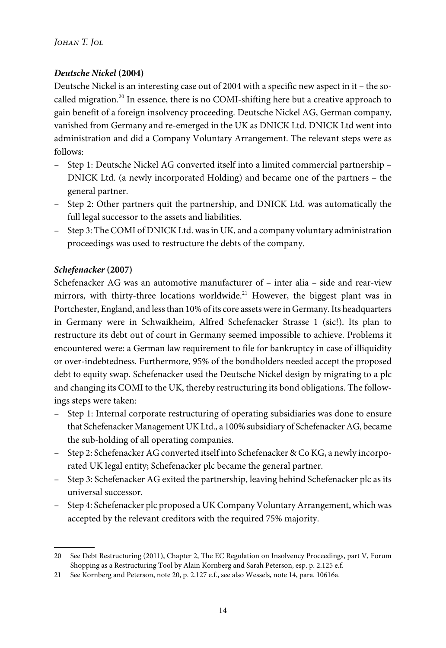# *Deutsche Nickel* **(2004)**

Deutsche Nickel is an interesting case out of 2004 with a specific new aspect in it – the socalled migration.<sup>20</sup> In essence, there is no COMI-shifting here but a creative approach to gain benefit of a foreign insolvency proceeding. Deutsche Nickel AG, German company, vanished from Germany and re-emerged in the UK as DNICK Ltd. DNICK Ltd went into administration and did a Company Voluntary Arrangement. The relevant steps were as follows:

- Step 1: Deutsche Nickel AG converted itself into a limited commercial partnership DNICK Ltd. (a newly incorporated Holding) and became one of the partners – the general partner.
- Step 2: Other partners quit the partnership, and DNICK Ltd. was automatically the full legal successor to the assets and liabilities.
- Step 3: The COMI of DNICK Ltd. was in UK, and a company voluntary administration proceedings was used to restructure the debts of the company.

# *Schefenacker* **(2007)**

Schefenacker AG was an automotive manufacturer of – inter alia – side and rear-view mirrors, with thirty-three locations worldwide.<sup>21</sup> However, the biggest plant was in Portchester, England, and less than 10% of its core assets were in Germany. Its headquarters in Germany were in Schwaikheim, Alfred Schefenacker Strasse 1 (sic!). Its plan to restructure its debt out of court in Germany seemed impossible to achieve. Problems it encountered were: a German law requirement to file for bankruptcy in case of illiquidity or over-indebtedness. Furthermore, 95% of the bondholders needed accept the proposed debt to equity swap. Schefenacker used the Deutsche Nickel design by migrating to a plc and changing its COMI to the UK, thereby restructuring its bond obligations. The followings steps were taken:

- Step 1: Internal corporate restructuring of operating subsidiaries was done to ensure that Schefenacker Management UK Ltd., a 100% subsidiary of Schefenacker AG, became the sub-holding of all operating companies.
- Step 2: Schefenacker AG converted itself into Schefenacker & Co KG, a newly incorporated UK legal entity; Schefenacker plc became the general partner.
- Step 3: Schefenacker AG exited the partnership, leaving behind Schefenacker plc as its universal successor.
- Step 4: Schefenacker plc proposed a UK Company Voluntary Arrangement, which was accepted by the relevant creditors with the required 75% majority.

<sup>20</sup> See Debt Restructuring (2011), Chapter 2, The EC Regulation on Insolvency Proceedings, part V, Forum Shopping as a Restructuring Tool by Alain Kornberg and Sarah Peterson, esp. p. 2.125 e.f.

<sup>21</sup> See Kornberg and Peterson, note 20, p. 2.127 e.f., see also Wessels, note 14, para. 10616a.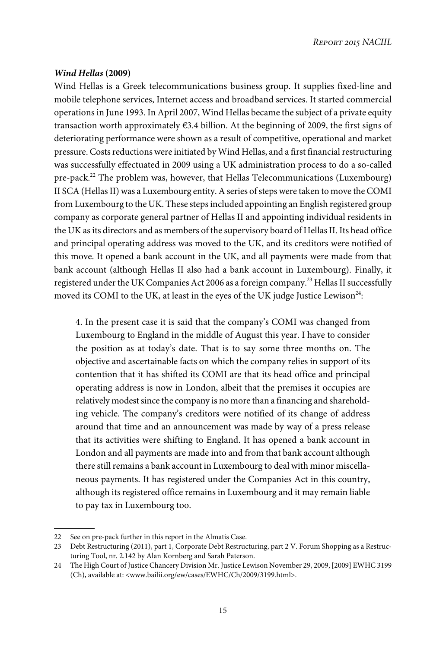## *Wind Hellas* **(2009)**

Wind Hellas is a Greek telecommunications business group. It supplies fixed-line and mobile telephone services, Internet access and broadband services. It started commercial operations in June 1993. In April 2007, Wind Hellas became the subject of a private equity transaction worth approximately €3.4 billion. At the beginning of 2009, the first signs of deteriorating performance were shown as a result of competitive, operational and market pressure. Costs reductions were initiated by Wind Hellas, and a first financial restructuring was successfully effectuated in 2009 using a UK administration process to do a so-called pre-pack.<sup>22</sup> The problem was, however, that Hellas Telecommunications (Luxembourg) II SCA (Hellas II) was a Luxembourg entity. A series of steps were taken to move the COMI from Luxembourg to the UK. These steps included appointing an English registered group company as corporate general partner of Hellas II and appointing individual residents in the UK as its directors and as members of the supervisory board of Hellas II. Its head office and principal operating address was moved to the UK, and its creditors were notified of this move. It opened a bank account in the UK, and all payments were made from that bank account (although Hellas II also had a bank account in Luxembourg). Finally, it registered under the UK Companies Act 2006 as a foreign company.<sup>23</sup> Hellas II successfully moved its COMI to the UK, at least in the eyes of the UK judge Justice Lewison $^{24}\!\!$ :

4. In the present case it is said that the company's COMI was changed from Luxembourg to England in the middle of August this year. I have to consider the position as at today's date. That is to say some three months on. The objective and ascertainable facts on which the company relies in support of its contention that it has shifted its COMI are that its head office and principal operating address is now in London, albeit that the premises it occupies are relatively modest since the company is no more than a financing and shareholding vehicle. The company's creditors were notified of its change of address around that time and an announcement was made by way of a press release that its activities were shifting to England. It has opened a bank account in London and all payments are made into and from that bank account although there still remains a bank account in Luxembourg to deal with minor miscellaneous payments. It has registered under the Companies Act in this country, although its registered office remains in Luxembourg and it may remain liable to pay tax in Luxembourg too.

<sup>22</sup> See on pre-pack further in this report in the Almatis Case.

<sup>23</sup> Debt Restructuring (2011), part 1, Corporate Debt Restructuring, part 2 V. Forum Shopping as a Restructuring Tool, nr. 2.142 by Alan Kornberg and Sarah Paterson.

<sup>24</sup> The High Court of Justice Chancery Division Mr. Justice Lewison November 29, 2009, [2009] EWHC 3199 (Ch), available at: <www.bailii.org/ew/cases/EWHC/Ch/2009/3199.html>.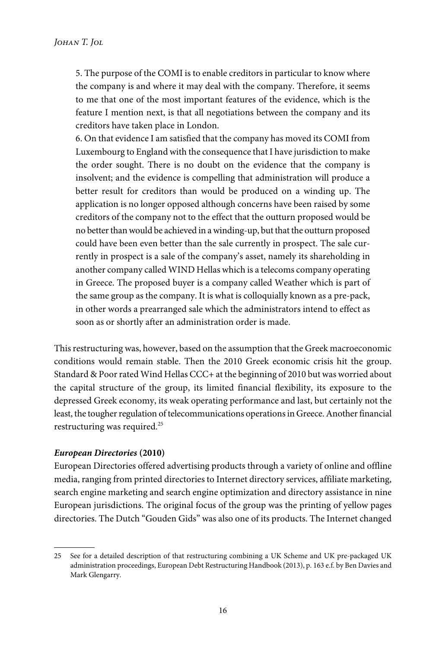5. The purpose of the COMI is to enable creditors in particular to know where the company is and where it may deal with the company. Therefore, it seems to me that one of the most important features of the evidence, which is the feature I mention next, is that all negotiations between the company and its creditors have taken place in London.

6. On that evidence I am satisfied that the company has moved its COMI from Luxembourg to England with the consequence that I have jurisdiction to make the order sought. There is no doubt on the evidence that the company is insolvent; and the evidence is compelling that administration will produce a better result for creditors than would be produced on a winding up. The application is no longer opposed although concerns have been raised by some creditors of the company not to the effect that the outturn proposed would be no better than would be achieved in a winding-up, but that the outturn proposed could have been even better than the sale currently in prospect. The sale currently in prospect is a sale of the company's asset, namely its shareholding in another company called WIND Hellas which is a telecoms company operating in Greece. The proposed buyer is a company called Weather which is part of the same group as the company. It is what is colloquially known as a pre-pack, in other words a prearranged sale which the administrators intend to effect as soon as or shortly after an administration order is made.

This restructuring was, however, based on the assumption that the Greek macroeconomic conditions would remain stable. Then the 2010 Greek economic crisis hit the group. Standard & Poor rated Wind Hellas CCC+ at the beginning of 2010 but was worried about the capital structure of the group, its limited financial flexibility, its exposure to the depressed Greek economy, its weak operating performance and last, but certainly not the least, the tougher regulation of telecommunications operations in Greece. Another financial restructuring was required.<sup>25</sup>

### *European Directories* **(2010)**

European Directories offered advertising products through a variety of online and offline media, ranging from printed directories to Internet directory services, affiliate marketing, search engine marketing and search engine optimization and directory assistance in nine European jurisdictions. The original focus of the group was the printing of yellow pages directories. The Dutch "Gouden Gids" was also one of its products. The Internet changed

<sup>25</sup> See for a detailed description of that restructuring combining a UK Scheme and UK pre-packaged UK administration proceedings, European Debt Restructuring Handbook (2013), p. 163 e.f. by Ben Davies and Mark Glengarry.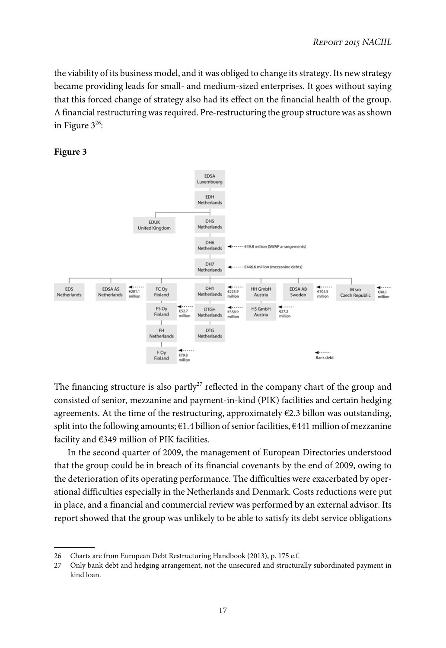the viability of its business model, and it was obliged to change its strategy. Its new strategy became providing leads for small- and medium-sized enterprises. It goes without saying that this forced change of strategy also had its effect on the financial health of the group. A financial restructuring was required. Pre-restructuring the group structure was as shown in Figure 3 $^{26}$ :





The financing structure is also partly<sup>27</sup> reflected in the company chart of the group and consisted of senior, mezzanine and payment-in-kind (PIK) facilities and certain hedging agreements. At the time of the restructuring, approximately  $E2.3$  billon was outstanding, split into the following amounts;  $\epsilon$ 1.4 billion of senior facilities,  $\epsilon$ 441 million of mezzanine facility and €349 million of PIK facilities.

In the second quarter of 2009, the management of European Directories understood that the group could be in breach of its financial covenants by the end of 2009, owing to the deterioration of its operating performance. The difficulties were exacerbated by operational difficulties especially in the Netherlands and Denmark. Costs reductions were put in place, and a financial and commercial review was performed by an external advisor. Its report showed that the group was unlikely to be able to satisfy its debt service obligations

<sup>26</sup> Charts are from European Debt Restructuring Handbook (2013), p. 175 e.f.

<sup>27</sup> Only bank debt and hedging arrangement, not the unsecured and structurally subordinated payment in kind loan.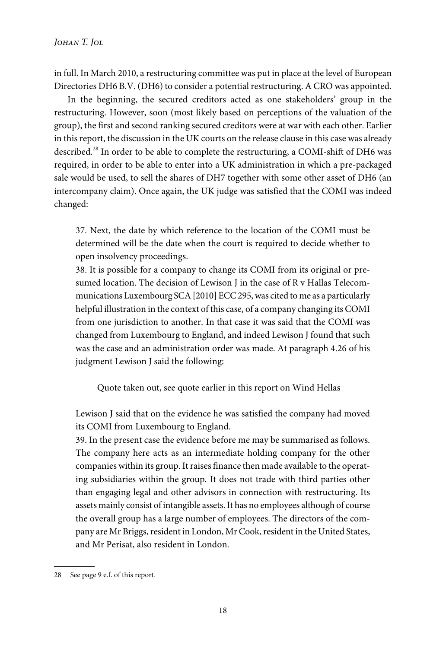in full. In March 2010, a restructuring committee was put in place at the level of European Directories DH6 B.V. (DH6) to consider a potential restructuring. A CRO was appointed.

In the beginning, the secured creditors acted as one stakeholders' group in the restructuring. However, soon (most likely based on perceptions of the valuation of the group), the first and second ranking secured creditors were at war with each other. Earlier in this report, the discussion in the UK courts on the release clause in this case was already described.<sup>28</sup> In order to be able to complete the restructuring, a COMI-shift of DH6 was required, in order to be able to enter into a UK administration in which a pre-packaged sale would be used, to sell the shares of DH7 together with some other asset of DH6 (an intercompany claim). Once again, the UK judge was satisfied that the COMI was indeed changed:

37. Next, the date by which reference to the location of the COMI must be determined will be the date when the court is required to decide whether to open insolvency proceedings.

38. It is possible for a company to change its COMI from its original or presumed location. The decision of Lewison J in the case of R v Hallas Telecommunications Luxembourg SCA [2010] ECC 295, was cited to me as a particularly helpful illustration in the context of this case, of a company changing its COMI from one jurisdiction to another. In that case it was said that the COMI was changed from Luxembourg to England, and indeed Lewison J found that such was the case and an administration order was made. At paragraph 4.26 of his judgment Lewison J said the following:

Quote taken out, see quote earlier in this report on Wind Hellas

Lewison J said that on the evidence he was satisfied the company had moved its COMI from Luxembourg to England.

39. In the present case the evidence before me may be summarised as follows. The company here acts as an intermediate holding company for the other companies within its group. It raises finance then made available to the operating subsidiaries within the group. It does not trade with third parties other than engaging legal and other advisors in connection with restructuring. Its assets mainly consist of intangible assets. It has no employees although of course the overall group has a large number of employees. The directors of the company are Mr Briggs, resident in London, Mr Cook, resident in the United States, and Mr Perisat, also resident in London.

<sup>28</sup> See page 9 e.f. of this report.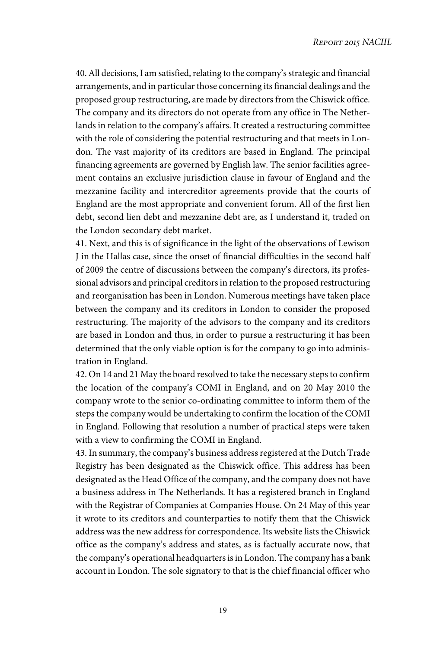40. All decisions, I am satisfied, relating to the company's strategic and financial arrangements, and in particular those concerning its financial dealings and the proposed group restructuring, are made by directors from the Chiswick office. The company and its directors do not operate from any office in The Netherlands in relation to the company's affairs. It created a restructuring committee with the role of considering the potential restructuring and that meets in London. The vast majority of its creditors are based in England. The principal financing agreements are governed by English law. The senior facilities agreement contains an exclusive jurisdiction clause in favour of England and the mezzanine facility and intercreditor agreements provide that the courts of England are the most appropriate and convenient forum. All of the first lien debt, second lien debt and mezzanine debt are, as I understand it, traded on the London secondary debt market.

41. Next, and this is of significance in the light of the observations of Lewison J in the Hallas case, since the onset of financial difficulties in the second half of 2009 the centre of discussions between the company's directors, its professional advisors and principal creditors in relation to the proposed restructuring and reorganisation has been in London. Numerous meetings have taken place between the company and its creditors in London to consider the proposed restructuring. The majority of the advisors to the company and its creditors are based in London and thus, in order to pursue a restructuring it has been determined that the only viable option is for the company to go into administration in England.

42. On 14 and 21 May the board resolved to take the necessary steps to confirm the location of the company's COMI in England, and on 20 May 2010 the company wrote to the senior co-ordinating committee to inform them of the steps the company would be undertaking to confirm the location of the COMI in England. Following that resolution a number of practical steps were taken with a view to confirming the COMI in England.

43. In summary, the company's business address registered at the Dutch Trade Registry has been designated as the Chiswick office. This address has been designated as the Head Office of the company, and the company does not have a business address in The Netherlands. It has a registered branch in England with the Registrar of Companies at Companies House. On 24 May of this year it wrote to its creditors and counterparties to notify them that the Chiswick address was the new address for correspondence. Its website lists the Chiswick office as the company's address and states, as is factually accurate now, that the company's operational headquarters is in London. The company has a bank account in London. The sole signatory to that is the chief financial officer who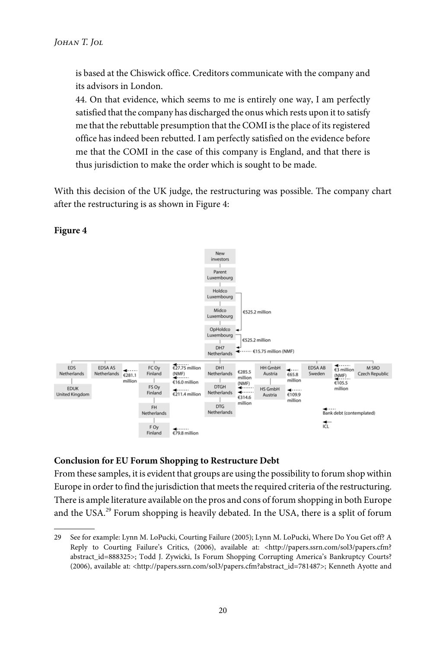is based at the Chiswick office. Creditors communicate with the company and its advisors in London.

44. On that evidence, which seems to me is entirely one way, I am perfectly satisfied that the company has discharged the onus which rests upon it to satisfy me that the rebuttable presumption that the COMI is the place of its registered office has indeed been rebutted. I am perfectly satisfied on the evidence before me that the COMI in the case of this company is England, and that there is thus jurisdiction to make the order which is sought to be made.

With this decision of the UK judge, the restructuring was possible. The company chart after the restructuring is as shown in Figure 4:



# **Figure 4**

# **Conclusion for EU Forum Shopping to Restructure Debt**

From these samples, it is evident that groups are using the possibility to forum shop within Europe in order to find the jurisdiction that meets the required criteria of the restructuring. There is ample literature available on the pros and cons of forum shopping in both Europe and the USA.<sup>29</sup> Forum shopping is heavily debated. In the USA, there is a split of forum

<sup>29</sup> See for example: Lynn M. LoPucki, Courting Failure (2005); Lynn M. LoPucki, Where Do You Get off? A Reply to Courting Failure's Critics, (2006), available at: <http://papers.ssrn.com/sol3/papers.cfm? abstract\_id=888325>; Todd J. Zywicki, Is Forum Shopping Corrupting America's Bankruptcy Courts? (2006), available at: <http://papers.ssrn.com/sol3/papers.cfm?abstract\_id=781487>; Kenneth Ayotte and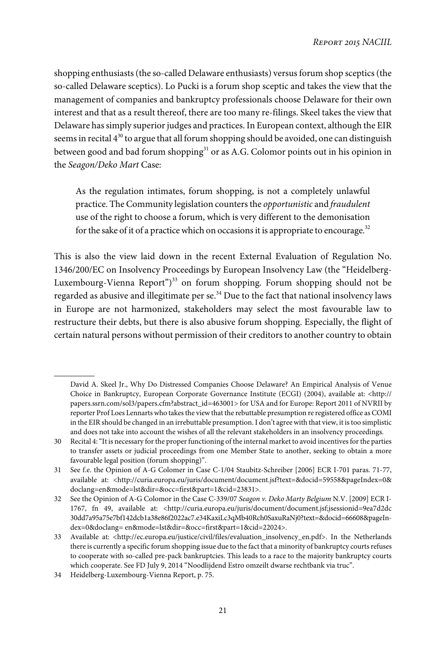shopping enthusiasts (the so-called Delaware enthusiasts) versus forum shop sceptics (the so-called Delaware sceptics). Lo Pucki is a forum shop sceptic and takes the view that the management of companies and bankruptcy professionals choose Delaware for their own interest and that as a result thereof, there are too many re-filings. Skeel takes the view that Delaware has simply superior judges and practices. In European context, although the EIR seems in recital  $4^{30}$  to argue that all forum shopping should be avoided, one can distinguish between good and bad forum shopping<sup>31</sup> or as A.G. Colomor points out in his opinion in the Seagon/Deko Mart Case:

As the regulation intimates, forum shopping, is not a completely unlawful practice. The Community legislation counters the opportunistic and fraudulent use of the right to choose a forum, which is very different to the demonisation for the sake of it of a practice which on occasions it is appropriate to encourage.<sup>32</sup>

This is also the view laid down in the recent External Evaluation of Regulation No. 1346/200/EC on Insolvency Proceedings by European Insolvency Law (the "Heidelberg-Luxembourg-Vienna Report") <sup>33</sup> on forum shopping. Forum shopping should not be regarded as abusive and illegitimate per se. $34$  Due to the fact that national insolvency laws in Europe are not harmonized, stakeholders may select the most favourable law to restructure their debts, but there is also abusive forum shopping. Especially, the flight of certain natural persons without permission of their creditors to another country to obtain

David A. Skeel Jr., Why Do Distressed Companies Choose Delaware? An Empirical Analysis of Venue Choice in Bankruptcy, European Corporate Governance Institute (ECGI) (2004), available at: <http:// papers.ssrn.com/sol3/papers.cfm?abstract\_id=463001> for USA and for Europe: Report 2011 of NVRII by reporter Prof Loes Lennarts who takes the view that the rebuttable presumption re registered office as COMI in the EIR should be changed in an irrebuttable presumption. I don't agree with that view, it is too simplistic and does not take into account the wishes of all the relevant stakeholders in an insolvency proceedings.

<sup>30</sup> Recital 4:"It is necessary for the proper functioning of the internal market to avoid incentives for the parties to transfer assets or judicial proceedings from one Member State to another, seeking to obtain a more favourable legal position (forum shopping)".

<sup>31</sup> See f.e. the Opinion of A-G Colomer in Case C-1/04 Staubitz-Schreiber [2006] ECR I-701 paras. 71-77, available at: <http://curia.europa.eu/juris/document/document.jsf?text=&docid=59558&pageIndex=0& doclang=en&mode=lst&dir=&occ=first&part=1&cid=23831>.

<sup>32</sup> See the Opinion of A-G Colomor in the Case C-339/07 Seagon v. Deko Marty Belgium N.V. [2009] ECR I-1767, fn 49, available at: <http://curia.europa.eu/juris/document/document.jsf;jsessionid=9ea7d2dc 30dd7a95a75e7bf142dcb1a38e86f2022ac7.e34KaxiLc3qMb40Rch0SaxuRaNj0?text=&docid=66608&pageIndex=0&doclang= en&mode=lst&dir=&occ=first&part=1&cid=22024>.

<sup>33</sup> Available at: <http://ec.europa.eu/justice/civil/files/evaluation\_insolvency\_en.pdf>. In the Netherlands there is currently a specific forum shopping issue due to the fact that a minority of bankruptcy courts refuses to cooperate with so-called pre-pack bankruptcies. This leads to a race to the majority bankruptcy courts which cooperate. See FD July 9, 2014 "Noodlijdend Estro omzeilt dwarse rechtbank via truc".

<sup>34</sup> Heidelberg-Luxembourg-Vienna Report, p. 75.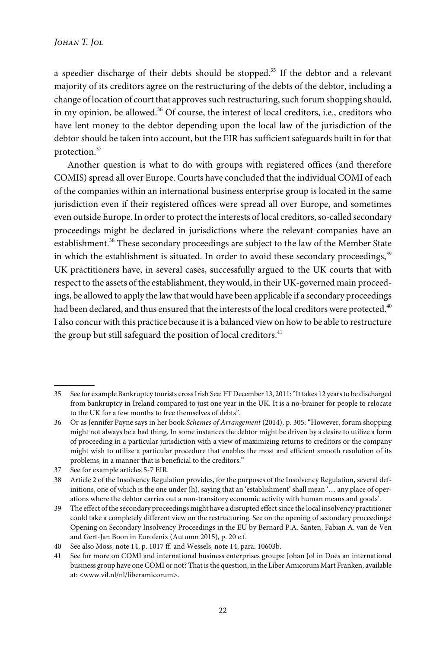a speedier discharge of their debts should be stopped.<sup>35</sup> If the debtor and a relevant majority of its creditors agree on the restructuring of the debts of the debtor, including a change of location of court that approves such restructuring, such forum shopping should, in my opinion, be allowed. $36$  Of course, the interest of local creditors, i.e., creditors who have lent money to the debtor depending upon the local law of the jurisdiction of the debtor should be taken into account, but the EIR has sufficient safeguards built in for that protection.<sup>37</sup>

Another question is what to do with groups with registered offices (and therefore COMIS) spread all over Europe. Courts have concluded that the individual COMI of each of the companies within an international business enterprise group is located in the same jurisdiction even if their registered offices were spread all over Europe, and sometimes even outside Europe. In order to protect the interests of local creditors, so-called secondary proceedings might be declared in jurisdictions where the relevant companies have an establishment.<sup>38</sup> These secondary proceedings are subject to the law of the Member State in which the establishment is situated. In order to avoid these secondary proceedings,<sup>39</sup> UK practitioners have, in several cases, successfully argued to the UK courts that with respect to the assets of the establishment, they would, in their UK-governed main proceedings, be allowed to apply the law that would have been applicable if a secondary proceedings had been declared, and thus ensured that the interests of the local creditors were protected.<sup>40</sup> I also concur with this practice because it is a balanced view on how to be able to restructure the group but still safeguard the position of local creditors. $41$ 

<sup>35</sup> See for example Bankruptcy tourists cross Irish Sea: FT December 13, 2011:"It takes 12 years to be discharged from bankruptcy in Ireland compared to just one year in the UK. It is a no-brainer for people to relocate to the UK for a few months to free themselves of debts".

<sup>36</sup> Or as Jennifer Payne says in her book Schemes of Arrangement (2014), p. 305: "However, forum shopping might not always be a bad thing. In some instances the debtor might be driven by a desire to utilize a form of proceeding in a particular jurisdiction with a view of maximizing returns to creditors or the company might wish to utilize a particular procedure that enables the most and efficient smooth resolution of its problems, in a manner that is beneficial to the creditors."

<sup>37</sup> See for example articles 5-7 EIR.

<sup>38</sup> Article 2 of the Insolvency Regulation provides, for the purposes of the Insolvency Regulation, several definitions, one of which is the one under (h), saying that an 'establishment' shall mean '… any place of operations where the debtor carries out a non-transitory economic activity with human means and goods'.

<sup>39</sup> The effect of the secondary proceedings might have a disrupted effect since the local insolvency practitioner could take a completely different view on the restructuring. See on the opening of secondary proceedings: Opening on Secondary Insolvency Proceedings in the EU by Bernard P.A. Santen, Fabian A. van de Ven and Gert-Jan Boon in Eurofenix (Autumn 2015), p. 20 e.f.

<sup>40</sup> See also Moss, note 14, p. 1017 ff. and Wessels, note 14, para. 10603b.

<sup>41</sup> See for more on COMI and international business enterprises groups: Johan Jol in Does an international business group have one COMI or not? That is the question, in the Liber Amicorum Mart Franken, available at: <www.vil.nl/nl/liberamicorum>.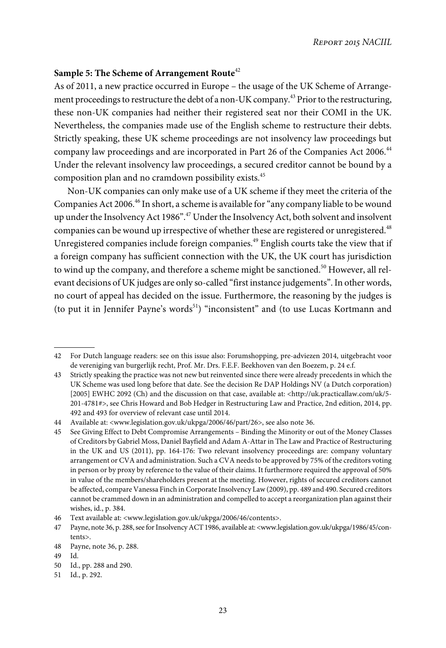## **Sample 5: The Scheme of Arrangement Route**<sup>42</sup>

As of 2011, a new practice occurred in Europe – the usage of the UK Scheme of Arrangement proceedings to restructure the debt of a non-UK company.<sup>43</sup> Prior to the restructuring, these non-UK companies had neither their registered seat nor their COMI in the UK. Nevertheless, the companies made use of the English scheme to restructure their debts. Strictly speaking, these UK scheme proceedings are not insolvency law proceedings but company law proceedings and are incorporated in Part 26 of the Companies Act 2006.<sup>44</sup> Under the relevant insolvency law proceedings, a secured creditor cannot be bound by a composition plan and no cramdown possibility exists.<sup>45</sup>

Non-UK companies can only make use of a UK scheme if they meet the criteria of the Companies Act 2006.<sup>46</sup> In short, a scheme is available for "any company liable to be wound up under the Insolvency Act 1986".<sup>47</sup> Under the Insolvency Act, both solvent and insolvent companies can be wound up irrespective of whether these are registered or unregistered.<sup>48</sup> Unregistered companies include foreign companies.<sup>49</sup> English courts take the view that if a foreign company has sufficient connection with the UK, the UK court has jurisdiction to wind up the company, and therefore a scheme might be sanctioned.<sup>50</sup> However, all relevant decisions of UK judges are only so-called "first instance judgements". In other words, no court of appeal has decided on the issue. Furthermore, the reasoning by the judges is (to put it in Jennifer Payne's words $51$ ) "inconsistent" and (to use Lucas Kortmann and

<sup>42</sup> For Dutch language readers: see on this issue also: Forumshopping, pre-adviezen 2014, uitgebracht voor de vereniging van burgerlijk recht, Prof. Mr. Drs. F.E.F. Beekhoven van den Boezem, p. 24 e.f.

<sup>43</sup> Strictly speaking the practice was not new but reinvented since there were already precedents in which the UK Scheme was used long before that date. See the decision Re DAP Holdings NV (a Dutch corporation) [2005] EWHC 2092 (Ch) and the discussion on that case, available at: <http://uk.practicallaw.com/uk/5- 201-4781#>, see Chris Howard and Bob Hedger in Restructuring Law and Practice, 2nd edition, 2014, pp. 492 and 493 for overview of relevant case until 2014.

<sup>44</sup> Available at: <www.legislation.gov.uk/ukpga/2006/46/part/26>, see also note 36.

<sup>45</sup> See Giving Effect to Debt Compromise Arrangements – Binding the Minority or out of the Money Classes of Creditors by Gabriel Moss, Daniel Bayfield and Adam A-Attar in The Law and Practice of Restructuring in the UK and US (2011), pp. 164-176: Two relevant insolvency proceedings are: company voluntary arrangement or CVA and administration. Such a CVA needs to be approved by 75% of the creditors voting in person or by proxy by reference to the value of their claims. It furthermore required the approval of 50% in value of the members/shareholders present at the meeting. However, rights of secured creditors cannot be affected, compare Vanessa Finch in Corporate Insolvency Law (2009), pp. 489 and 490. Secured creditors cannot be crammed down in an administration and compelled to accept a reorganization plan against their wishes, id., p. 384.

<sup>46</sup> Text available at: <www.legislation.gov.uk/ukpga/2006/46/contents>.

<sup>47</sup> Payne, note 36, p. 288, see for Insolvency ACT 1986, available at: <www.legislation.gov.uk/ukpga/1986/45/contents>.

<sup>48</sup> Payne, note 36, p. 288.

<sup>49</sup> Id.

<sup>50</sup> Id., pp. 288 and 290.

<sup>51</sup> Id., p. 292.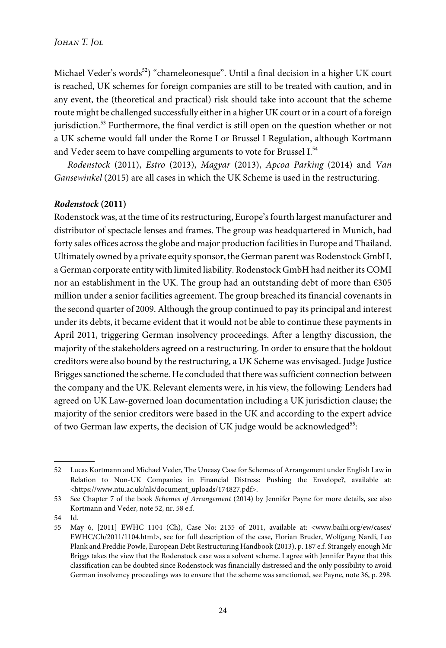Michael Veder's words<sup>52</sup>) "chameleonesque". Until a final decision in a higher UK court is reached, UK schemes for foreign companies are still to be treated with caution, and in any event, the (theoretical and practical) risk should take into account that the scheme route might be challenged successfully either in a higher UK court or in a court of a foreign jurisdiction.<sup>53</sup> Furthermore, the final verdict is still open on the question whether or not a UK scheme would fall under the Rome I or Brussel I Regulation, although Kortmann and Veder seem to have compelling arguments to vote for Brussel I.<sup>54</sup>

Rodenstock (2011), Estro (2013), Magyar (2013), Apcoa Parking (2014) and Van Gansewinkel (2015) are all cases in which the UK Scheme is used in the restructuring.

#### *Rodenstock* **(2011)**

Rodenstock was, at the time of its restructuring, Europe's fourth largest manufacturer and distributor of spectacle lenses and frames. The group was headquartered in Munich, had forty sales offices across the globe and major production facilities in Europe and Thailand. Ultimately owned by a private equity sponsor, the German parent was Rodenstock GmbH, a German corporate entity with limited liability. Rodenstock GmbH had neither its COMI nor an establishment in the UK. The group had an outstanding debt of more than €305 million under a senior facilities agreement. The group breached its financial covenants in the second quarter of 2009. Although the group continued to pay its principal and interest under its debts, it became evident that it would not be able to continue these payments in April 2011, triggering German insolvency proceedings. After a lengthy discussion, the majority of the stakeholders agreed on a restructuring. In order to ensure that the holdout creditors were also bound by the restructuring, a UK Scheme was envisaged. Judge Justice Brigges sanctioned the scheme. He concluded that there was sufficient connection between the company and the UK. Relevant elements were, in his view, the following: Lenders had agreed on UK Law-governed loan documentation including a UK jurisdiction clause; the majority of the senior creditors were based in the UK and according to the expert advice of two German law experts, the decision of UK judge would be acknowledged $^{55}\!$ :

<sup>52</sup> Lucas Kortmann and Michael Veder, The Uneasy Case for Schemes of Arrangement under English Law in Relation to Non-UK Companies in Financial Distress: Pushing the Envelope?, available at: <https://www.ntu.ac.uk/nls/document\_uploads/174827.pdf>.

<sup>53</sup> See Chapter 7 of the book Schemes of Arrangement (2014) by Jennifer Payne for more details, see also Kortmann and Veder, note 52, nr. 58 e.f.

<sup>54</sup> Id.

<sup>55</sup> May 6, [2011] EWHC 1104 (Ch), Case No: 2135 of 2011, available at: <www.bailii.org/ew/cases/ EWHC/Ch/2011/1104.html>, see for full description of the case, Florian Bruder, Wolfgang Nardi, Leo Plank and Freddie Powle, European Debt Restructuring Handbook (2013), p. 187 e.f. Strangely enough Mr Briggs takes the view that the Rodenstock case was a solvent scheme. I agree with Jennifer Payne that this classification can be doubted since Rodenstock was financially distressed and the only possibility to avoid German insolvency proceedings was to ensure that the scheme was sanctioned, see Payne, note 36, p. 298.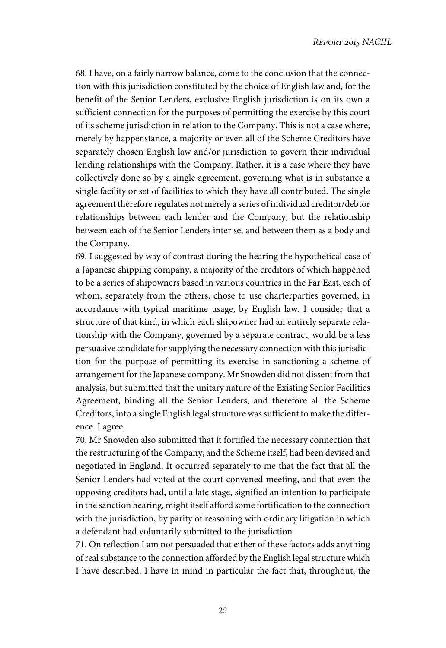68. I have, on a fairly narrow balance, come to the conclusion that the connection with this jurisdiction constituted by the choice of English law and, for the benefit of the Senior Lenders, exclusive English jurisdiction is on its own a sufficient connection for the purposes of permitting the exercise by this court of its scheme jurisdiction in relation to the Company. This is not a case where, merely by happenstance, a majority or even all of the Scheme Creditors have separately chosen English law and/or jurisdiction to govern their individual lending relationships with the Company. Rather, it is a case where they have collectively done so by a single agreement, governing what is in substance a single facility or set of facilities to which they have all contributed. The single agreement therefore regulates not merely a series of individual creditor/debtor relationships between each lender and the Company, but the relationship between each of the Senior Lenders inter se, and between them as a body and the Company.

69. I suggested by way of contrast during the hearing the hypothetical case of a Japanese shipping company, a majority of the creditors of which happened to be a series of shipowners based in various countries in the Far East, each of whom, separately from the others, chose to use charterparties governed, in accordance with typical maritime usage, by English law. I consider that a structure of that kind, in which each shipowner had an entirely separate relationship with the Company, governed by a separate contract, would be a less persuasive candidate for supplying the necessary connection with this jurisdiction for the purpose of permitting its exercise in sanctioning a scheme of arrangement for the Japanese company. Mr Snowden did not dissent from that analysis, but submitted that the unitary nature of the Existing Senior Facilities Agreement, binding all the Senior Lenders, and therefore all the Scheme Creditors, into a single English legal structure was sufficient to make the difference. I agree.

70. Mr Snowden also submitted that it fortified the necessary connection that the restructuring of the Company, and the Scheme itself, had been devised and negotiated in England. It occurred separately to me that the fact that all the Senior Lenders had voted at the court convened meeting, and that even the opposing creditors had, until a late stage, signified an intention to participate in the sanction hearing, might itself afford some fortification to the connection with the jurisdiction, by parity of reasoning with ordinary litigation in which a defendant had voluntarily submitted to the jurisdiction.

71. On reflection I am not persuaded that either of these factors adds anything of real substance to the connection afforded by the English legal structure which I have described. I have in mind in particular the fact that, throughout, the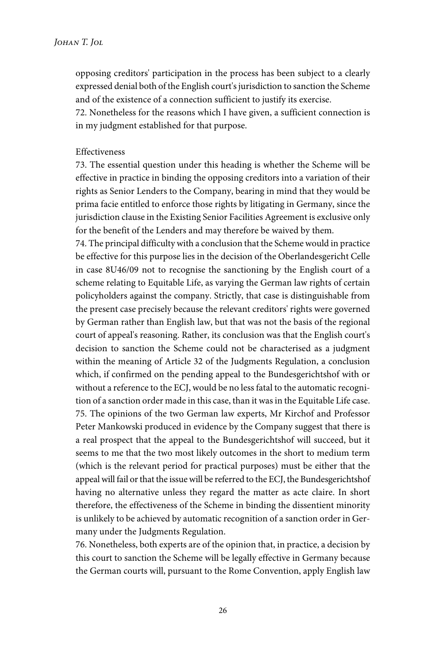opposing creditors' participation in the process has been subject to a clearly expressed denial both of the English court's jurisdiction to sanction the Scheme and of the existence of a connection sufficient to justify its exercise.

72. Nonetheless for the reasons which I have given, a sufficient connection is in my judgment established for that purpose.

#### Effectiveness

73. The essential question under this heading is whether the Scheme will be effective in practice in binding the opposing creditors into a variation of their rights as Senior Lenders to the Company, bearing in mind that they would be prima facie entitled to enforce those rights by litigating in Germany, since the jurisdiction clause in the Existing Senior Facilities Agreement is exclusive only for the benefit of the Lenders and may therefore be waived by them.

74. The principal difficulty with a conclusion that the Scheme would in practice be effective for this purpose lies in the decision of the Oberlandesgericht Celle in case 8U46/09 not to recognise the sanctioning by the English court of a scheme relating to Equitable Life, as varying the German law rights of certain policyholders against the company. Strictly, that case is distinguishable from the present case precisely because the relevant creditors' rights were governed by German rather than English law, but that was not the basis of the regional court of appeal's reasoning. Rather, its conclusion was that the English court's decision to sanction the Scheme could not be characterised as a judgment within the meaning of Article 32 of the Judgments Regulation, a conclusion which, if confirmed on the pending appeal to the Bundesgerichtshof with or without a reference to the ECJ, would be no less fatal to the automatic recognition of a sanction order made in this case, than it was in the Equitable Life case. 75. The opinions of the two German law experts, Mr Kirchof and Professor Peter Mankowski produced in evidence by the Company suggest that there is a real prospect that the appeal to the Bundesgerichtshof will succeed, but it seems to me that the two most likely outcomes in the short to medium term (which is the relevant period for practical purposes) must be either that the appeal will fail or that the issue will be referred to the ECJ, the Bundesgerichtshof having no alternative unless they regard the matter as acte claire. In short therefore, the effectiveness of the Scheme in binding the dissentient minority is unlikely to be achieved by automatic recognition of a sanction order in Germany under the Judgments Regulation.

76. Nonetheless, both experts are of the opinion that, in practice, a decision by this court to sanction the Scheme will be legally effective in Germany because the German courts will, pursuant to the Rome Convention, apply English law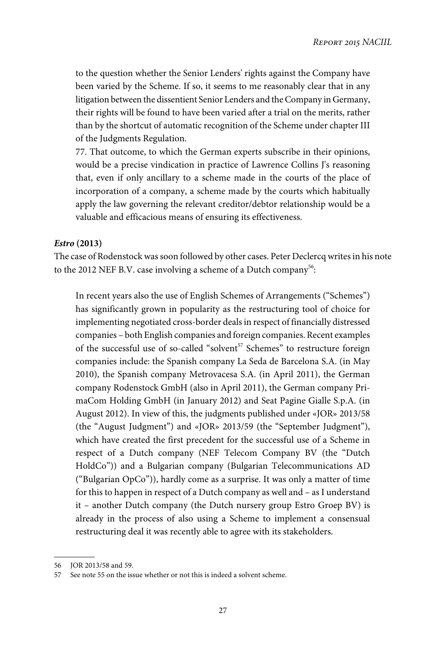to the question whether the Senior Lenders' rights against the Company have been varied by the Scheme. If so, it seems to me reasonably clear that in any litigation between the dissentient Senior Lenders and the Company in Germany, their rights will be found to have been varied after a trial on the merits, rather than by the shortcut of automatic recognition of the Scheme under chapter III of the Judgments Regulation.

77. That outcome, to which the German experts subscribe in their opinions, would be a precise vindication in practice of Lawrence Collins J's reasoning that, even if only ancillary to a scheme made in the courts of the place of incorporation of a company, a scheme made by the courts which habitually apply the law governing the relevant creditor/debtor relationship would be a valuable and efficacious means of ensuring its effectiveness.

### *Estro* **(2013)**

The case of Rodenstock was soon followed by other cases. Peter Declercq writes in his note to the 2012 NEF B.V. case involving a scheme of a Dutch company $^{56}\!$ :

In recent years also the use of English Schemes of Arrangements ("Schemes") has significantly grown in popularity as the restructuring tool of choice for implementing negotiated cross-border deals in respect of financially distressed companies – both English companies and foreign companies. Recent examples of the successful use of so-called "solvent<sup>57</sup> Schemes" to restructure foreign companies include: the Spanish company La Seda de Barcelona S.A. (in May 2010), the Spanish company Metrovacesa S.A. (in April 2011), the German company Rodenstock GmbH (also in April 2011), the German company PrimaCom Holding GmbH (in January 2012) and Seat Pagine Gialle S.p.A. (in August 2012). In view of this, the judgments published under «JOR» 2013/58 (the "August Judgment") and «JOR» 2013/59 (the "September Judgment"), which have created the first precedent for the successful use of a Scheme in respect of a Dutch company (NEF Telecom Company BV (the "Dutch HoldCo")) and a Bulgarian company (Bulgarian Telecommunications AD ("Bulgarian OpCo")), hardly come as a surprise. It was only a matter of time for this to happen in respect of a Dutch company as well and – as I understand it – another Dutch company (the Dutch nursery group Estro Groep BV) is already in the process of also using a Scheme to implement a consensual restructuring deal it was recently able to agree with its stakeholders.

<sup>56</sup> JOR 2013/58 and 59.

<sup>57</sup> See note 55 on the issue whether or not this is indeed a solvent scheme.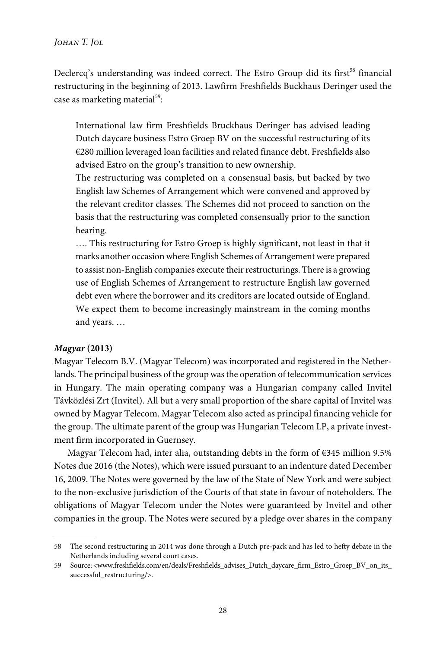Declercq's understanding was indeed correct. The Estro Group did its first<sup>58</sup> financial restructuring in the beginning of 2013. Lawfirm Freshfields Buckhaus Deringer used the case as marketing material<sup>59</sup>:

International law firm Freshfields Bruckhaus Deringer has advised leading Dutch daycare business Estro Groep BV on the successful restructuring of its €280 million leveraged loan facilities and related finance debt. Freshfields also advised Estro on the group's transition to new ownership.

The restructuring was completed on a consensual basis, but backed by two English law Schemes of Arrangement which were convened and approved by the relevant creditor classes. The Schemes did not proceed to sanction on the basis that the restructuring was completed consensually prior to the sanction hearing.

…. This restructuring for Estro Groep is highly significant, not least in that it marks another occasion where English Schemes of Arrangement were prepared to assist non-English companies execute their restructurings. There is a growing use of English Schemes of Arrangement to restructure English law governed debt even where the borrower and its creditors are located outside of England. We expect them to become increasingly mainstream in the coming months and years. …

#### *Magyar* **(2013)**

Magyar Telecom B.V. (Magyar Telecom) was incorporated and registered in the Netherlands. The principal business of the group was the operation of telecommunication services in Hungary. The main operating company was a Hungarian company called Invitel Távközlési Zrt (Invitel). All but a very small proportion of the share capital of Invitel was owned by Magyar Telecom. Magyar Telecom also acted as principal financing vehicle for the group. The ultimate parent of the group was Hungarian Telecom LP, a private investment firm incorporated in Guernsey.

Magyar Telecom had, inter alia, outstanding debts in the form of €345 million 9.5% Notes due 2016 (the Notes), which were issued pursuant to an indenture dated December 16, 2009. The Notes were governed by the law of the State of New York and were subject to the non-exclusive jurisdiction of the Courts of that state in favour of noteholders. The obligations of Magyar Telecom under the Notes were guaranteed by Invitel and other companies in the group. The Notes were secured by a pledge over shares in the company

<sup>58</sup> The second restructuring in 2014 was done through a Dutch pre-pack and has led to hefty debate in the Netherlands including several court cases.

<sup>59</sup> Source: <www.freshfields.com/en/deals/Freshfields\_advises\_Dutch\_daycare\_firm\_Estro\_Groep\_BV\_on\_its\_ successful\_restructuring/>.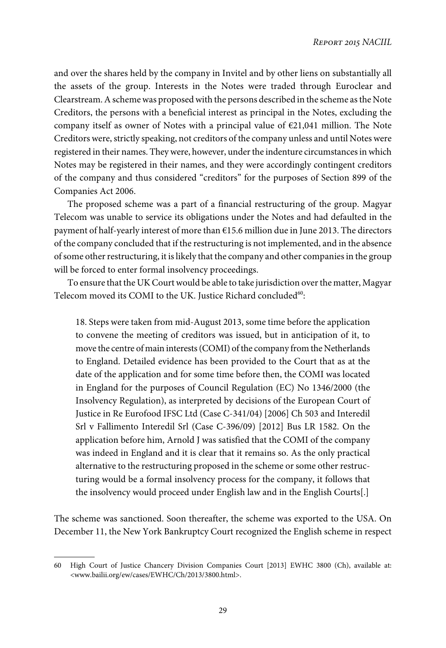and over the shares held by the company in Invitel and by other liens on substantially all the assets of the group. Interests in the Notes were traded through Euroclear and Clearstream. A scheme was proposed with the persons described in the scheme as the Note Creditors, the persons with a beneficial interest as principal in the Notes, excluding the company itself as owner of Notes with a principal value of  $E$ 21,041 million. The Note Creditors were, strictly speaking, not creditors of the company unless and until Notes were registered in their names. They were, however, under the indenture circumstances in which Notes may be registered in their names, and they were accordingly contingent creditors of the company and thus considered "creditors" for the purposes of Section 899 of the Companies Act 2006.

The proposed scheme was a part of a financial restructuring of the group. Magyar Telecom was unable to service its obligations under the Notes and had defaulted in the payment of half-yearly interest of more than  $€15.6$  million due in June 2013. The directors of the company concluded that if the restructuring is not implemented, and in the absence of some other restructuring, it is likely that the company and other companies in the group will be forced to enter formal insolvency proceedings.

To ensure that the UK Court would be able to take jurisdiction over the matter, Magyar Telecom moved its COMI to the UK. Justice Richard concluded $^{\rm 60}$ :

18. Steps were taken from mid-August 2013, some time before the application to convene the meeting of creditors was issued, but in anticipation of it, to move the centre of main interests (COMI) of the company from the Netherlands to England. Detailed evidence has been provided to the Court that as at the date of the application and for some time before then, the COMI was located in England for the purposes of Council Regulation (EC) No 1346/2000 (the Insolvency Regulation), as interpreted by decisions of the European Court of Justice in Re Eurofood IFSC Ltd (Case C-341/04) [2006] Ch 503 and Interedil Srl v Fallimento Interedil Srl (Case C-396/09) [2012] Bus LR 1582. On the application before him, Arnold J was satisfied that the COMI of the company was indeed in England and it is clear that it remains so. As the only practical alternative to the restructuring proposed in the scheme or some other restructuring would be a formal insolvency process for the company, it follows that the insolvency would proceed under English law and in the English Courts[.]

The scheme was sanctioned. Soon thereafter, the scheme was exported to the USA. On December 11, the New York Bankruptcy Court recognized the English scheme in respect

<sup>60</sup> High Court of Justice Chancery Division Companies Court [2013] EWHC 3800 (Ch), available at: <www.bailii.org/ew/cases/EWHC/Ch/2013/3800.html>.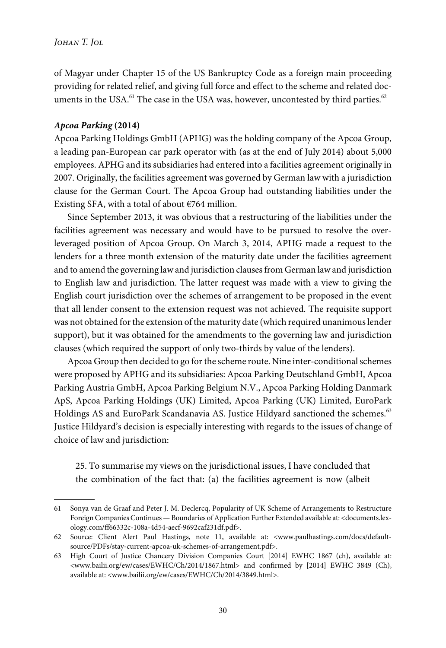of Magyar under Chapter 15 of the US Bankruptcy Code as a foreign main proceeding providing for related relief, and giving full force and effect to the scheme and related documents in the USA. $^{61}$  The case in the USA was, however, uncontested by third parties. $^{62}$ 

#### *Apcoa Parking* **(2014)**

Apcoa Parking Holdings GmbH (APHG) was the holding company of the Apcoa Group, a leading pan-European car park operator with (as at the end of July 2014) about 5,000 employees. APHG and its subsidiaries had entered into a facilities agreement originally in 2007. Originally, the facilities agreement was governed by German law with a jurisdiction clause for the German Court. The Apcoa Group had outstanding liabilities under the Existing SFA, with a total of about  $\epsilon$ 764 million.

Since September 2013, it was obvious that a restructuring of the liabilities under the facilities agreement was necessary and would have to be pursued to resolve the overleveraged position of Apcoa Group. On March 3, 2014, APHG made a request to the lenders for a three month extension of the maturity date under the facilities agreement and to amend the governing law and jurisdiction clauses from German law and jurisdiction to English law and jurisdiction. The latter request was made with a view to giving the English court jurisdiction over the schemes of arrangement to be proposed in the event that all lender consent to the extension request was not achieved. The requisite support was not obtained for the extension of the maturity date (which required unanimous lender support), but it was obtained for the amendments to the governing law and jurisdiction clauses (which required the support of only two-thirds by value of the lenders).

Apcoa Group then decided to go for the scheme route. Nine inter-conditional schemes were proposed by APHG and its subsidiaries: Apcoa Parking Deutschland GmbH, Apcoa Parking Austria GmbH, Apcoa Parking Belgium N.V., Apcoa Parking Holding Danmark ApS, Apcoa Parking Holdings (UK) Limited, Apcoa Parking (UK) Limited, EuroPark Holdings AS and EuroPark Scandanavia AS. Justice Hildyard sanctioned the schemes.<sup>63</sup> Justice Hildyard's decision is especially interesting with regards to the issues of change of choice of law and jurisdiction:

25. To summarise my views on the jurisdictional issues, I have concluded that the combination of the fact that: (a) the facilities agreement is now (albeit

<sup>61</sup> Sonya van de Graaf and Peter J. M. Declercq, Popularity of UK Scheme of Arrangements to Restructure Foreign Companies Continues — Boundaries of Application Further Extended available at: <documents.lexology.com/ff66332c-108a-4d54-aecf-9692caf231df.pdf>.

<sup>62</sup> Source: Client Alert Paul Hastings, note 11, available at: <www.paulhastings.com/docs/defaultsource/PDFs/stay-current-apcoa-uk-schemes-of-arrangement.pdf>.

<sup>63</sup> High Court of Justice Chancery Division Companies Court [2014] EWHC 1867 (ch), available at: <www.bailii.org/ew/cases/EWHC/Ch/2014/1867.html> and confirmed by [2014] EWHC 3849 (Ch), available at: <www.bailii.org/ew/cases/EWHC/Ch/2014/3849.html>.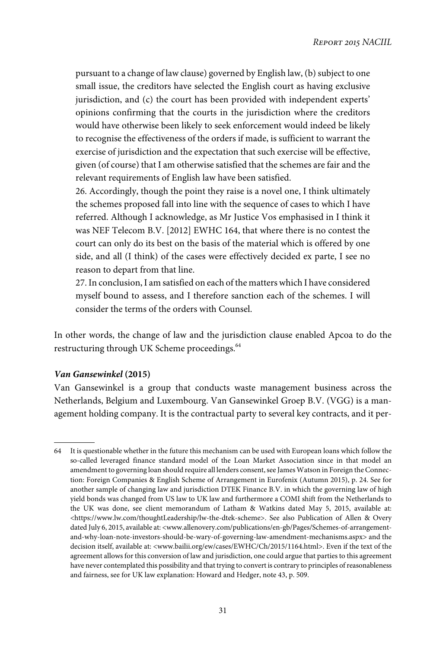pursuant to a change of law clause) governed by English law, (b) subject to one small issue, the creditors have selected the English court as having exclusive jurisdiction, and (c) the court has been provided with independent experts' opinions confirming that the courts in the jurisdiction where the creditors would have otherwise been likely to seek enforcement would indeed be likely to recognise the effectiveness of the orders if made, is sufficient to warrant the exercise of jurisdiction and the expectation that such exercise will be effective, given (of course) that I am otherwise satisfied that the schemes are fair and the relevant requirements of English law have been satisfied.

26. Accordingly, though the point they raise is a novel one, I think ultimately the schemes proposed fall into line with the sequence of cases to which I have referred. Although I acknowledge, as Mr Justice Vos emphasised in I think it was NEF Telecom B.V. [2012] EWHC 164, that where there is no contest the court can only do its best on the basis of the material which is offered by one side, and all (I think) of the cases were effectively decided ex parte, I see no reason to depart from that line.

27. In conclusion, I am satisfied on each of the matters which I have considered myself bound to assess, and I therefore sanction each of the schemes. I will consider the terms of the orders with Counsel.

In other words, the change of law and the jurisdiction clause enabled Apcoa to do the restructuring through UK Scheme proceedings.<sup>64</sup>

## *Van Gansewinkel* **(2015)**

Van Gansewinkel is a group that conducts waste management business across the Netherlands, Belgium and Luxembourg. Van Gansewinkel Groep B.V. (VGG) is a management holding company. It is the contractual party to several key contracts, and it per-

<sup>64</sup> It is questionable whether in the future this mechanism can be used with European loans which follow the so-called leveraged finance standard model of the Loan Market Association since in that model an amendment to governing loan should require all lenders consent, see James Watson in Foreign the Connection: Foreign Companies & English Scheme of Arrangement in Eurofenix (Autumn 2015), p. 24. See for another sample of changing law and jurisdiction DTEK Finance B.V. in which the governing law of high yield bonds was changed from US law to UK law and furthermore a COMI shift from the Netherlands to the UK was done, see client memorandum of Latham & Watkins dated May 5, 2015, available at: <https://www.lw.com/thoughtLeadership/lw-the-dtek-scheme>. See also Publication of Allen & Overy dated July 6, 2015, available at: <www.allenovery.com/publications/en-gb/Pages/Schemes-of-arrangementand-why-loan-note-investors-should-be-wary-of-governing-law-amendment-mechanisms.aspx> and the decision itself, available at: <www.bailii.org/ew/cases/EWHC/Ch/2015/1164.html>. Even if the text of the agreement allows for this conversion of law and jurisdiction, one could argue that parties to this agreement have never contemplated this possibility and that trying to convert is contrary to principles of reasonableness and fairness, see for UK law explanation: Howard and Hedger, note 43, p. 509.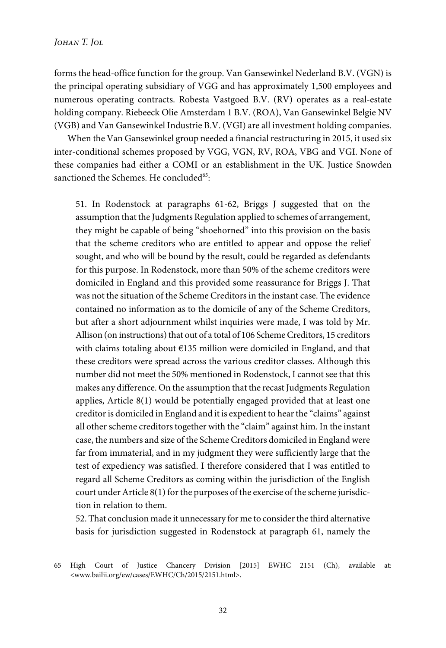forms the head-office function for the group. Van Gansewinkel Nederland B.V. (VGN) is the principal operating subsidiary of VGG and has approximately 1,500 employees and numerous operating contracts. Robesta Vastgoed B.V. (RV) operates as a real-estate holding company. Riebeeck Olie Amsterdam 1 B.V. (ROA), Van Gansewinkel Belgie NV (VGB) and Van Gansewinkel Industrie B.V. (VGI) are all investment holding companies.

When the Van Gansewinkel group needed a financial restructuring in 2015, it used six inter-conditional schemes proposed by VGG, VGN, RV, ROA, VBG and VGI. None of these companies had either a COMI or an establishment in the UK. Justice Snowden sanctioned the Schemes. He concluded<sup>65</sup>:

51. In Rodenstock at paragraphs 61-62, Briggs J suggested that on the assumption that the Judgments Regulation applied to schemes of arrangement, they might be capable of being "shoehorned" into this provision on the basis that the scheme creditors who are entitled to appear and oppose the relief sought, and who will be bound by the result, could be regarded as defendants for this purpose. In Rodenstock, more than 50% of the scheme creditors were domiciled in England and this provided some reassurance for Briggs J. That was not the situation of the Scheme Creditors in the instant case. The evidence contained no information as to the domicile of any of the Scheme Creditors, but after a short adjournment whilst inquiries were made, I was told by Mr. Allison (on instructions) that out of a total of 106 Scheme Creditors, 15 creditors with claims totaling about €135 million were domiciled in England, and that these creditors were spread across the various creditor classes. Although this number did not meet the 50% mentioned in Rodenstock, I cannot see that this makes any difference. On the assumption that the recast Judgments Regulation applies, Article 8(1) would be potentially engaged provided that at least one creditor is domiciled in England and it is expedient to hear the "claims" against all other scheme creditors together with the "claim" against him. In the instant case, the numbers and size of the Scheme Creditors domiciled in England were far from immaterial, and in my judgment they were sufficiently large that the test of expediency was satisfied. I therefore considered that I was entitled to regard all Scheme Creditors as coming within the jurisdiction of the English court under Article 8(1) for the purposes of the exercise of the scheme jurisdiction in relation to them.

52. That conclusion made it unnecessary for me to consider the third alternative basis for jurisdiction suggested in Rodenstock at paragraph 61, namely the

<sup>65</sup> High Court of Justice Chancery Division [2015] EWHC 2151 (Ch), available at: <www.bailii.org/ew/cases/EWHC/Ch/2015/2151.html>.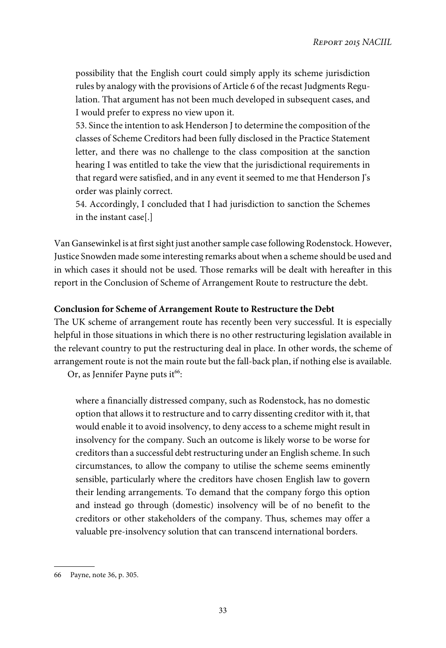possibility that the English court could simply apply its scheme jurisdiction rules by analogy with the provisions of Article 6 of the recast Judgments Regulation. That argument has not been much developed in subsequent cases, and I would prefer to express no view upon it.

53. Since the intention to ask Henderson J to determine the composition of the classes of Scheme Creditors had been fully disclosed in the Practice Statement letter, and there was no challenge to the class composition at the sanction hearing I was entitled to take the view that the jurisdictional requirements in that regard were satisfied, and in any event it seemed to me that Henderson J's order was plainly correct.

54. Accordingly, I concluded that I had jurisdiction to sanction the Schemes in the instant case[.]

Van Gansewinkel is at first sight just another sample case following Rodenstock. However, Justice Snowden made some interesting remarks about when a scheme should be used and in which cases it should not be used. Those remarks will be dealt with hereafter in this report in the Conclusion of Scheme of Arrangement Route to restructure the debt.

### **Conclusion for Scheme of Arrangement Route to Restructure the Debt**

The UK scheme of arrangement route has recently been very successful. It is especially helpful in those situations in which there is no other restructuring legislation available in the relevant country to put the restructuring deal in place. In other words, the scheme of arrangement route is not the main route but the fall-back plan, if nothing else is available. Or, as Jennifer Payne puts it<sup>66</sup>:

where a financially distressed company, such as Rodenstock, has no domestic option that allows it to restructure and to carry dissenting creditor with it, that would enable it to avoid insolvency, to deny access to a scheme might result in insolvency for the company. Such an outcome is likely worse to be worse for creditors than a successful debt restructuring under an English scheme. In such circumstances, to allow the company to utilise the scheme seems eminently sensible, particularly where the creditors have chosen English law to govern their lending arrangements. To demand that the company forgo this option and instead go through (domestic) insolvency will be of no benefit to the creditors or other stakeholders of the company. Thus, schemes may offer a valuable pre-insolvency solution that can transcend international borders.

<sup>66</sup> Payne, note 36, p. 305.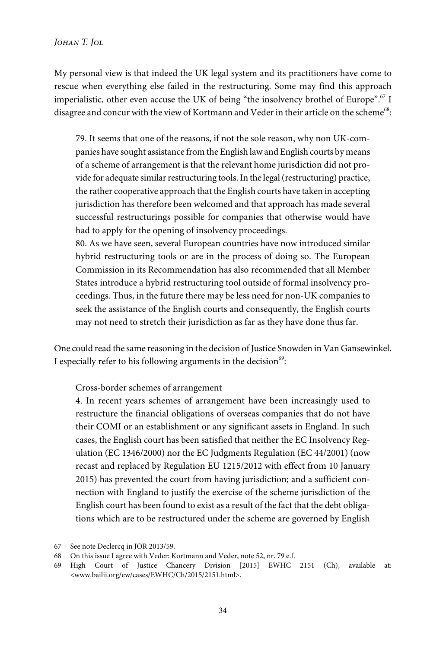My personal view is that indeed the UK legal system and its practitioners have come to rescue when everything else failed in the restructuring. Some may find this approach imperialistic, other even accuse the UK of being "the insolvency brothel of Europe".<sup>67</sup> I disagree and concur with the view of Kortmann and Veder in their article on the scheme $^{68}\!$ :

79. It seems that one of the reasons, if not the sole reason, why non UK-companies have sought assistance from the English law and English courts by means of a scheme of arrangement is that the relevant home jurisdiction did not provide for adequate similar restructuring tools. In the legal (restructuring) practice, the rather cooperative approach that the English courts have taken in accepting jurisdiction has therefore been welcomed and that approach has made several successful restructurings possible for companies that otherwise would have had to apply for the opening of insolvency proceedings.

80. As we have seen, several European countries have now introduced similar hybrid restructuring tools or are in the process of doing so. The European Commission in its Recommendation has also recommended that all Member States introduce a hybrid restructuring tool outside of formal insolvency proceedings. Thus, in the future there may be less need for non-UK companies to seek the assistance of the English courts and consequently, the English courts may not need to stretch their jurisdiction as far as they have done thus far.

One could read the same reasoning in the decision of Justice Snowden in Van Gansewinkel. I especially refer to his following arguments in the decision $^{69}$ :

Cross-border schemes of arrangement

4. In recent years schemes of arrangement have been increasingly used to restructure the financial obligations of overseas companies that do not have their COMI or an establishment or any significant assets in England. In such cases, the English court has been satisfied that neither the EC Insolvency Regulation (EC 1346/2000) nor the EC Judgments Regulation (EC 44/2001) (now recast and replaced by Regulation EU 1215/2012 with effect from 10 January 2015) has prevented the court from having jurisdiction; and a sufficient connection with England to justify the exercise of the scheme jurisdiction of the English court has been found to exist as a result of the fact that the debt obligations which are to be restructured under the scheme are governed by English

<sup>67</sup> See note Declercq in JOR 2013/59.

<sup>68</sup> On this issue I agree with Veder: Kortmann and Veder, note 52, nr. 79 e.f.

<sup>69</sup> High Court of Justice Chancery Division [2015] EWHC 2151 (Ch), available at: <www.bailii.org/ew/cases/EWHC/Ch/2015/2151.html>.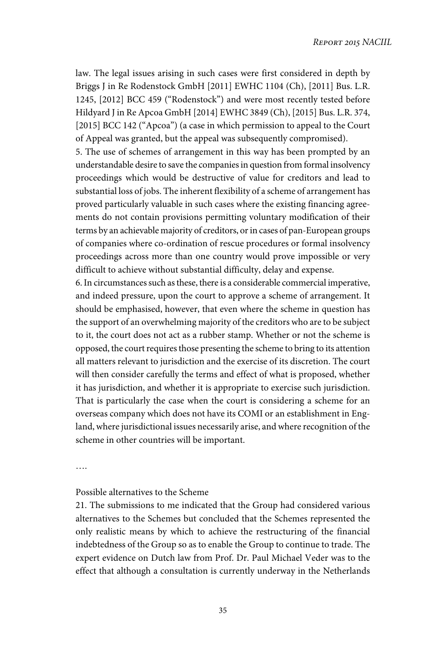law. The legal issues arising in such cases were first considered in depth by Briggs J in Re Rodenstock GmbH [2011] EWHC 1104 (Ch), [2011] Bus. L.R. 1245, [2012] BCC 459 ("Rodenstock") and were most recently tested before Hildyard J in Re Apcoa GmbH [2014] EWHC 3849 (Ch), [2015] Bus. L.R. 374, [2015] BCC 142 ("Apcoa") (a case in which permission to appeal to the Court of Appeal was granted, but the appeal was subsequently compromised).

5. The use of schemes of arrangement in this way has been prompted by an understandable desire to save the companies in question from formal insolvency proceedings which would be destructive of value for creditors and lead to substantial loss of jobs. The inherent flexibility of a scheme of arrangement has proved particularly valuable in such cases where the existing financing agreements do not contain provisions permitting voluntary modification of their terms by an achievable majority of creditors, or in cases of pan-European groups of companies where co-ordination of rescue procedures or formal insolvency proceedings across more than one country would prove impossible or very difficult to achieve without substantial difficulty, delay and expense.

6. In circumstances such as these, there is a considerable commercial imperative, and indeed pressure, upon the court to approve a scheme of arrangement. It should be emphasised, however, that even where the scheme in question has the support of an overwhelming majority of the creditors who are to be subject to it, the court does not act as a rubber stamp. Whether or not the scheme is opposed, the court requires those presenting the scheme to bring to its attention all matters relevant to jurisdiction and the exercise of its discretion. The court will then consider carefully the terms and effect of what is proposed, whether it has jurisdiction, and whether it is appropriate to exercise such jurisdiction. That is particularly the case when the court is considering a scheme for an overseas company which does not have its COMI or an establishment in England, where jurisdictional issues necessarily arise, and where recognition of the scheme in other countries will be important.

….

### Possible alternatives to the Scheme

21. The submissions to me indicated that the Group had considered various alternatives to the Schemes but concluded that the Schemes represented the only realistic means by which to achieve the restructuring of the financial indebtedness of the Group so as to enable the Group to continue to trade. The expert evidence on Dutch law from Prof. Dr. Paul Michael Veder was to the effect that although a consultation is currently underway in the Netherlands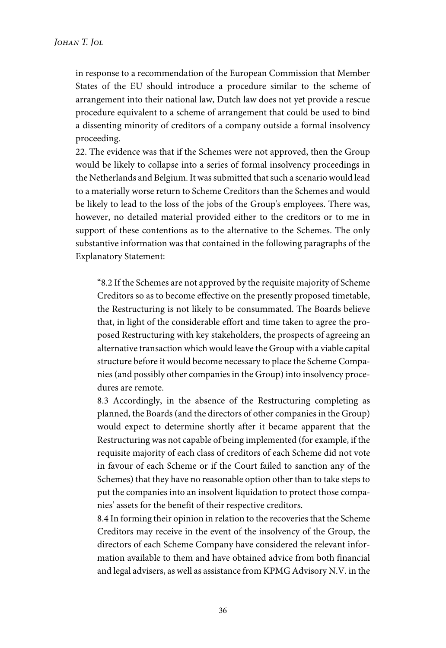in response to a recommendation of the European Commission that Member States of the EU should introduce a procedure similar to the scheme of arrangement into their national law, Dutch law does not yet provide a rescue procedure equivalent to a scheme of arrangement that could be used to bind a dissenting minority of creditors of a company outside a formal insolvency proceeding.

22. The evidence was that if the Schemes were not approved, then the Group would be likely to collapse into a series of formal insolvency proceedings in the Netherlands and Belgium. It was submitted that such a scenario would lead to a materially worse return to Scheme Creditors than the Schemes and would be likely to lead to the loss of the jobs of the Group's employees. There was, however, no detailed material provided either to the creditors or to me in support of these contentions as to the alternative to the Schemes. The only substantive information was that contained in the following paragraphs of the Explanatory Statement:

"8.2 If the Schemes are not approved by the requisite majority of Scheme Creditors so as to become effective on the presently proposed timetable, the Restructuring is not likely to be consummated. The Boards believe that, in light of the considerable effort and time taken to agree the proposed Restructuring with key stakeholders, the prospects of agreeing an alternative transaction which would leave the Group with a viable capital structure before it would become necessary to place the Scheme Companies (and possibly other companies in the Group) into insolvency procedures are remote.

8.3 Accordingly, in the absence of the Restructuring completing as planned, the Boards (and the directors of other companies in the Group) would expect to determine shortly after it became apparent that the Restructuring was not capable of being implemented (for example, if the requisite majority of each class of creditors of each Scheme did not vote in favour of each Scheme or if the Court failed to sanction any of the Schemes) that they have no reasonable option other than to take steps to put the companies into an insolvent liquidation to protect those companies' assets for the benefit of their respective creditors.

8.4 In forming their opinion in relation to the recoveries that the Scheme Creditors may receive in the event of the insolvency of the Group, the directors of each Scheme Company have considered the relevant information available to them and have obtained advice from both financial and legal advisers, as well as assistance from KPMG Advisory N.V. in the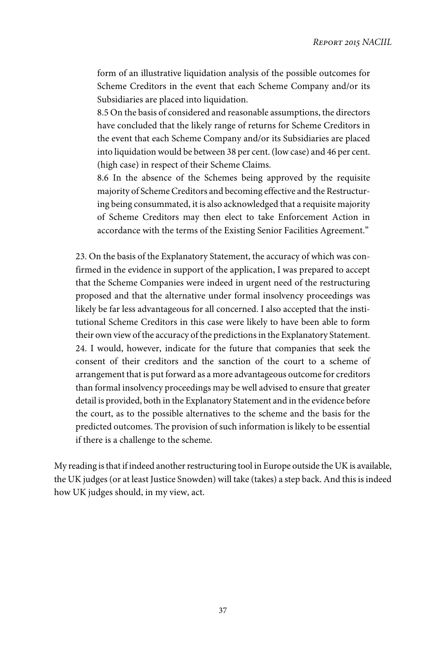form of an illustrative liquidation analysis of the possible outcomes for Scheme Creditors in the event that each Scheme Company and/or its Subsidiaries are placed into liquidation.

8.5 On the basis of considered and reasonable assumptions, the directors have concluded that the likely range of returns for Scheme Creditors in the event that each Scheme Company and/or its Subsidiaries are placed into liquidation would be between 38 per cent. (low case) and 46 per cent. (high case) in respect of their Scheme Claims.

8.6 In the absence of the Schemes being approved by the requisite majority of Scheme Creditors and becoming effective and the Restructuring being consummated, it is also acknowledged that a requisite majority of Scheme Creditors may then elect to take Enforcement Action in accordance with the terms of the Existing Senior Facilities Agreement."

23. On the basis of the Explanatory Statement, the accuracy of which was confirmed in the evidence in support of the application, I was prepared to accept that the Scheme Companies were indeed in urgent need of the restructuring proposed and that the alternative under formal insolvency proceedings was likely be far less advantageous for all concerned. I also accepted that the institutional Scheme Creditors in this case were likely to have been able to form their own view of the accuracy of the predictions in the Explanatory Statement. 24. I would, however, indicate for the future that companies that seek the consent of their creditors and the sanction of the court to a scheme of arrangement that is put forward as a more advantageous outcome for creditors than formal insolvency proceedings may be well advised to ensure that greater detail is provided, both in the Explanatory Statement and in the evidence before the court, as to the possible alternatives to the scheme and the basis for the predicted outcomes. The provision of such information is likely to be essential if there is a challenge to the scheme.

My reading is that if indeed another restructuring tool in Europe outside the UK is available, the UK judges (or at least Justice Snowden) will take (takes) a step back. And this is indeed how UK judges should, in my view, act.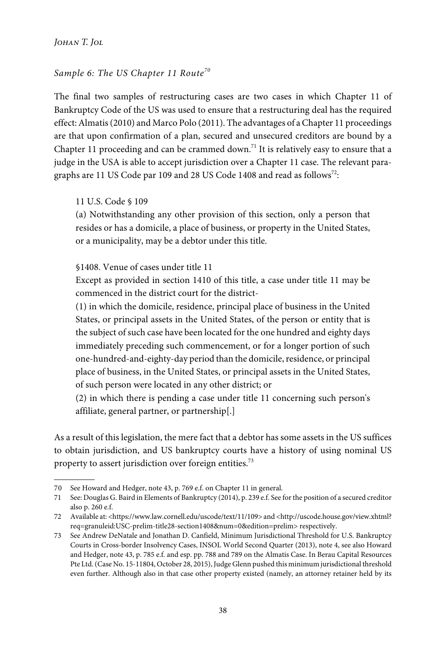*Johan T. Jol*

# Sample 6: The US Chapter 11 Route<sup>70</sup>

The final two samples of restructuring cases are two cases in which Chapter 11 of Bankruptcy Code of the US was used to ensure that a restructuring deal has the required effect: Almatis (2010) and Marco Polo (2011). The advantages of a Chapter 11 proceedings are that upon confirmation of a plan, secured and unsecured creditors are bound by a Chapter 11 proceeding and can be crammed down.<sup>71</sup> It is relatively easy to ensure that a judge in the USA is able to accept jurisdiction over a Chapter 11 case. The relevant paragraphs are 11 US Code par 109 and 28 US Code 1408 and read as follows $^{72}\!$ :

11 U.S. Code § 109

(a) Notwithstanding any other provision of this section, only a person that resides or has a domicile, a place of business, or property in the United States, or a municipality, may be a debtor under this title.

§1408. Venue of cases under title 11

Except as provided in section 1410 of this title, a case under title 11 may be commenced in the district court for the district-

(1) in which the domicile, residence, principal place of business in the United States, or principal assets in the United States, of the person or entity that is the subject of such case have been located for the one hundred and eighty days immediately preceding such commencement, or for a longer portion of such one-hundred-and-eighty-day period than the domicile, residence, or principal place of business, in the United States, or principal assets in the United States, of such person were located in any other district; or

(2) in which there is pending a case under title 11 concerning such person's affiliate, general partner, or partnership[.]

As a result of this legislation, the mere fact that a debtor has some assets in the US suffices to obtain jurisdiction, and US bankruptcy courts have a history of using nominal US property to assert jurisdiction over foreign entities.<sup>73</sup>

<sup>70</sup> See Howard and Hedger, note 43, p. 769 e.f. on Chapter 11 in general.

<sup>71</sup> See: Douglas G. Baird in Elements of Bankruptcy (2014), p. 239 e.f. See for the position of a secured creditor also p. 260 e.f.

<sup>72</sup> Available at: <https://www.law.cornell.edu/uscode/text/11/109> and <http://uscode.house.gov/view.xhtml? req=granuleid:USC-prelim-title28-section1408&num=0&edition=prelim> respectively.

<sup>73</sup> See Andrew DeNatale and Jonathan D. Canfield, Minimum Jurisdictional Threshold for U.S. Bankruptcy Courts in Cross-border Insolvency Cases, INSOL World Second Quarter (2013), note 4, see also Howard and Hedger, note 43, p. 785 e.f. and esp. pp. 788 and 789 on the Almatis Case. In Berau Capital Resources Pte Ltd. (Case No. 15-11804, October 28, 2015), Judge Glenn pushed this minimum jurisdictional threshold even further. Although also in that case other property existed (namely, an attorney retainer held by its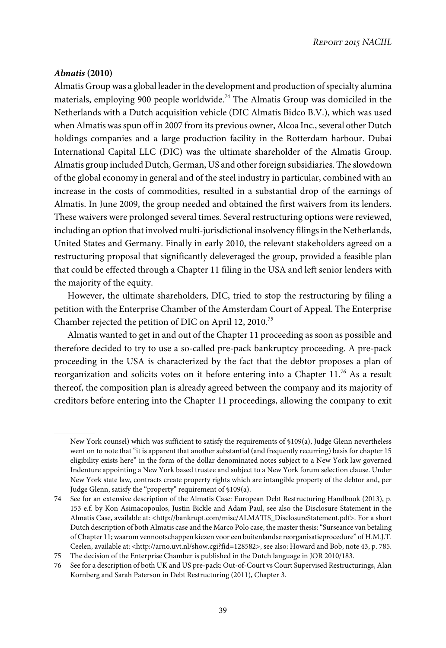## *Almatis* **(2010)**

Almatis Group was a global leader in the development and production of specialty alumina materials, employing 900 people worldwide.<sup>74</sup> The Almatis Group was domiciled in the Netherlands with a Dutch acquisition vehicle (DIC Almatis Bidco B.V.), which was used when Almatis was spun off in 2007 from its previous owner, Alcoa Inc., several other Dutch holdings companies and a large production facility in the Rotterdam harbour. Dubai International Capital LLC (DIC) was the ultimate shareholder of the Almatis Group. Almatis group included Dutch, German, US and other foreign subsidiaries. The slowdown of the global economy in general and of the steel industry in particular, combined with an increase in the costs of commodities, resulted in a substantial drop of the earnings of Almatis. In June 2009, the group needed and obtained the first waivers from its lenders. These waivers were prolonged several times. Several restructuring options were reviewed, including an option that involved multi-jurisdictional insolvency filings in the Netherlands, United States and Germany. Finally in early 2010, the relevant stakeholders agreed on a restructuring proposal that significantly deleveraged the group, provided a feasible plan that could be effected through a Chapter 11 filing in the USA and left senior lenders with the majority of the equity.

However, the ultimate shareholders, DIC, tried to stop the restructuring by filing a petition with the Enterprise Chamber of the Amsterdam Court of Appeal. The Enterprise Chamber rejected the petition of DIC on April 12, 2010.<sup>75</sup>

Almatis wanted to get in and out of the Chapter 11 proceeding as soon as possible and therefore decided to try to use a so-called pre-pack bankruptcy proceeding. A pre-pack proceeding in the USA is characterized by the fact that the debtor proposes a plan of reorganization and solicits votes on it before entering into a Chapter 11.<sup>76</sup> As a result thereof, the composition plan is already agreed between the company and its majority of creditors before entering into the Chapter 11 proceedings, allowing the company to exit

New York counsel) which was sufficient to satisfy the requirements of §109(a), Judge Glenn nevertheless went on to note that "it is apparent that another substantial (and frequently recurring) basis for chapter 15 eligibility exists here" in the form of the dollar denominated notes subject to a New York law governed Indenture appointing a New York based trustee and subject to a New York forum selection clause. Under New York state law, contracts create property rights which are intangible property of the debtor and, per Judge Glenn, satisfy the "property" requirement of §109(a).

<sup>74</sup> See for an extensive description of the Almatis Case: European Debt Restructuring Handbook (2013), p. 153 e.f. by Kon Asimacopoulos, Justin Bickle and Adam Paul, see also the Disclosure Statement in the Almatis Case, available at: <http://bankrupt.com/misc/ALMATIS\_DisclosureStatement.pdf>. For a short Dutch description of both Almatis case and the Marco Polo case, the master thesis:"Surseance van betaling of Chapter 11; waarom vennootschappen kiezen voor een buitenlandse reorganisatieprocedure" of H.M.J.T. Ceelen, available at: <http://arno.uvt.nl/show.cgi?fid=128582>, see also: Howard and Bob, note 43, p. 785.

<sup>75</sup> The decision of the Enterprise Chamber is published in the Dutch language in JOR 2010/183.

<sup>76</sup> See for a description of both UK and US pre-pack: Out-of-Court vs Court Supervised Restructurings, Alan Kornberg and Sarah Paterson in Debt Restructuring (2011), Chapter 3.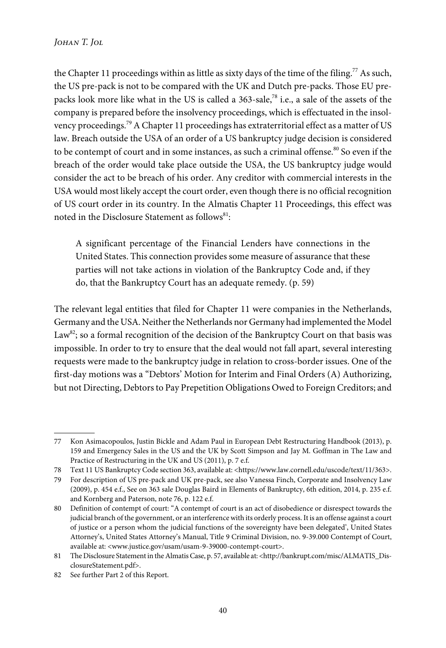the Chapter 11 proceedings within as little as sixty days of the time of the filing.<sup>77</sup> As such, the US pre-pack is not to be compared with the UK and Dutch pre-packs. Those EU prepacks look more like what in the US is called a  $363$ -sale,<sup>78</sup> i.e., a sale of the assets of the company is prepared before the insolvency proceedings, which is effectuated in the insolvency proceedings.<sup>79</sup> A Chapter 11 proceedings has extraterritorial effect as a matter of US law. Breach outside the USA of an order of a US bankruptcy judge decision is considered to be contempt of court and in some instances, as such a criminal offense.<sup>80</sup> So even if the breach of the order would take place outside the USA, the US bankruptcy judge would consider the act to be breach of his order. Any creditor with commercial interests in the USA would most likely accept the court order, even though there is no official recognition of US court order in its country. In the Almatis Chapter 11 Proceedings, this effect was noted in the Disclosure Statement as follows $^{\mathrm{81}}$ :

A significant percentage of the Financial Lenders have connections in the United States. This connection provides some measure of assurance that these parties will not take actions in violation of the Bankruptcy Code and, if they do, that the Bankruptcy Court has an adequate remedy. (p. 59)

The relevant legal entities that filed for Chapter 11 were companies in the Netherlands, Germany and the USA. Neither the Netherlands nor Germany had implemented the Model Law<sup>82</sup>; so a formal recognition of the decision of the Bankruptcy Court on that basis was impossible. In order to try to ensure that the deal would not fall apart, several interesting requests were made to the bankruptcy judge in relation to cross-border issues. One of the first-day motions was a "Debtors' Motion for Interim and Final Orders (A) Authorizing, but not Directing, Debtors to Pay Prepetition Obligations Owed to Foreign Creditors; and

<sup>77</sup> Kon Asimacopoulos, Justin Bickle and Adam Paul in European Debt Restructuring Handbook (2013), p. 159 and Emergency Sales in the US and the UK by Scott Simpson and Jay M. Goffman in The Law and Practice of Restructuring in the UK and US (2011), p. 7 e.f.

<sup>78</sup> Text 11 US Bankruptcy Code section 363, available at: <https://www.law.cornell.edu/uscode/text/11/363>.

<sup>79</sup> For description of US pre-pack and UK pre-pack, see also Vanessa Finch, Corporate and Insolvency Law (2009), p. 454 e.f., See on 363 sale Douglas Baird in Elements of Bankruptcy, 6th edition, 2014, p. 235 e.f. and Kornberg and Paterson, note 76, p. 122 e.f.

<sup>80</sup> Definition of contempt of court: "A contempt of court is an act of disobedience or disrespect towards the judicial branch of the government, or an interference with its orderly process. It is an offense against a court of justice or a person whom the judicial functions of the sovereignty have been delegated', United States Attorney's, United States Attorney's Manual, Title 9 Criminal Division, no. 9-39.000 Contempt of Court, available at: <www.justice.gov/usam/usam-9-39000-contempt-court>.

<sup>81</sup> The Disclosure Statement in the Almatis Case, p. 57, available at: <http://bankrupt.com/misc/ALMATIS\_DisclosureStatement.pdf>.

<sup>82</sup> See further Part 2 of this Report.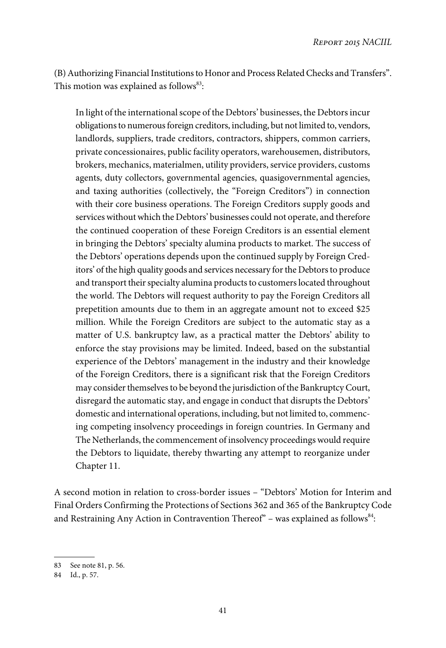(B) Authorizing Financial Institutions to Honor and Process Related Checks and Transfers". This motion was explained as follows $^{83}$ :

In light of the international scope of the Debtors' businesses, the Debtors incur obligations to numerous foreign creditors, including, but not limited to, vendors, landlords, suppliers, trade creditors, contractors, shippers, common carriers, private concessionaires, public facility operators, warehousemen, distributors, brokers, mechanics, materialmen, utility providers, service providers, customs agents, duty collectors, governmental agencies, quasigovernmental agencies, and taxing authorities (collectively, the "Foreign Creditors") in connection with their core business operations. The Foreign Creditors supply goods and services without which the Debtors' businesses could not operate, and therefore the continued cooperation of these Foreign Creditors is an essential element in bringing the Debtors' specialty alumina products to market. The success of the Debtors' operations depends upon the continued supply by Foreign Creditors' of the high quality goods and services necessary for the Debtors to produce and transport their specialty alumina products to customers located throughout the world. The Debtors will request authority to pay the Foreign Creditors all prepetition amounts due to them in an aggregate amount not to exceed \$25 million. While the Foreign Creditors are subject to the automatic stay as a matter of U.S. bankruptcy law, as a practical matter the Debtors' ability to enforce the stay provisions may be limited. Indeed, based on the substantial experience of the Debtors' management in the industry and their knowledge of the Foreign Creditors, there is a significant risk that the Foreign Creditors may consider themselves to be beyond the jurisdiction of the Bankruptcy Court, disregard the automatic stay, and engage in conduct that disrupts the Debtors' domestic and international operations, including, but not limited to, commencing competing insolvency proceedings in foreign countries. In Germany and The Netherlands, the commencement of insolvency proceedings would require the Debtors to liquidate, thereby thwarting any attempt to reorganize under Chapter 11.

A second motion in relation to cross-border issues – "Debtors' Motion for Interim and Final Orders Confirming the Protections of Sections 362 and 365 of the Bankruptcy Code and Restraining Any Action in Contravention Thereof" – was explained as follows $^{84}\!$ :

<sup>83</sup> See note 81, p. 56.

<sup>84</sup> Id., p. 57.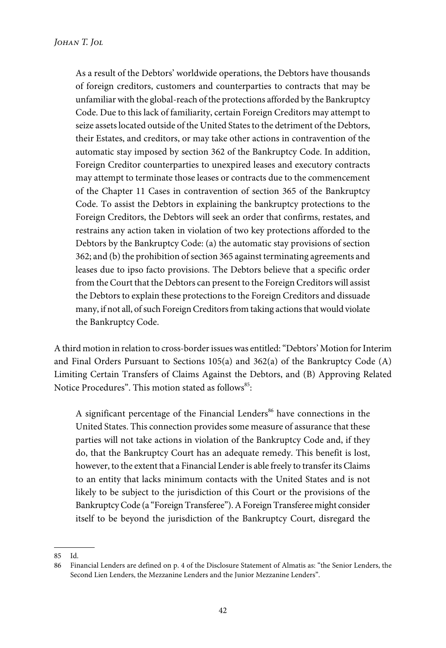As a result of the Debtors' worldwide operations, the Debtors have thousands of foreign creditors, customers and counterparties to contracts that may be unfamiliar with the global-reach of the protections afforded by the Bankruptcy Code. Due to this lack of familiarity, certain Foreign Creditors may attempt to seize assets located outside of the United States to the detriment of the Debtors, their Estates, and creditors, or may take other actions in contravention of the automatic stay imposed by section 362 of the Bankruptcy Code. In addition, Foreign Creditor counterparties to unexpired leases and executory contracts may attempt to terminate those leases or contracts due to the commencement of the Chapter 11 Cases in contravention of section 365 of the Bankruptcy Code. To assist the Debtors in explaining the bankruptcy protections to the Foreign Creditors, the Debtors will seek an order that confirms, restates, and restrains any action taken in violation of two key protections afforded to the Debtors by the Bankruptcy Code: (a) the automatic stay provisions of section 362; and (b) the prohibition of section 365 against terminating agreements and leases due to ipso facto provisions. The Debtors believe that a specific order from the Court that the Debtors can present to the Foreign Creditors will assist the Debtors to explain these protections to the Foreign Creditors and dissuade many, if not all, of such Foreign Creditors from taking actions that would violate the Bankruptcy Code.

A third motion in relation to cross-border issues was entitled:"Debtors' Motion for Interim and Final Orders Pursuant to Sections 105(a) and 362(a) of the Bankruptcy Code (A) Limiting Certain Transfers of Claims Against the Debtors, and (B) Approving Related Notice Procedures". This motion stated as follows<sup>85</sup>:

A significant percentage of the Financial Lenders<sup>86</sup> have connections in the United States. This connection provides some measure of assurance that these parties will not take actions in violation of the Bankruptcy Code and, if they do, that the Bankruptcy Court has an adequate remedy. This benefit is lost, however, to the extent that a Financial Lender is able freely to transfer its Claims to an entity that lacks minimum contacts with the United States and is not likely to be subject to the jurisdiction of this Court or the provisions of the Bankruptcy Code (a "Foreign Transferee"). A Foreign Transferee might consider itself to be beyond the jurisdiction of the Bankruptcy Court, disregard the

<sup>85</sup> Id.

<sup>86</sup> Financial Lenders are defined on p. 4 of the Disclosure Statement of Almatis as: "the Senior Lenders, the Second Lien Lenders, the Mezzanine Lenders and the Junior Mezzanine Lenders".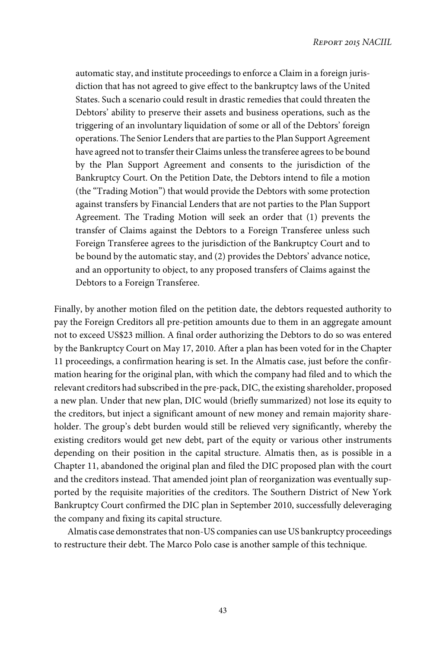automatic stay, and institute proceedings to enforce a Claim in a foreign jurisdiction that has not agreed to give effect to the bankruptcy laws of the United States. Such a scenario could result in drastic remedies that could threaten the Debtors' ability to preserve their assets and business operations, such as the triggering of an involuntary liquidation of some or all of the Debtors' foreign operations. The Senior Lenders that are parties to the Plan Support Agreement have agreed not to transfer their Claims unless the transferee agrees to be bound by the Plan Support Agreement and consents to the jurisdiction of the Bankruptcy Court. On the Petition Date, the Debtors intend to file a motion (the "Trading Motion") that would provide the Debtors with some protection against transfers by Financial Lenders that are not parties to the Plan Support Agreement. The Trading Motion will seek an order that (1) prevents the transfer of Claims against the Debtors to a Foreign Transferee unless such Foreign Transferee agrees to the jurisdiction of the Bankruptcy Court and to be bound by the automatic stay, and (2) provides the Debtors' advance notice, and an opportunity to object, to any proposed transfers of Claims against the Debtors to a Foreign Transferee.

Finally, by another motion filed on the petition date, the debtors requested authority to pay the Foreign Creditors all pre-petition amounts due to them in an aggregate amount not to exceed US\$23 million. A final order authorizing the Debtors to do so was entered by the Bankruptcy Court on May 17, 2010. After a plan has been voted for in the Chapter 11 proceedings, a confirmation hearing is set. In the Almatis case, just before the confirmation hearing for the original plan, with which the company had filed and to which the relevant creditors had subscribed in the pre-pack, DIC, the existing shareholder, proposed a new plan. Under that new plan, DIC would (briefly summarized) not lose its equity to the creditors, but inject a significant amount of new money and remain majority shareholder. The group's debt burden would still be relieved very significantly, whereby the existing creditors would get new debt, part of the equity or various other instruments depending on their position in the capital structure. Almatis then, as is possible in a Chapter 11, abandoned the original plan and filed the DIC proposed plan with the court and the creditors instead. That amended joint plan of reorganization was eventually supported by the requisite majorities of the creditors. The Southern District of New York Bankruptcy Court confirmed the DIC plan in September 2010, successfully deleveraging the company and fixing its capital structure.

Almatis case demonstrates that non-US companies can use US bankruptcy proceedings to restructure their debt. The Marco Polo case is another sample of this technique.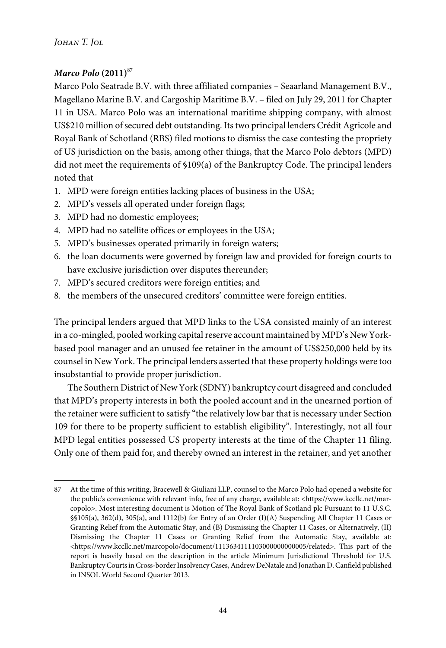# *Marco Polo* **(2011)**<sup>87</sup>

Marco Polo Seatrade B.V. with three affiliated companies – Seaarland Management B.V., Magellano Marine B.V. and Cargoship Maritime B.V. – filed on July 29, 2011 for Chapter 11 in USA. Marco Polo was an international maritime shipping company, with almost US\$210 million of secured debt outstanding. Its two principal lenders Crédit Agricole and Royal Bank of Schotland (RBS) filed motions to dismiss the case contesting the propriety of US jurisdiction on the basis, among other things, that the Marco Polo debtors (MPD) did not meet the requirements of §109(a) of the Bankruptcy Code. The principal lenders noted that

- 1. MPD were foreign entities lacking places of business in the USA;
- 2. MPD's vessels all operated under foreign flags;
- 3. MPD had no domestic employees;
- 4. MPD had no satellite offices or employees in the USA;
- 5. MPD's businesses operated primarily in foreign waters;
- 6. the loan documents were governed by foreign law and provided for foreign courts to have exclusive jurisdiction over disputes thereunder;
- 7. MPD's secured creditors were foreign entities; and
- 8. the members of the unsecured creditors' committee were foreign entities.

The principal lenders argued that MPD links to the USA consisted mainly of an interest in a co-mingled, pooled working capital reserve account maintained by MPD's New Yorkbased pool manager and an unused fee retainer in the amount of US\$250,000 held by its counsel in New York. The principal lenders asserted that these property holdings were too insubstantial to provide proper jurisdiction.

The Southern District of New York (SDNY) bankruptcy court disagreed and concluded that MPD's property interests in both the pooled account and in the unearned portion of the retainer were sufficient to satisfy "the relatively low bar that is necessary under Section 109 for there to be property sufficient to establish eligibility". Interestingly, not all four MPD legal entities possessed US property interests at the time of the Chapter 11 filing. Only one of them paid for, and thereby owned an interest in the retainer, and yet another

<sup>87</sup> At the time of this writing, Bracewell & Giuliani LLP, counsel to the Marco Polo had opened a website for the public's convenience with relevant info, free of any charge, available at: <https://www.kccllc.net/marcopolo>. Most interesting document is Motion of The Royal Bank of Scotland plc Pursuant to 11 U.S.C. §§105(a), 362(d), 305(a), and 1112(b) for Entry of an Order (I)(A) Suspending All Chapter 11 Cases or Granting Relief from the Automatic Stay, and (B) Dismissing the Chapter 11 Cases, or Alternatively, (II) Dismissing the Chapter 11 Cases or Granting Relief from the Automatic Stay, available at: <https://www.kccllc.net/marcopolo/document/1113634111103000000000005/related>. This part of the report is heavily based on the description in the article Minimum Jurisdictional Threshold for U.S. Bankruptcy Courts in Cross-border Insolvency Cases, Andrew DeNatale and Jonathan D. Canfield published in INSOL World Second Quarter 2013.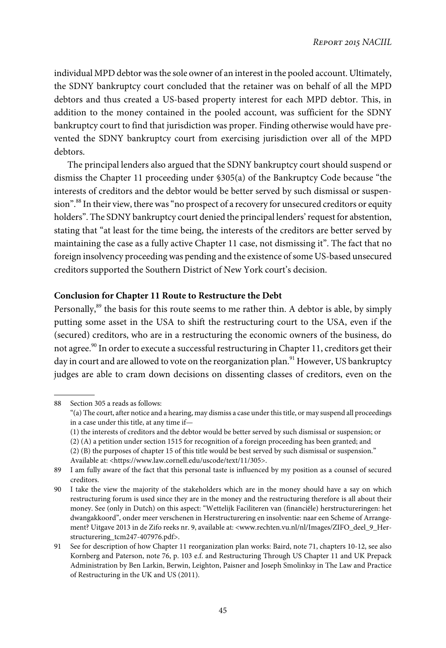individual MPD debtor was the sole owner of an interest in the pooled account. Ultimately, the SDNY bankruptcy court concluded that the retainer was on behalf of all the MPD debtors and thus created a US-based property interest for each MPD debtor. This, in addition to the money contained in the pooled account, was sufficient for the SDNY bankruptcy court to find that jurisdiction was proper. Finding otherwise would have prevented the SDNY bankruptcy court from exercising jurisdiction over all of the MPD debtors.

The principal lenders also argued that the SDNY bankruptcy court should suspend or dismiss the Chapter 11 proceeding under §305(a) of the Bankruptcy Code because "the interests of creditors and the debtor would be better served by such dismissal or suspension". <sup>88</sup> In their view, there was"no prospect of a recovery for unsecured creditors or equity holders". The SDNY bankruptcy court denied the principal lenders' request for abstention, stating that "at least for the time being, the interests of the creditors are better served by maintaining the case as a fully active Chapter 11 case, not dismissing it". The fact that no foreign insolvency proceeding was pending and the existence of some US-based unsecured creditors supported the Southern District of New York court's decision.

## **Conclusion for Chapter 11 Route to Restructure the Debt**

Personally, $^{89}$  the basis for this route seems to me rather thin. A debtor is able, by simply putting some asset in the USA to shift the restructuring court to the USA, even if the (secured) creditors, who are in a restructuring the economic owners of the business, do not agree.<sup>90</sup> In order to execute a successful restructuring in Chapter 11, creditors get their day in court and are allowed to vote on the reorganization plan.<sup>91</sup> However, US bankruptcy judges are able to cram down decisions on dissenting classes of creditors, even on the

<sup>88</sup> Section 305 a reads as follows:

<sup>&</sup>quot;(a) The court, after notice and a hearing, may dismiss a case under this title, or may suspend all proceedings in a case under this title, at any time if—

<sup>(1)</sup> the interests of creditors and the debtor would be better served by such dismissal or suspension; or

<sup>(2) (</sup>A) a petition under section 1515 for recognition of a foreign proceeding has been granted; and

<sup>(2) (</sup>B) the purposes of chapter 15 of this title would be best served by such dismissal or suspension." Available at: <https://www.law.cornell.edu/uscode/text/11/305>.

<sup>89</sup> I am fully aware of the fact that this personal taste is influenced by my position as a counsel of secured creditors.

<sup>90</sup> I take the view the majority of the stakeholders which are in the money should have a say on which restructuring forum is used since they are in the money and the restructuring therefore is all about their money. See (only in Dutch) on this aspect: "Wettelijk Faciliteren van (financiële) herstructureringen: het dwangakkoord", onder meer verschenen in Herstructurering en insolventie: naar een Scheme of Arrangement? Uitgave 2013 in de Zifo reeks nr. 9, available at: <www.rechten.vu.nl/nl/Images/ZIFO\_deel\_9\_Herstructurering\_tcm247-407976.pdf>.

<sup>91</sup> See for description of how Chapter 11 reorganization plan works: Baird, note 71, chapters 10-12, see also Kornberg and Paterson, note 76, p. 103 e.f. and Restructuring Through US Chapter 11 and UK Prepack Administration by Ben Larkin, Berwin, Leighton, Paisner and Joseph Smolinksy in The Law and Practice of Restructuring in the UK and US (2011).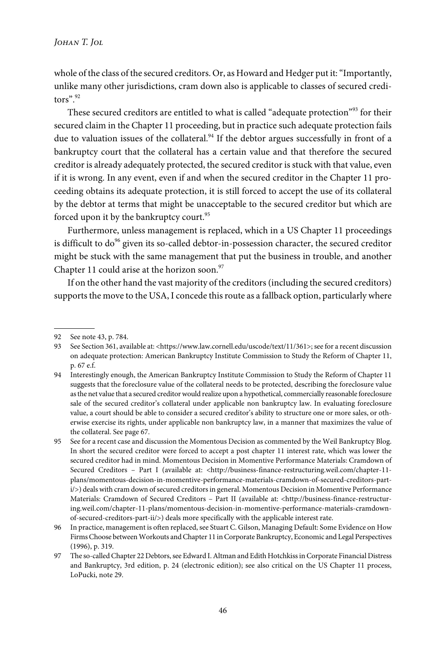whole of the class of the secured creditors. Or, as Howard and Hedger put it:"Importantly, unlike many other jurisdictions, cram down also is applicable to classes of secured creditors". 92

These secured creditors are entitled to what is called "adequate protection"<sup>93</sup> for their secured claim in the Chapter 11 proceeding, but in practice such adequate protection fails due to valuation issues of the collateral.<sup>94</sup> If the debtor argues successfully in front of a bankruptcy court that the collateral has a certain value and that therefore the secured creditor is already adequately protected, the secured creditor is stuck with that value, even if it is wrong. In any event, even if and when the secured creditor in the Chapter 11 proceeding obtains its adequate protection, it is still forced to accept the use of its collateral by the debtor at terms that might be unacceptable to the secured creditor but which are forced upon it by the bankruptcy court.<sup>95</sup>

Furthermore, unless management is replaced, which in a US Chapter 11 proceedings is difficult to  $do^{96}$  given its so-called debtor-in-possession character, the secured creditor might be stuck with the same management that put the business in trouble, and another Chapter 11 could arise at the horizon soon. $97$ 

If on the other hand the vast majority of the creditors (including the secured creditors) supports the move to the USA, I concede this route as a fallback option, particularly where

<sup>92</sup> See note 43, p. 784.

<sup>93</sup> See Section 361, available at: <https://www.law.cornell.edu/uscode/text/11/361>; see for a recent discussion on adequate protection: American Bankruptcy Institute Commission to Study the Reform of Chapter 11, p. 67 e.f.

<sup>94</sup> Interestingly enough, the American Bankruptcy Institute Commission to Study the Reform of Chapter 11 suggests that the foreclosure value of the collateral needs to be protected, describing the foreclosure value as the net value that a secured creditor would realize upon a hypothetical, commercially reasonable foreclosure sale of the secured creditor's collateral under applicable non bankruptcy law. In evaluating foreclosure value, a court should be able to consider a secured creditor's ability to structure one or more sales, or otherwise exercise its rights, under applicable non bankruptcy law, in a manner that maximizes the value of the collateral. See page 67.

<sup>95</sup> See for a recent case and discussion the Momentous Decision as commented by the Weil Bankruptcy Blog. In short the secured creditor were forced to accept a post chapter 11 interest rate, which was lower the secured creditor had in mind. Momentous Decision in Momentive Performance Materials: Cramdown of Secured Creditors – Part I (available at: <http://business-finance-restructuring.weil.com/chapter-11 plans/momentous-decision-in-momentive-performance-materials-cramdown-of-secured-creditors-parti/>) deals with cram down of secured creditors in general. Momentous Decision in Momentive Performance Materials: Cramdown of Secured Creditors – Part II (available at: <http://business-finance-restructuring.weil.com/chapter-11-plans/momentous-decision-in-momentive-performance-materials-cramdownof-secured-creditors-part-ii/>) deals more specifically with the applicable interest rate.

<sup>96</sup> In practice, management is often replaced, see Stuart C. Gilson, Managing Default: Some Evidence on How Firms Choose between Workouts and Chapter 11 in Corporate Bankruptcy, Economic and Legal Perspectives (1996), p. 319.

<sup>97</sup> The so-called Chapter 22 Debtors, see Edward I. Altman and Edith Hotchkiss in Corporate Financial Distress and Bankruptcy, 3rd edition, p. 24 (electronic edition); see also critical on the US Chapter 11 process, LoPucki, note 29.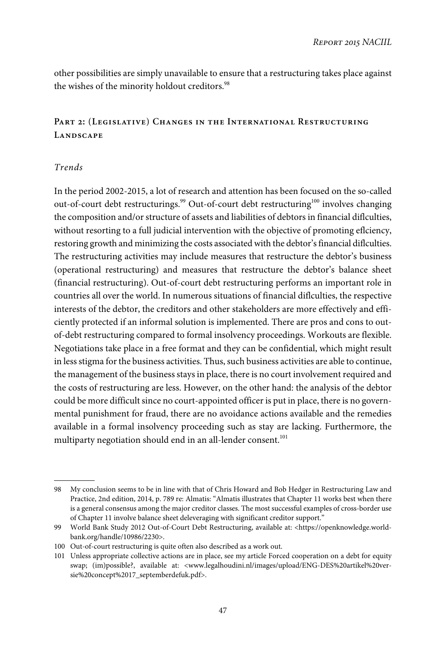other possibilities are simply unavailable to ensure that a restructuring takes place against the wishes of the minority holdout creditors.<sup>98</sup>

# **Part 2: (Legislative) Changes in the International Restructuring Landscape**

## Trends

In the period 2002-2015, a lot of research and attention has been focused on the so-called out-of-court debt restructurings.<sup>99</sup> Out-of-court debt restructuring<sup>100</sup> involves changing the composition and/or structure of assets and liabilities of debtors in financial diflculties, without resorting to a full judicial intervention with the objective of promoting eflciency, restoring growth and minimizing the costs associated with the debtor's financial diflculties. The restructuring activities may include measures that restructure the debtor's business (operational restructuring) and measures that restructure the debtor's balance sheet (financial restructuring). Out-of-court debt restructuring performs an important role in countries all over the world. In numerous situations of financial diflculties, the respective interests of the debtor, the creditors and other stakeholders are more effectively and efficiently protected if an informal solution is implemented. There are pros and cons to outof-debt restructuring compared to formal insolvency proceedings. Workouts are flexible. Negotiations take place in a free format and they can be confidential, which might result in less stigma for the business activities. Thus, such business activities are able to continue, the management of the business stays in place, there is no court involvement required and the costs of restructuring are less. However, on the other hand: the analysis of the debtor could be more difficult since no court-appointed officer is put in place, there is no governmental punishment for fraud, there are no avoidance actions available and the remedies available in a formal insolvency proceeding such as stay are lacking. Furthermore, the multiparty negotiation should end in an all-lender consent.<sup>101</sup>

<sup>98</sup> My conclusion seems to be in line with that of Chris Howard and Bob Hedger in Restructuring Law and Practice, 2nd edition, 2014, p. 789 re: Almatis: "Almatis illustrates that Chapter 11 works best when there is a general consensus among the major creditor classes. The most successful examples of cross-border use of Chapter 11 involve balance sheet deleveraging with significant creditor support."

<sup>99</sup> World Bank Study 2012 Out-of-Court Debt Restructuring, available at: <https://openknowledge.worldbank.org/handle/10986/2230>.

<sup>100</sup> Out-of-court restructuring is quite often also described as a work out.

<sup>101</sup> Unless appropriate collective actions are in place, see my article Forced cooperation on a debt for equity swap; (im)possible?, available at: <www.legalhoudini.nl/images/upload/ENG-DES%20artikel%20versie%20concept%2017\_septemberdefuk.pdf>.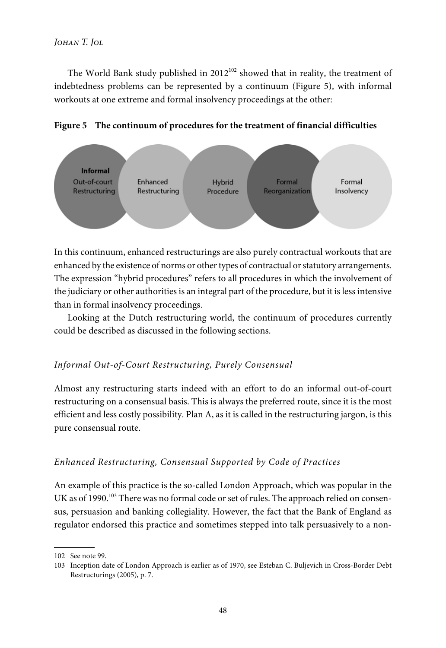# *Johan T. Jol*

The World Bank study published in  $2012^{102}$  showed that in reality, the treatment of indebtedness problems can be represented by a continuum (Figure 5), with informal workouts at one extreme and formal insolvency proceedings at the other:





In this continuum, enhanced restructurings are also purely contractual workouts that are enhanced by the existence of norms or other types of contractual or statutory arrangements. The expression "hybrid procedures" refers to all procedures in which the involvement of the judiciary or other authorities is an integral part of the procedure, but it is less intensive than in formal insolvency proceedings.

Looking at the Dutch restructuring world, the continuum of procedures currently could be described as discussed in the following sections.

# Informal Out-of-Court Restructuring, Purely Consensual

Almost any restructuring starts indeed with an effort to do an informal out-of-court restructuring on a consensual basis. This is always the preferred route, since it is the most efficient and less costly possibility. Plan A, as it is called in the restructuring jargon, is this pure consensual route.

# Enhanced Restructuring, Consensual Supported by Code of Practices

An example of this practice is the so-called London Approach, which was popular in the UK as of 1990.<sup>103</sup> There was no formal code or set of rules. The approach relied on consensus, persuasion and banking collegiality. However, the fact that the Bank of England as regulator endorsed this practice and sometimes stepped into talk persuasively to a non-

<sup>102</sup> See note 99.

<sup>103</sup> Inception date of London Approach is earlier as of 1970, see Esteban C. Buljevich in Cross-Border Debt Restructurings (2005), p. 7.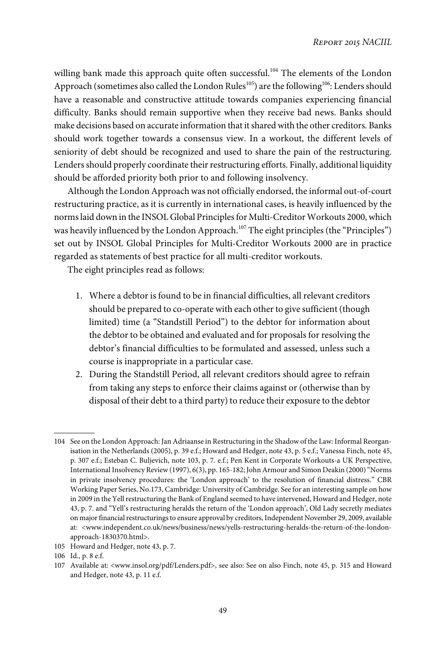willing bank made this approach quite often successful.<sup>104</sup> The elements of the London Approach (sometimes also called the London Rules<sup>105</sup>) are the following<sup>106</sup>: Lenders should have a reasonable and constructive attitude towards companies experiencing financial difficulty. Banks should remain supportive when they receive bad news. Banks should make decisions based on accurate information that it shared with the other creditors. Banks should work together towards a consensus view. In a workout, the different levels of seniority of debt should be recognized and used to share the pain of the restructuring. Lenders should properly coordinate their restructuring efforts. Finally, additional liquidity should be afforded priority both prior to and following insolvency.

Although the London Approach was not officially endorsed, the informal out-of-court restructuring practice, as it is currently in international cases, is heavily influenced by the norms laid down in the INSOL Global Principles for Multi-Creditor Workouts 2000, which was heavily influenced by the London Approach.<sup>107</sup> The eight principles (the "Principles") set out by INSOL Global Principles for Multi-Creditor Workouts 2000 are in practice regarded as statements of best practice for all multi-creditor workouts.

The eight principles read as follows:

- 1. Where a debtor is found to be in financial difficulties, all relevant creditors should be prepared to co-operate with each other to give sufficient (though limited) time (a "Standstill Period") to the debtor for information about the debtor to be obtained and evaluated and for proposals for resolving the debtor's financial difficulties to be formulated and assessed, unless such a course is inappropriate in a particular case.
- 2. During the Standstill Period, all relevant creditors should agree to refrain from taking any steps to enforce their claims against or (otherwise than by disposal of their debt to a third party) to reduce their exposure to the debtor

105 Howard and Hedger, note 43, p. 7.

<sup>104</sup> See on the London Approach: Jan Adriaanse in Restructuring in the Shadow of the Law: Informal Reorganisation in the Netherlands (2005), p. 39 e.f.; Howard and Hedger, note 43, p. 5 e.f.; Vanessa Finch, note 45, p. 307 e.f.; Esteban C. Buljevich, note 103, p. 7. e.f.; Pen Kent in Corporate Workouts-a UK Perspective, International Insolvency Review (1997), 6(3), pp. 165-182; John Armour and Simon Deakin (2000)"Norms in private insolvency procedures: the 'London approach' to the resolution of financial distress." CBR Working Paper Series, No.173, Cambridge: University of Cambridge. See for an interesting sample on how in 2009 in the Yell restructuring the Bank of England seemed to have intervened, Howard and Hedger, note 43, p. 7. and "Yell's restructuring heralds the return of the 'London approach', Old Lady secretly mediates on major financial restructurings to ensure approval by creditors, Independent November 29, 2009, available at: <www.independent.co.uk/news/business/news/yells-restructuring-heralds-the-return-of-the-londonapproach-1830370.html>.

<sup>106</sup> Id., p. 8 e.f.

<sup>107</sup> Available at: <www.insol.org/pdf/Lenders.pdf>, see also: See on also Finch, note 45, p. 315 and Howard and Hedger, note 43, p. 11 e.f.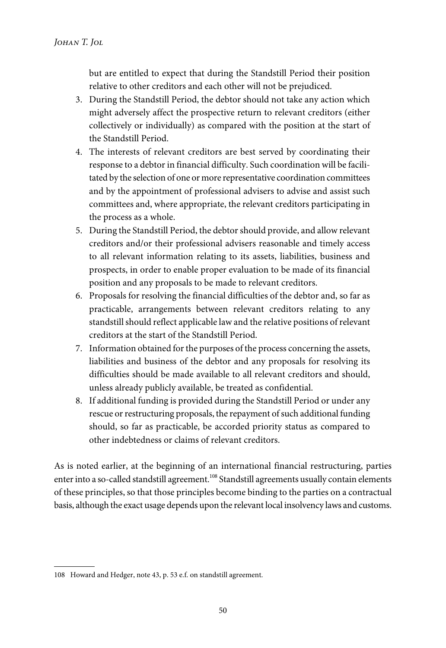but are entitled to expect that during the Standstill Period their position relative to other creditors and each other will not be prejudiced.

- 3. During the Standstill Period, the debtor should not take any action which might adversely affect the prospective return to relevant creditors (either collectively or individually) as compared with the position at the start of the Standstill Period.
- 4. The interests of relevant creditors are best served by coordinating their response to a debtor in financial difficulty. Such coordination will be facilitated by the selection of one or more representative coordination committees and by the appointment of professional advisers to advise and assist such committees and, where appropriate, the relevant creditors participating in the process as a whole.
- 5. During the Standstill Period, the debtor should provide, and allow relevant creditors and/or their professional advisers reasonable and timely access to all relevant information relating to its assets, liabilities, business and prospects, in order to enable proper evaluation to be made of its financial position and any proposals to be made to relevant creditors.
- 6. Proposals for resolving the financial difficulties of the debtor and, so far as practicable, arrangements between relevant creditors relating to any standstill should reflect applicable law and the relative positions of relevant creditors at the start of the Standstill Period.
- 7. Information obtained for the purposes of the process concerning the assets, liabilities and business of the debtor and any proposals for resolving its difficulties should be made available to all relevant creditors and should, unless already publicly available, be treated as confidential.
- 8. If additional funding is provided during the Standstill Period or under any rescue or restructuring proposals, the repayment of such additional funding should, so far as practicable, be accorded priority status as compared to other indebtedness or claims of relevant creditors.

As is noted earlier, at the beginning of an international financial restructuring, parties enter into a so-called standstill agreement.<sup>108</sup> Standstill agreements usually contain elements of these principles, so that those principles become binding to the parties on a contractual basis, although the exact usage depends upon the relevant local insolvency laws and customs.

<sup>108</sup> Howard and Hedger, note 43, p. 53 e.f. on standstill agreement.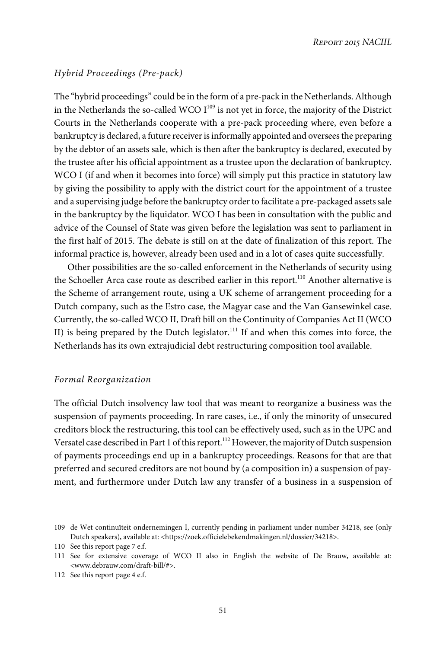### Hybrid Proceedings (Pre-pack)

The "hybrid proceedings" could be in the form of a pre-pack in the Netherlands. Although in the Netherlands the so-called WCO  $I^{109}$  is not yet in force, the majority of the District Courts in the Netherlands cooperate with a pre-pack proceeding where, even before a bankruptcy is declared, a future receiver is informally appointed and oversees the preparing by the debtor of an assets sale, which is then after the bankruptcy is declared, executed by the trustee after his official appointment as a trustee upon the declaration of bankruptcy. WCO I (if and when it becomes into force) will simply put this practice in statutory law by giving the possibility to apply with the district court for the appointment of a trustee and a supervising judge before the bankruptcy order to facilitate a pre-packaged assets sale in the bankruptcy by the liquidator. WCO I has been in consultation with the public and advice of the Counsel of State was given before the legislation was sent to parliament in the first half of 2015. The debate is still on at the date of finalization of this report. The informal practice is, however, already been used and in a lot of cases quite successfully.

Other possibilities are the so-called enforcement in the Netherlands of security using the Schoeller Arca case route as described earlier in this report.<sup>110</sup> Another alternative is the Scheme of arrangement route, using a UK scheme of arrangement proceeding for a Dutch company, such as the Estro case, the Magyar case and the Van Gansewinkel case. Currently, the so-called WCO II, Draft bill on the Continuity of Companies Act II (WCO II) is being prepared by the Dutch legislator.<sup>111</sup> If and when this comes into force, the Netherlands has its own extrajudicial debt restructuring composition tool available.

#### Formal Reorganization

The official Dutch insolvency law tool that was meant to reorganize a business was the suspension of payments proceeding. In rare cases, i.e., if only the minority of unsecured creditors block the restructuring, this tool can be effectively used, such as in the UPC and Versatel case described in Part 1 of this report.<sup>112</sup> However, the majority of Dutch suspension of payments proceedings end up in a bankruptcy proceedings. Reasons for that are that preferred and secured creditors are not bound by (a composition in) a suspension of payment, and furthermore under Dutch law any transfer of a business in a suspension of

<sup>109</sup> de Wet continuïteit ondernemingen I, currently pending in parliament under number 34218, see (only Dutch speakers), available at: <https://zoek.officielebekendmakingen.nl/dossier/34218>.

<sup>110</sup> See this report page 7 e.f.

<sup>111</sup> See for extensive coverage of WCO II also in English the website of De Brauw, available at: <www.debrauw.com/draft-bill/#>.

<sup>112</sup> See this report page 4 e.f.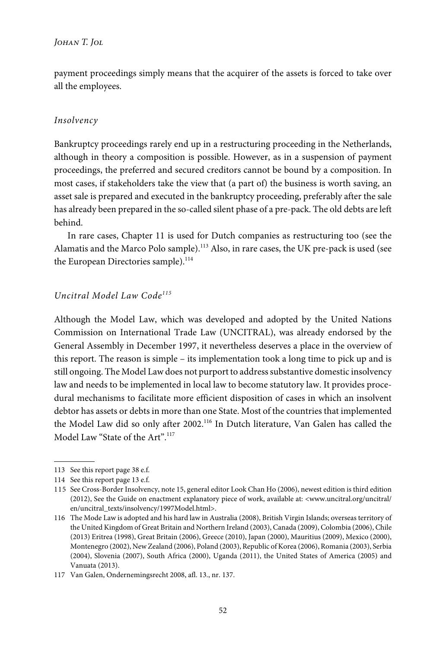payment proceedings simply means that the acquirer of the assets is forced to take over all the employees.

# Insolvency

Bankruptcy proceedings rarely end up in a restructuring proceeding in the Netherlands, although in theory a composition is possible. However, as in a suspension of payment proceedings, the preferred and secured creditors cannot be bound by a composition. In most cases, if stakeholders take the view that (a part of) the business is worth saving, an asset sale is prepared and executed in the bankruptcy proceeding, preferably after the sale has already been prepared in the so-called silent phase of a pre-pack. The old debts are left behind.

In rare cases, Chapter 11 is used for Dutch companies as restructuring too (see the Alamatis and the Marco Polo sample).<sup>113</sup> Also, in rare cases, the UK pre-pack is used (see the European Directories sample).<sup>114</sup>

## Uncitral Model Law Code<sup>115</sup>

Although the Model Law, which was developed and adopted by the United Nations Commission on International Trade Law (UNCITRAL), was already endorsed by the General Assembly in December 1997, it nevertheless deserves a place in the overview of this report. The reason is simple – its implementation took a long time to pick up and is still ongoing. The Model Law does not purport to address substantive domestic insolvency law and needs to be implemented in local law to become statutory law. It provides procedural mechanisms to facilitate more efficient disposition of cases in which an insolvent debtor has assets or debts in more than one State. Most of the countries that implemented the Model Law did so only after 2002.<sup>116</sup> In Dutch literature, Van Galen has called the Model Law "State of the Art". 117

<sup>113</sup> See this report page 38 e.f.

<sup>114</sup> See this report page 13 e.f.

<sup>115</sup> See Cross-Border Insolvency, note 15, general editor Look Chan Ho (2006), newest edition is third edition (2012), See the Guide on enactment explanatory piece of work, available at: <www.uncitral.org/uncitral/ en/uncitral\_texts/insolvency/1997Model.html>.

<sup>116</sup> The Mode Law is adopted and his hard law in Australia (2008), British Virgin Islands; overseas territory of the United Kingdom of Great Britain and Northern Ireland (2003), Canada (2009), Colombia (2006), Chile (2013) Eritrea (1998), Great Britain (2006), Greece (2010), Japan (2000), Mauritius (2009), Mexico (2000), Montenegro (2002), New Zealand (2006), Poland (2003), Republic of Korea (2006), Romania (2003), Serbia (2004), Slovenia (2007), South Africa (2000), Uganda (2011), the United States of America (2005) and Vanuata (2013).

<sup>117</sup> Van Galen, Ondernemingsrecht 2008, afl. 13., nr. 137.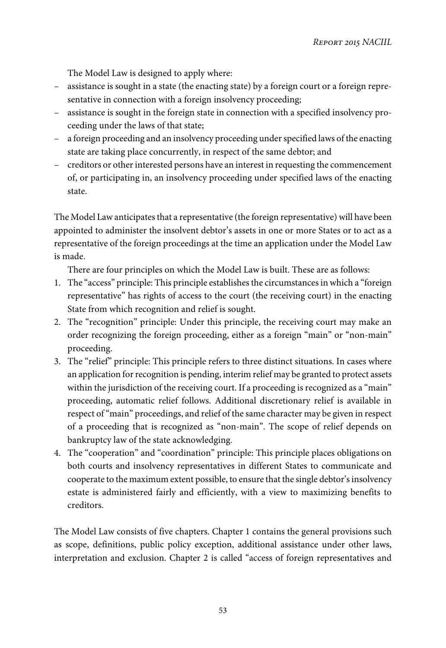The Model Law is designed to apply where:

- assistance is sought in a state (the enacting state) by a foreign court or a foreign representative in connection with a foreign insolvency proceeding;
- assistance is sought in the foreign state in connection with a specified insolvency proceeding under the laws of that state;
- a foreign proceeding and an insolvency proceeding under specified laws of the enacting state are taking place concurrently, in respect of the same debtor; and
- creditors or other interested persons have an interest in requesting the commencement of, or participating in, an insolvency proceeding under specified laws of the enacting state.

The Model Law anticipates that a representative (the foreign representative) will have been appointed to administer the insolvent debtor's assets in one or more States or to act as a representative of the foreign proceedings at the time an application under the Model Law is made.

There are four principles on which the Model Law is built. These are as follows:

- 1. The "access" principle: This principle establishes the circumstances in which a "foreign representative" has rights of access to the court (the receiving court) in the enacting State from which recognition and relief is sought.
- 2. The "recognition" principle: Under this principle, the receiving court may make an order recognizing the foreign proceeding, either as a foreign "main" or "non-main" proceeding.
- 3. The "relief" principle: This principle refers to three distinct situations. In cases where an application for recognition is pending, interim relief may be granted to protect assets within the jurisdiction of the receiving court. If a proceeding is recognized as a "main" proceeding, automatic relief follows. Additional discretionary relief is available in respect of"main" proceedings, and relief of the same character may be given in respect of a proceeding that is recognized as "non-main". The scope of relief depends on bankruptcy law of the state acknowledging.
- 4. The "cooperation" and "coordination" principle: This principle places obligations on both courts and insolvency representatives in different States to communicate and cooperate to the maximum extent possible, to ensure that the single debtor's insolvency estate is administered fairly and efficiently, with a view to maximizing benefits to creditors.

The Model Law consists of five chapters. Chapter 1 contains the general provisions such as scope, definitions, public policy exception, additional assistance under other laws, interpretation and exclusion. Chapter 2 is called "access of foreign representatives and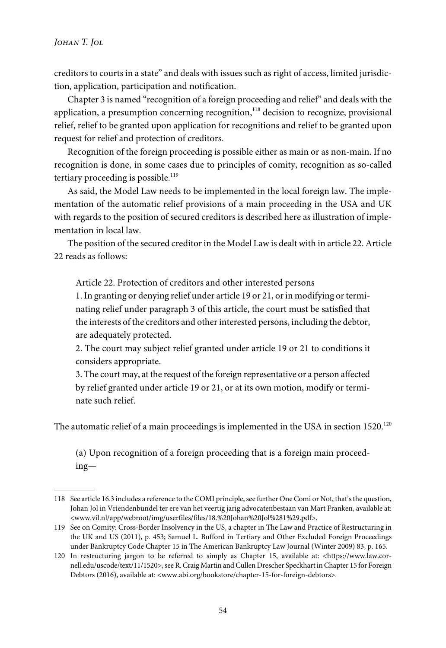creditors to courts in a state" and deals with issues such as right of access, limited jurisdiction, application, participation and notification.

Chapter 3 is named "recognition of a foreign proceeding and relief" and deals with the application, a presumption concerning recognition,<sup>118</sup> decision to recognize, provisional relief, relief to be granted upon application for recognitions and relief to be granted upon request for relief and protection of creditors.

Recognition of the foreign proceeding is possible either as main or as non-main. If no recognition is done, in some cases due to principles of comity, recognition as so-called tertiary proceeding is possible. $119$ 

As said, the Model Law needs to be implemented in the local foreign law. The implementation of the automatic relief provisions of a main proceeding in the USA and UK with regards to the position of secured creditors is described here as illustration of implementation in local law.

The position of the secured creditor in the Model Law is dealt with in article 22. Article 22 reads as follows:

Article 22. Protection of creditors and other interested persons

1. In granting or denying relief under article 19 or 21, or in modifying or terminating relief under paragraph 3 of this article, the court must be satisfied that the interests of the creditors and other interested persons, including the debtor, are adequately protected.

2. The court may subject relief granted under article 19 or 21 to conditions it considers appropriate.

3. The court may, at the request of the foreign representative or a person affected by relief granted under article 19 or 21, or at its own motion, modify or terminate such relief.

The automatic relief of a main proceedings is implemented in the USA in section  $1520$ .<sup>120</sup>

(a) Upon recognition of a foreign proceeding that is a foreign main proceeding—

<sup>118</sup> See article 16.3 includes a reference to the COMI principle, see further One Comi or Not, that's the question, Johan Jol in Vriendenbundel ter ere van het veertig jarig advocatenbestaan van Mart Franken, available at: <www.vil.nl/app/webroot/img/userfiles/files/18.%20Johan%20Jol%281%29.pdf>.

<sup>119</sup> See on Comity: Cross-Border Insolvency in the US, a chapter in The Law and Practice of Restructuring in the UK and US (2011), p. 453; Samuel L. Bufford in Tertiary and Other Excluded Foreign Proceedings under Bankruptcy Code Chapter 15 in The American Bankruptcy Law Journal (Winter 2009) 83, p. 165.

<sup>120</sup> In restructuring jargon to be referred to simply as Chapter 15, available at: <https://www.law.cornell.edu/uscode/text/11/1520>, see R. Craig Martin and Cullen Drescher Speckhart in Chapter 15 for Foreign Debtors (2016), available at: <www.abi.org/bookstore/chapter-15-for-foreign-debtors>.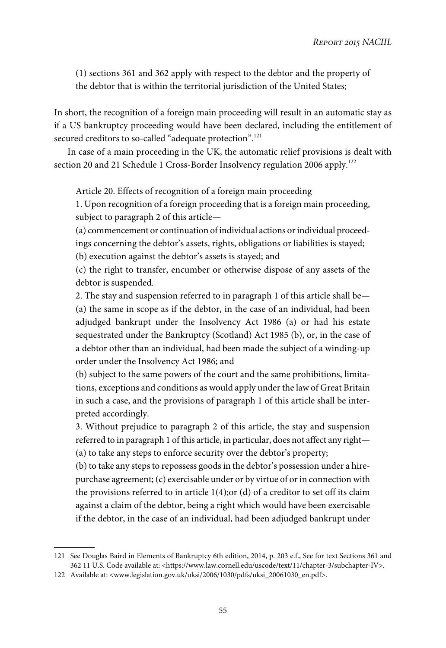(1) sections 361 and 362 apply with respect to the debtor and the property of the debtor that is within the territorial jurisdiction of the United States;

In short, the recognition of a foreign main proceeding will result in an automatic stay as if a US bankruptcy proceeding would have been declared, including the entitlement of secured creditors to so-called "adequate protection".<sup>121</sup>

In case of a main proceeding in the UK, the automatic relief provisions is dealt with section 20 and 21 Schedule 1 Cross-Border Insolvency regulation 2006 apply.<sup>122</sup>

Article 20. Effects of recognition of a foreign main proceeding

1. Upon recognition of a foreign proceeding that is a foreign main proceeding, subject to paragraph 2 of this article—

(a) commencement or continuation of individual actions or individual proceedings concerning the debtor's assets, rights, obligations or liabilities is stayed;

(b) execution against the debtor's assets is stayed; and

(c) the right to transfer, encumber or otherwise dispose of any assets of the debtor is suspended.

2. The stay and suspension referred to in paragraph 1 of this article shall be— (a) the same in scope as if the debtor, in the case of an individual, had been adjudged bankrupt under the Insolvency Act 1986 (a) or had his estate sequestrated under the Bankruptcy (Scotland) Act 1985 (b), or, in the case of a debtor other than an individual, had been made the subject of a winding-up order under the Insolvency Act 1986; and

(b) subject to the same powers of the court and the same prohibitions, limitations, exceptions and conditions as would apply under the law of Great Britain in such a case, and the provisions of paragraph 1 of this article shall be interpreted accordingly.

3. Without prejudice to paragraph 2 of this article, the stay and suspension referred to in paragraph 1 of this article, in particular, does not affect any right— (a) to take any steps to enforce security over the debtor's property;

(b) to take any steps to repossess goods in the debtor's possession under a hirepurchase agreement; (c) exercisable under or by virtue of or in connection with the provisions referred to in article 1(4);or (d) of a creditor to set off its claim against a claim of the debtor, being a right which would have been exercisable if the debtor, in the case of an individual, had been adjudged bankrupt under

<sup>121</sup> See Douglas Baird in Elements of Bankruptcy 6th edition, 2014, p. 203 e.f., See for text Sections 361 and 362 11 U.S. Code available at: <https://www.law.cornell.edu/uscode/text/11/chapter-3/subchapter-IV>.

<sup>122</sup> Available at: <www.legislation.gov.uk/uksi/2006/1030/pdfs/uksi\_20061030\_en.pdf>.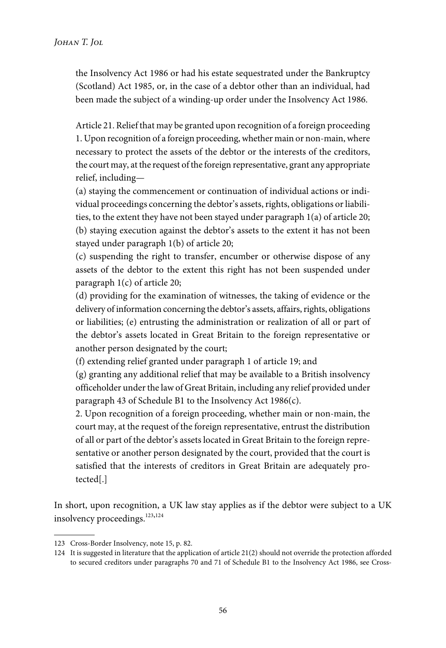the Insolvency Act 1986 or had his estate sequestrated under the Bankruptcy (Scotland) Act 1985, or, in the case of a debtor other than an individual, had been made the subject of a winding-up order under the Insolvency Act 1986.

Article 21. Relief that may be granted upon recognition of a foreign proceeding 1. Upon recognition of a foreign proceeding, whether main or non-main, where necessary to protect the assets of the debtor or the interests of the creditors, the court may, at the request of the foreign representative, grant any appropriate relief, including—

(a) staying the commencement or continuation of individual actions or individual proceedings concerning the debtor's assets, rights, obligations or liabilities, to the extent they have not been stayed under paragraph 1(a) of article 20; (b) staying execution against the debtor's assets to the extent it has not been stayed under paragraph 1(b) of article 20;

(c) suspending the right to transfer, encumber or otherwise dispose of any assets of the debtor to the extent this right has not been suspended under paragraph 1(c) of article 20;

(d) providing for the examination of witnesses, the taking of evidence or the delivery of information concerning the debtor's assets, affairs, rights, obligations or liabilities; (e) entrusting the administration or realization of all or part of the debtor's assets located in Great Britain to the foreign representative or another person designated by the court;

(f) extending relief granted under paragraph 1 of article 19; and

(g) granting any additional relief that may be available to a British insolvency officeholder under the law of Great Britain, including any relief provided under paragraph 43 of Schedule B1 to the Insolvency Act 1986(c).

2. Upon recognition of a foreign proceeding, whether main or non-main, the court may, at the request of the foreign representative, entrust the distribution of all or part of the debtor's assets located in Great Britain to the foreign representative or another person designated by the court, provided that the court is satisfied that the interests of creditors in Great Britain are adequately protected[.]

In short, upon recognition, a UK law stay applies as if the debtor were subject to a UK insolvency proceedings.<sup>123,124</sup>

<sup>123</sup> Cross-Border Insolvency, note 15, p. 82.

<sup>124</sup> It is suggested in literature that the application of article 21(2) should not override the protection afforded to secured creditors under paragraphs 70 and 71 of Schedule B1 to the Insolvency Act 1986, see Cross-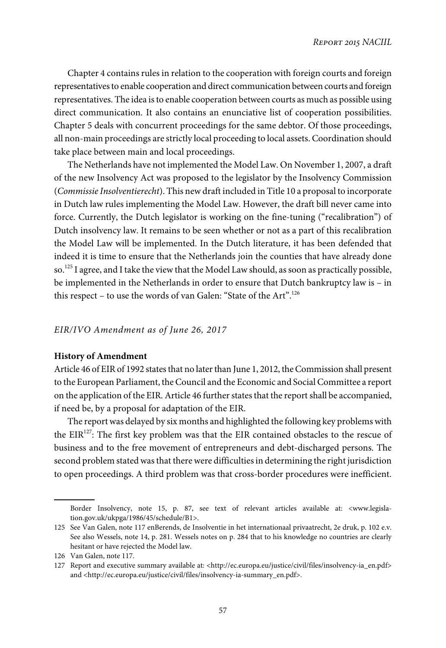Chapter 4 contains rules in relation to the cooperation with foreign courts and foreign representatives to enable cooperation and direct communication between courts and foreign representatives. The idea is to enable cooperation between courts as much as possible using direct communication. It also contains an enunciative list of cooperation possibilities. Chapter 5 deals with concurrent proceedings for the same debtor. Of those proceedings, all non-main proceedings are strictly local proceeding to local assets. Coordination should take place between main and local proceedings.

The Netherlands have not implemented the Model Law. On November 1, 2007, a draft of the new Insolvency Act was proposed to the legislator by the Insolvency Commission (Commissie Insolventierecht). This new draft included in Title 10 a proposal to incorporate in Dutch law rules implementing the Model Law. However, the draft bill never came into force. Currently, the Dutch legislator is working on the fine-tuning ("recalibration") of Dutch insolvency law. It remains to be seen whether or not as a part of this recalibration the Model Law will be implemented. In the Dutch literature, it has been defended that indeed it is time to ensure that the Netherlands join the counties that have already done so.<sup>125</sup> I agree, and I take the view that the Model Law should, as soon as practically possible, be implemented in the Netherlands in order to ensure that Dutch bankruptcy law is – in this respect – to use the words of van Galen: "State of the Art".<sup>126</sup>

## EIR/IVO Amendment as of June 26, 2017

#### **History of Amendment**

Article 46 of EIR of 1992 states that no later than June 1, 2012, the Commission shall present to the European Parliament, the Council and the Economic and Social Committee a report on the application of the EIR. Article 46 further states that the report shall be accompanied, if need be, by a proposal for adaptation of the EIR.

The report was delayed by six months and highlighted the following key problems with the  $EIR<sup>127</sup>$ : The first key problem was that the EIR contained obstacles to the rescue of business and to the free movement of entrepreneurs and debt-discharged persons. The second problem stated was that there were difficulties in determining the right jurisdiction to open proceedings. A third problem was that cross-border procedures were inefficient.

Border Insolvency, note 15, p. 87, see text of relevant articles available at: <www.legislation.gov.uk/ukpga/1986/45/schedule/B1>.

<sup>125</sup> See Van Galen, note 117 enBerends, de Insolventie in het internationaal privaatrecht, 2e druk, p. 102 e.v. See also Wessels, note 14, p. 281. Wessels notes on p. 284 that to his knowledge no countries are clearly hesitant or have rejected the Model law.

<sup>126</sup> Van Galen, note 117.

<sup>127</sup> Report and executive summary available at: <http://ec.europa.eu/justice/civil/files/insolvency-ia\_en.pdf> and <http://ec.europa.eu/justice/civil/files/insolvency-ia-summary\_en.pdf>.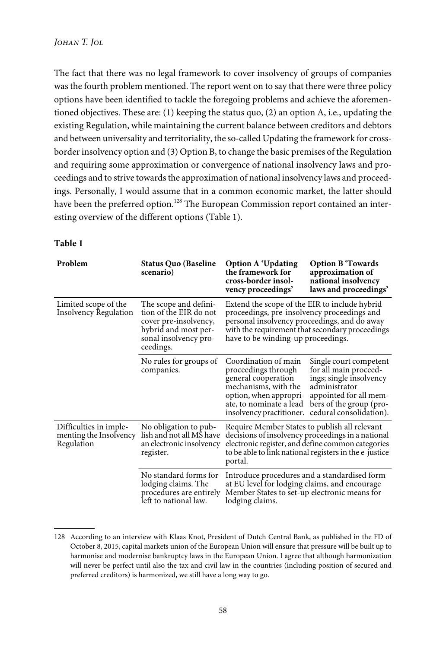The fact that there was no legal framework to cover insolvency of groups of companies was the fourth problem mentioned. The report went on to say that there were three policy options have been identified to tackle the foregoing problems and achieve the aforementioned objectives. These are: (1) keeping the status quo, (2) an option A, i.e., updating the existing Regulation, while maintaining the current balance between creditors and debtors and between universality and territoriality, the so-called Updating the framework for crossborder insolvency option and (3) Option B, to change the basic premises of the Regulation and requiring some approximation or convergence of national insolvency laws and proceedings and to strive towards the approximation of national insolvency laws and proceedings. Personally, I would assume that in a common economic market, the latter should have been the preferred option.<sup>128</sup> The European Commission report contained an interesting overview of the different options (Table 1).

| Problem                                                        | <b>Status Quo (Baseline</b><br>scenario)                                                                                               | <b>Option A 'Updating</b><br>the framework for<br>cross-border insol-<br>vency proceedings'                                                                                                                                           | <b>Option B</b> Towards<br>approximation of<br>national insolvency<br>laws and proceedings'                                                                                 |
|----------------------------------------------------------------|----------------------------------------------------------------------------------------------------------------------------------------|---------------------------------------------------------------------------------------------------------------------------------------------------------------------------------------------------------------------------------------|-----------------------------------------------------------------------------------------------------------------------------------------------------------------------------|
| Limited scope of the<br><b>Insolvency Regulation</b>           | The scope and defini-<br>tion of the EIR do not<br>cover pre-insolvency,<br>hybrid and most per-<br>sonal insolvency pro-<br>ceedings. | Extend the scope of the EIR to include hybrid<br>proceedings, pre-insolvency proceedings and<br>personal insolvency proceedings, and do away<br>with the requirement that secondary proceedings<br>have to be winding-up proceedings. |                                                                                                                                                                             |
|                                                                | No rules for groups of<br>companies.                                                                                                   | Coordination of main<br>proceedings through<br>general cooperation<br>mechanisms, with the<br>option, when appropri-<br>ate, to nominate a lead<br>insolvency practitioner.                                                           | Single court competent<br>for all main proceed-<br>ings; single insolvency<br>administrator<br>appointed for all mem-<br>bers of the group (pro-<br>cedural consolidation). |
| Difficulties in imple-<br>menting the Insolvency<br>Regulation | No obligation to pub-<br>lish and not all MS have<br>an electronic insolvency<br>register.                                             | Require Member States to publish all relevant<br>decisions of insolvency proceedings in a national<br>electronic register, and define common categories<br>to be able to link national registers in the e-justice<br>portal.          |                                                                                                                                                                             |
|                                                                | No standard forms for<br>lodging claims. The<br>procedures are entirely<br>left to national law.                                       | Introduce procedures and a standardised form<br>at EU level for lodging claims, and encourage<br>Member States to set-up electronic means for<br>lodging claims.                                                                      |                                                                                                                                                                             |

### **Table 1**

<sup>128</sup> According to an interview with Klaas Knot, President of Dutch Central Bank, as published in the FD of October 8, 2015, capital markets union of the European Union will ensure that pressure will be built up to harmonise and modernise bankruptcy laws in the European Union. I agree that although harmonization will never be perfect until also the tax and civil law in the countries (including position of secured and preferred creditors) is harmonized, we still have a long way to go.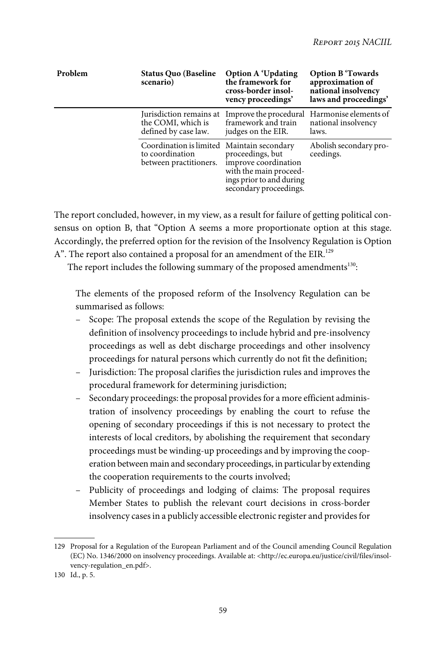| Problem | <b>Status Quo (Baseline</b><br>scenario)                                                | <b>Option A 'Updating</b><br>the framework for<br>cross-border insol-<br>vency proceedings'                              | <b>Option B</b> Towards<br>approximation of<br>national insolvency<br>laws and proceedings' |
|---------|-----------------------------------------------------------------------------------------|--------------------------------------------------------------------------------------------------------------------------|---------------------------------------------------------------------------------------------|
|         | the COMI, which is<br>defined by case law.                                              | Jurisdiction remains at Improve the procedural Harmonise elements of<br>framework and train<br>judges on the EIR.        | national insolvency<br>laws.                                                                |
|         | Coordination is limited Maintain secondary<br>to coordination<br>between practitioners. | proceedings, but<br>improve coordination<br>with the main proceed-<br>ings prior to and during<br>secondary proceedings. | Abolish secondary pro-<br>ceedings.                                                         |

The report concluded, however, in my view, as a result for failure of getting political consensus on option B, that "Option A seems a more proportionate option at this stage. Accordingly, the preferred option for the revision of the Insolvency Regulation is Option A". The report also contained a proposal for an amendment of the EIR.<sup>129</sup>

The report includes the following summary of the proposed amendments $^{130}$ :

The elements of the proposed reform of the Insolvency Regulation can be summarised as follows:

- Scope: The proposal extends the scope of the Regulation by revising the definition of insolvency proceedings to include hybrid and pre-insolvency proceedings as well as debt discharge proceedings and other insolvency proceedings for natural persons which currently do not fit the definition;
- Jurisdiction: The proposal clarifies the jurisdiction rules and improves the procedural framework for determining jurisdiction;
- Secondary proceedings: the proposal provides for a more efficient administration of insolvency proceedings by enabling the court to refuse the opening of secondary proceedings if this is not necessary to protect the interests of local creditors, by abolishing the requirement that secondary proceedings must be winding-up proceedings and by improving the cooperation between main and secondary proceedings, in particular by extending the cooperation requirements to the courts involved;
- Publicity of proceedings and lodging of claims: The proposal requires Member States to publish the relevant court decisions in cross-border insolvency cases in a publicly accessible electronic register and provides for

<sup>129</sup> Proposal for a Regulation of the European Parliament and of the Council amending Council Regulation (EC) No. 1346/2000 on insolvency proceedings. Available at: <http://ec.europa.eu/justice/civil/files/insolvency-regulation\_en.pdf>.

<sup>130</sup> Id., p. 5.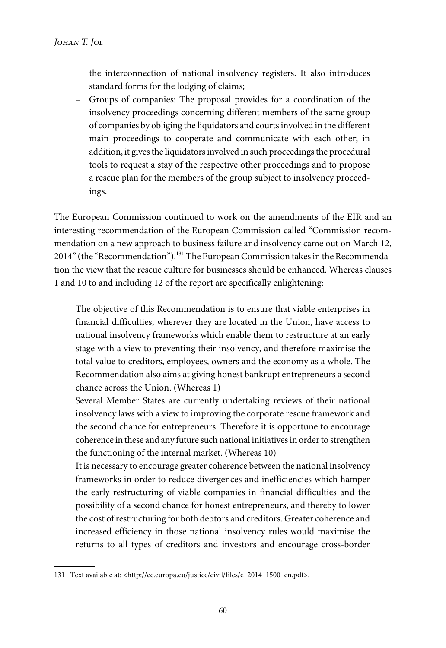the interconnection of national insolvency registers. It also introduces standard forms for the lodging of claims;

– Groups of companies: The proposal provides for a coordination of the insolvency proceedings concerning different members of the same group of companies by obliging the liquidators and courts involved in the different main proceedings to cooperate and communicate with each other; in addition, it gives the liquidators involved in such proceedings the procedural tools to request a stay of the respective other proceedings and to propose a rescue plan for the members of the group subject to insolvency proceedings.

The European Commission continued to work on the amendments of the EIR and an interesting recommendation of the European Commission called "Commission recommendation on a new approach to business failure and insolvency came out on March 12, 2014" (the "Recommendation").<sup>131</sup> The European Commission takes in the Recommendation the view that the rescue culture for businesses should be enhanced. Whereas clauses 1 and 10 to and including 12 of the report are specifically enlightening:

The objective of this Recommendation is to ensure that viable enterprises in financial difficulties, wherever they are located in the Union, have access to national insolvency frameworks which enable them to restructure at an early stage with a view to preventing their insolvency, and therefore maximise the total value to creditors, employees, owners and the economy as a whole. The Recommendation also aims at giving honest bankrupt entrepreneurs a second chance across the Union. (Whereas 1)

Several Member States are currently undertaking reviews of their national insolvency laws with a view to improving the corporate rescue framework and the second chance for entrepreneurs. Therefore it is opportune to encourage coherence in these and any future such national initiatives in order to strengthen the functioning of the internal market. (Whereas 10)

It is necessary to encourage greater coherence between the national insolvency frameworks in order to reduce divergences and inefficiencies which hamper the early restructuring of viable companies in financial difficulties and the possibility of a second chance for honest entrepreneurs, and thereby to lower the cost of restructuring for both debtors and creditors. Greater coherence and increased efficiency in those national insolvency rules would maximise the returns to all types of creditors and investors and encourage cross-border

<sup>131</sup> Text available at: <http://ec.europa.eu/justice/civil/files/c\_2014\_1500\_en.pdf>.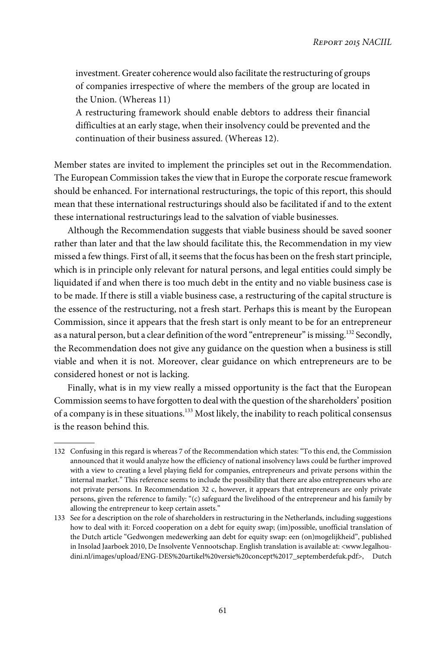investment. Greater coherence would also facilitate the restructuring of groups of companies irrespective of where the members of the group are located in the Union. (Whereas 11)

A restructuring framework should enable debtors to address their financial difficulties at an early stage, when their insolvency could be prevented and the continuation of their business assured. (Whereas 12).

Member states are invited to implement the principles set out in the Recommendation. The European Commission takes the view that in Europe the corporate rescue framework should be enhanced. For international restructurings, the topic of this report, this should mean that these international restructurings should also be facilitated if and to the extent these international restructurings lead to the salvation of viable businesses.

Although the Recommendation suggests that viable business should be saved sooner rather than later and that the law should facilitate this, the Recommendation in my view missed a few things. First of all, it seems that the focus has been on the fresh start principle, which is in principle only relevant for natural persons, and legal entities could simply be liquidated if and when there is too much debt in the entity and no viable business case is to be made. If there is still a viable business case, a restructuring of the capital structure is the essence of the restructuring, not a fresh start. Perhaps this is meant by the European Commission, since it appears that the fresh start is only meant to be for an entrepreneur as a natural person, but a clear definition of the word "entrepreneur" is missing.<sup>132</sup> Secondly, the Recommendation does not give any guidance on the question when a business is still viable and when it is not. Moreover, clear guidance on which entrepreneurs are to be considered honest or not is lacking.

Finally, what is in my view really a missed opportunity is the fact that the European Commission seems to have forgotten to deal with the question of the shareholders' position of a company is in these situations.<sup>133</sup> Most likely, the inability to reach political consensus is the reason behind this.

<sup>132</sup> Confusing in this regard is whereas 7 of the Recommendation which states: "To this end, the Commission announced that it would analyze how the efficiency of national insolvency laws could be further improved with a view to creating a level playing field for companies, entrepreneurs and private persons within the internal market." This reference seems to include the possibility that there are also entrepreneurs who are not private persons. In Recommendation 32 c, however, it appears that entrepreneurs are only private persons, given the reference to family: "(c) safeguard the livelihood of the entrepreneur and his family by allowing the entrepreneur to keep certain assets."

<sup>133</sup> See for a description on the role of shareholders in restructuring in the Netherlands, including suggestions how to deal with it: Forced cooperation on a debt for equity swap; (im)possible, unofficial translation of the Dutch article "Gedwongen medewerking aan debt for equity swap: een (on)mogelijkheid", published in Insolad Jaarboek 2010, De Insolvente Vennootschap. English translation is available at: <www.legalhoudini.nl/images/upload/ENG-DES%20artikel%20versie%20concept%2017\_septemberdefuk.pdf>, Dutch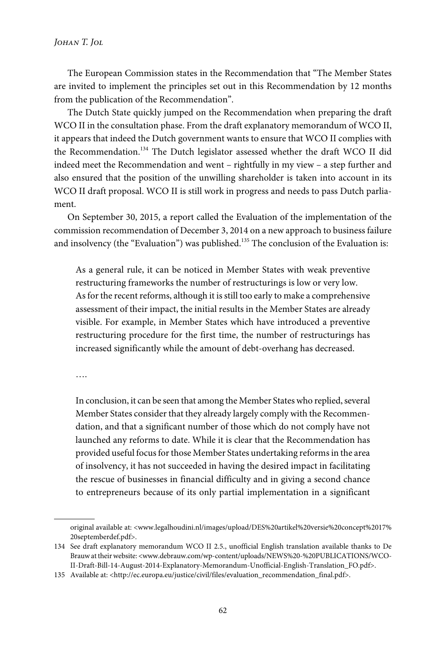The European Commission states in the Recommendation that "The Member States are invited to implement the principles set out in this Recommendation by 12 months from the publication of the Recommendation".

The Dutch State quickly jumped on the Recommendation when preparing the draft WCO II in the consultation phase. From the draft explanatory memorandum of WCO II, it appears that indeed the Dutch government wants to ensure that WCO II complies with the Recommendation.<sup>134</sup> The Dutch legislator assessed whether the draft WCO II did indeed meet the Recommendation and went – rightfully in my view – a step further and also ensured that the position of the unwilling shareholder is taken into account in its WCO II draft proposal. WCO II is still work in progress and needs to pass Dutch parliament.

On September 30, 2015, a report called the Evaluation of the implementation of the commission recommendation of December 3, 2014 on a new approach to business failure and insolvency (the "Evaluation") was published.<sup>135</sup> The conclusion of the Evaluation is:

As a general rule, it can be noticed in Member States with weak preventive restructuring frameworks the number of restructurings is low or very low. As for the recent reforms, although it is still too early to make a comprehensive assessment of their impact, the initial results in the Member States are already visible. For example, in Member States which have introduced a preventive restructuring procedure for the first time, the number of restructurings has increased significantly while the amount of debt-overhang has decreased.

….

In conclusion, it can be seen that among the Member States who replied, several Member States consider that they already largely comply with the Recommendation, and that a significant number of those which do not comply have not launched any reforms to date. While it is clear that the Recommendation has provided useful focus for those Member States undertaking reforms in the area of insolvency, it has not succeeded in having the desired impact in facilitating the rescue of businesses in financial difficulty and in giving a second chance to entrepreneurs because of its only partial implementation in a significant

original available at: <www.legalhoudini.nl/images/upload/DES%20artikel%20versie%20concept%2017% 20septemberdef.pdf>.

<sup>134</sup> See draft explanatory memorandum WCO II 2.5., unofficial English translation available thanks to De Brauw at their website: <www.debrauw.com/wp-content/uploads/NEWS%20-%20PUBLICATIONS/WCO-II-Draft-Bill-14-August-2014-Explanatory-Memorandum-Unofficial-English-Translation\_FO.pdf>.

<sup>135</sup> Available at: <http://ec.europa.eu/justice/civil/files/evaluation\_recommendation\_final.pdf>.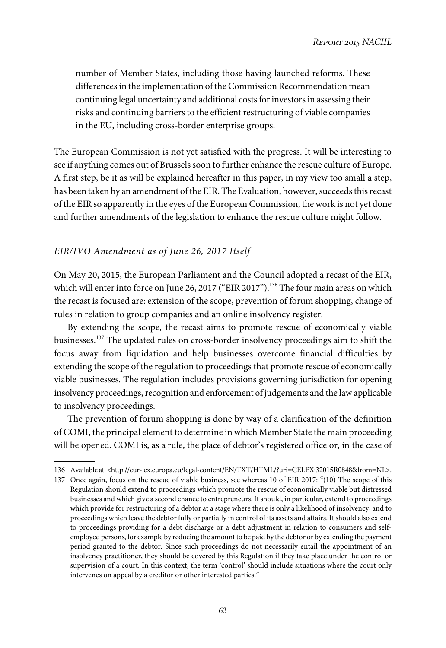number of Member States, including those having launched reforms. These differences in the implementation of the Commission Recommendation mean continuing legal uncertainty and additional costs for investors in assessing their risks and continuing barriers to the efficient restructuring of viable companies in the EU, including cross-border enterprise groups.

The European Commission is not yet satisfied with the progress. It will be interesting to see if anything comes out of Brussels soon to further enhance the rescue culture of Europe. A first step, be it as will be explained hereafter in this paper, in my view too small a step, has been taken by an amendment of the EIR. The Evaluation, however, succeeds this recast of the EIR so apparently in the eyes of the European Commission, the work is not yet done and further amendments of the legislation to enhance the rescue culture might follow.

# EIR/IVO Amendment as of June 26, 2017 Itself

On May 20, 2015, the European Parliament and the Council adopted a recast of the EIR, which will enter into force on June 26, 2017 ("EIR 2017").<sup>136</sup> The four main areas on which the recast is focused are: extension of the scope, prevention of forum shopping, change of rules in relation to group companies and an online insolvency register.

By extending the scope, the recast aims to promote rescue of economically viable businesses.<sup>137</sup> The updated rules on cross-border insolvency proceedings aim to shift the focus away from liquidation and help businesses overcome financial difficulties by extending the scope of the regulation to proceedings that promote rescue of economically viable businesses. The regulation includes provisions governing jurisdiction for opening insolvency proceedings, recognition and enforcement of judgements and the law applicable to insolvency proceedings.

The prevention of forum shopping is done by way of a clarification of the definition of COMI, the principal element to determine in which Member State the main proceeding will be opened. COMI is, as a rule, the place of debtor's registered office or, in the case of

<sup>136</sup> Available at: <http://eur-lex.europa.eu/legal-content/EN/TXT/HTML/?uri=CELEX:32015R0848&from=NL>.

<sup>137</sup> Once again, focus on the rescue of viable business, see whereas 10 of EIR 2017: "(10) The scope of this Regulation should extend to proceedings which promote the rescue of economically viable but distressed businesses and which give a second chance to entrepreneurs. It should, in particular, extend to proceedings which provide for restructuring of a debtor at a stage where there is only a likelihood of insolvency, and to proceedings which leave the debtor fully or partially in control of its assets and affairs. It should also extend to proceedings providing for a debt discharge or a debt adjustment in relation to consumers and selfemployed persons, for example by reducing the amount to be paid by the debtor or by extending the payment period granted to the debtor. Since such proceedings do not necessarily entail the appointment of an insolvency practitioner, they should be covered by this Regulation if they take place under the control or supervision of a court. In this context, the term 'control' should include situations where the court only intervenes on appeal by a creditor or other interested parties."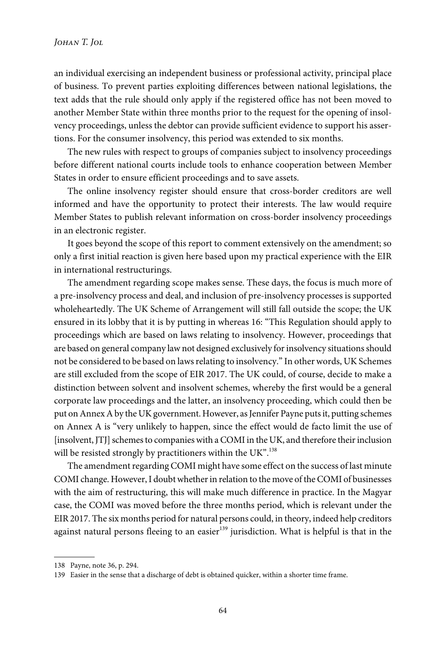an individual exercising an independent business or professional activity, principal place of business. To prevent parties exploiting differences between national legislations, the text adds that the rule should only apply if the registered office has not been moved to another Member State within three months prior to the request for the opening of insolvency proceedings, unless the debtor can provide sufficient evidence to support his assertions. For the consumer insolvency, this period was extended to six months.

The new rules with respect to groups of companies subject to insolvency proceedings before different national courts include tools to enhance cooperation between Member States in order to ensure efficient proceedings and to save assets.

The online insolvency register should ensure that cross-border creditors are well informed and have the opportunity to protect their interests. The law would require Member States to publish relevant information on cross-border insolvency proceedings in an electronic register.

It goes beyond the scope of this report to comment extensively on the amendment; so only a first initial reaction is given here based upon my practical experience with the EIR in international restructurings.

The amendment regarding scope makes sense. These days, the focus is much more of a pre-insolvency process and deal, and inclusion of pre-insolvency processes is supported wholeheartedly. The UK Scheme of Arrangement will still fall outside the scope; the UK ensured in its lobby that it is by putting in whereas 16: "This Regulation should apply to proceedings which are based on laws relating to insolvency. However, proceedings that are based on general company law not designed exclusively for insolvency situations should not be considered to be based on laws relating to insolvency." In other words, UK Schemes are still excluded from the scope of EIR 2017. The UK could, of course, decide to make a distinction between solvent and insolvent schemes, whereby the first would be a general corporate law proceedings and the latter, an insolvency proceeding, which could then be put on Annex A by the UK government. However, as Jennifer Payne puts it, putting schemes on Annex A is "very unlikely to happen, since the effect would de facto limit the use of [insolvent, JTJ] schemes to companies with a COMI in the UK, and therefore their inclusion will be resisted strongly by practitioners within the UK". $^{\rm 138}$ 

The amendment regarding COMI might have some effect on the success of last minute COMI change. However, I doubt whether in relation to the move of the COMI of businesses with the aim of restructuring, this will make much difference in practice. In the Magyar case, the COMI was moved before the three months period, which is relevant under the EIR 2017. The six months period for natural persons could, in theory, indeed help creditors against natural persons fleeing to an easier<sup>139</sup> jurisdiction. What is helpful is that in the

<sup>138</sup> Payne, note 36, p. 294.

<sup>139</sup> Easier in the sense that a discharge of debt is obtained quicker, within a shorter time frame.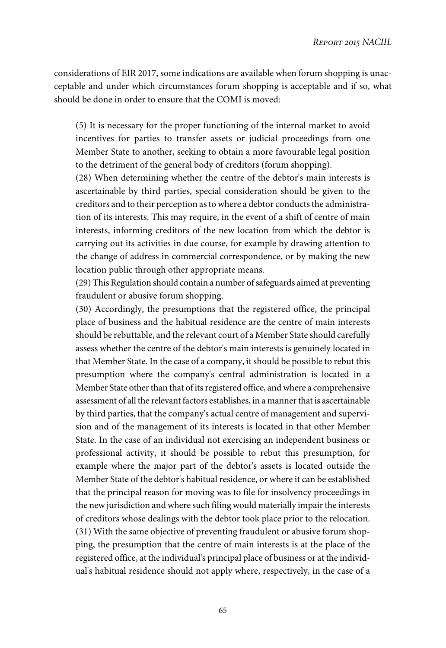considerations of EIR 2017, some indications are available when forum shopping is unacceptable and under which circumstances forum shopping is acceptable and if so, what should be done in order to ensure that the COMI is moved:

(5) It is necessary for the proper functioning of the internal market to avoid incentives for parties to transfer assets or judicial proceedings from one Member State to another, seeking to obtain a more favourable legal position to the detriment of the general body of creditors (forum shopping).

(28) When determining whether the centre of the debtor's main interests is ascertainable by third parties, special consideration should be given to the creditors and to their perception as to where a debtor conducts the administration of its interests. This may require, in the event of a shift of centre of main interests, informing creditors of the new location from which the debtor is carrying out its activities in due course, for example by drawing attention to the change of address in commercial correspondence, or by making the new location public through other appropriate means.

(29) This Regulation should contain a number of safeguards aimed at preventing fraudulent or abusive forum shopping.

(30) Accordingly, the presumptions that the registered office, the principal place of business and the habitual residence are the centre of main interests should be rebuttable, and the relevant court of a Member State should carefully assess whether the centre of the debtor's main interests is genuinely located in that Member State. In the case of a company, it should be possible to rebut this presumption where the company's central administration is located in a Member State other than that of its registered office, and where a comprehensive assessment of all the relevant factors establishes, in a manner that is ascertainable by third parties, that the company's actual centre of management and supervision and of the management of its interests is located in that other Member State. In the case of an individual not exercising an independent business or professional activity, it should be possible to rebut this presumption, for example where the major part of the debtor's assets is located outside the Member State of the debtor's habitual residence, or where it can be established that the principal reason for moving was to file for insolvency proceedings in the new jurisdiction and where such filing would materially impair the interests of creditors whose dealings with the debtor took place prior to the relocation. (31) With the same objective of preventing fraudulent or abusive forum shopping, the presumption that the centre of main interests is at the place of the registered office, at the individual's principal place of business or at the individual's habitual residence should not apply where, respectively, in the case of a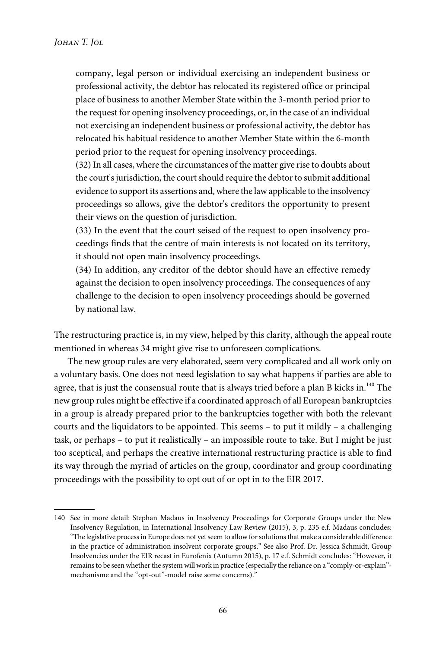company, legal person or individual exercising an independent business or professional activity, the debtor has relocated its registered office or principal place of business to another Member State within the 3-month period prior to the request for opening insolvency proceedings, or, in the case of an individual not exercising an independent business or professional activity, the debtor has relocated his habitual residence to another Member State within the 6-month period prior to the request for opening insolvency proceedings.

(32) In all cases, where the circumstances of the matter give rise to doubts about the court's jurisdiction, the court should require the debtor to submit additional evidence to support its assertions and, where the law applicable to the insolvency proceedings so allows, give the debtor's creditors the opportunity to present their views on the question of jurisdiction.

(33) In the event that the court seised of the request to open insolvency proceedings finds that the centre of main interests is not located on its territory, it should not open main insolvency proceedings.

(34) In addition, any creditor of the debtor should have an effective remedy against the decision to open insolvency proceedings. The consequences of any challenge to the decision to open insolvency proceedings should be governed by national law.

The restructuring practice is, in my view, helped by this clarity, although the appeal route mentioned in whereas 34 might give rise to unforeseen complications.

The new group rules are very elaborated, seem very complicated and all work only on a voluntary basis. One does not need legislation to say what happens if parties are able to agree, that is just the consensual route that is always tried before a plan B kicks in.<sup>140</sup> The new group rules might be effective if a coordinated approach of all European bankruptcies in a group is already prepared prior to the bankruptcies together with both the relevant courts and the liquidators to be appointed. This seems – to put it mildly – a challenging task, or perhaps – to put it realistically – an impossible route to take. But I might be just too sceptical, and perhaps the creative international restructuring practice is able to find its way through the myriad of articles on the group, coordinator and group coordinating proceedings with the possibility to opt out of or opt in to the EIR 2017.

<sup>140</sup> See in more detail: Stephan Madaus in Insolvency Proceedings for Corporate Groups under the New Insolvency Regulation, in International Insolvency Law Review (2015), 3, p. 235 e.f. Madaus concludes: "The legislative process in Europe does not yet seem to allow for solutions that make a considerable difference in the practice of administration insolvent corporate groups." See also Prof. Dr. Jessica Schmidt, Group Insolvencies under the EIR recast in Eurofenix (Autumn 2015), p. 17 e.f. Schmidt concludes: "However, it remains to be seen whether the system will work in practice (especially the reliance on a "comply-or-explain" mechanisme and the "opt-out"-model raise some concerns)."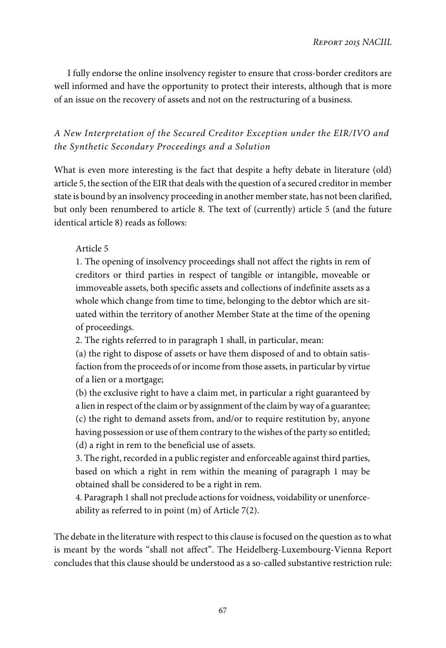I fully endorse the online insolvency register to ensure that cross-border creditors are well informed and have the opportunity to protect their interests, although that is more of an issue on the recovery of assets and not on the restructuring of a business.

# A New Interpretation of the Secured Creditor Exception under the EIR/IVO and the Synthetic Secondary Proceedings and a Solution

What is even more interesting is the fact that despite a hefty debate in literature (old) article 5, the section of the EIR that deals with the question of a secured creditor in member state is bound by an insolvency proceeding in another member state, has not been clarified, but only been renumbered to article 8. The text of (currently) article 5 (and the future identical article 8) reads as follows:

## Article 5

1. The opening of insolvency proceedings shall not affect the rights in rem of creditors or third parties in respect of tangible or intangible, moveable or immoveable assets, both specific assets and collections of indefinite assets as a whole which change from time to time, belonging to the debtor which are situated within the territory of another Member State at the time of the opening of proceedings.

2. The rights referred to in paragraph 1 shall, in particular, mean:

(a) the right to dispose of assets or have them disposed of and to obtain satisfaction from the proceeds of or income from those assets, in particular by virtue of a lien or a mortgage;

(b) the exclusive right to have a claim met, in particular a right guaranteed by a lien in respect of the claim or by assignment of the claim by way of a guarantee; (c) the right to demand assets from, and/or to require restitution by, anyone having possession or use of them contrary to the wishes of the party so entitled; (d) a right in rem to the beneficial use of assets.

3. The right, recorded in a public register and enforceable against third parties, based on which a right in rem within the meaning of paragraph 1 may be obtained shall be considered to be a right in rem.

4. Paragraph 1 shall not preclude actions for voidness, voidability or unenforceability as referred to in point (m) of Article 7(2).

The debate in the literature with respect to this clause is focused on the question as to what is meant by the words "shall not affect". The Heidelberg-Luxembourg-Vienna Report concludes that this clause should be understood as a so-called substantive restriction rule: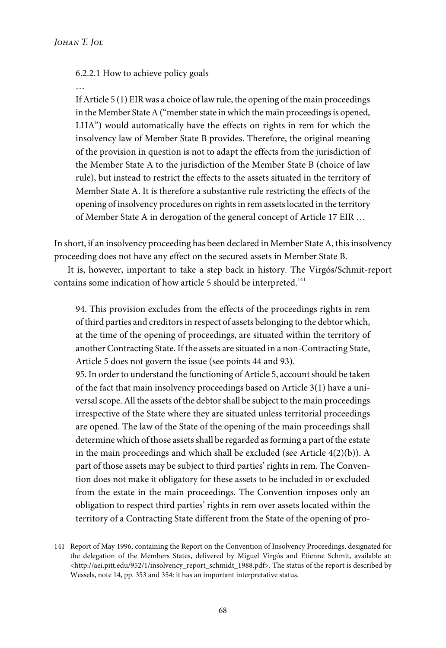## 6.2.2.1 How to achieve policy goals

If Article 5 (1) EIR was a choice of law rule, the opening of the main proceedings in the Member State A ("member state in which the main proceedings is opened, LHA") would automatically have the effects on rights in rem for which the insolvency law of Member State B provides. Therefore, the original meaning of the provision in question is not to adapt the effects from the jurisdiction of the Member State A to the jurisdiction of the Member State B (choice of law rule), but instead to restrict the effects to the assets situated in the territory of Member State A. It is therefore a substantive rule restricting the effects of the opening of insolvency procedures on rights in rem assets located in the territory of Member State A in derogation of the general concept of Article 17 EIR …

In short, if an insolvency proceeding has been declared in Member State A, this insolvency proceeding does not have any effect on the secured assets in Member State B.

It is, however, important to take a step back in history. The Virgós/Schmit-report contains some indication of how article 5 should be interpreted.<sup>141</sup>

94. This provision excludes from the effects of the proceedings rights in rem of third parties and creditors in respect of assets belonging to the debtor which, at the time of the opening of proceedings, are situated within the territory of another Contracting State. If the assets are situated in a non-Contracting State, Article 5 does not govern the issue (see points 44 and 93).

95. In order to understand the functioning of Article 5, account should be taken of the fact that main insolvency proceedings based on Article 3(1) have a universal scope. All the assets of the debtor shall be subject to the main proceedings irrespective of the State where they are situated unless territorial proceedings are opened. The law of the State of the opening of the main proceedings shall determine which of those assets shall be regarded as forming a part of the estate in the main proceedings and which shall be excluded (see Article 4(2)(b)). A part of those assets may be subject to third parties' rights in rem. The Convention does not make it obligatory for these assets to be included in or excluded from the estate in the main proceedings. The Convention imposes only an obligation to respect third parties' rights in rem over assets located within the territory of a Contracting State different from the State of the opening of pro-

<sup>141</sup> Report of May 1996, containing the Report on the Convention of Insolvency Proceedings, designated for the delegation of the Members States, delivered by Miguel Virgós and Etienne Schmit, available at: <http://aei.pitt.edu/952/1/insolvency\_report\_schmidt\_1988.pdf>. The status of the report is described by Wessels, note 14, pp. 353 and 354: it has an important interpretative status.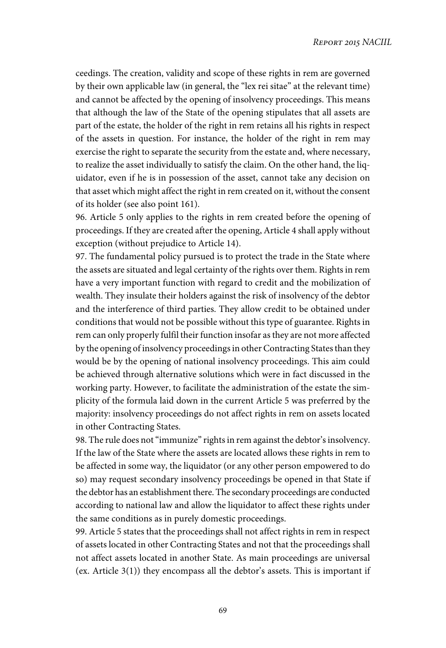ceedings. The creation, validity and scope of these rights in rem are governed by their own applicable law (in general, the "lex rei sitae" at the relevant time) and cannot be affected by the opening of insolvency proceedings. This means that although the law of the State of the opening stipulates that all assets are part of the estate, the holder of the right in rem retains all his rights in respect of the assets in question. For instance, the holder of the right in rem may exercise the right to separate the security from the estate and, where necessary, to realize the asset individually to satisfy the claim. On the other hand, the liquidator, even if he is in possession of the asset, cannot take any decision on that asset which might affect the right in rem created on it, without the consent of its holder (see also point 161).

96. Article 5 only applies to the rights in rem created before the opening of proceedings. If they are created after the opening, Article 4 shall apply without exception (without prejudice to Article 14).

97. The fundamental policy pursued is to protect the trade in the State where the assets are situated and legal certainty of the rights over them. Rights in rem have a very important function with regard to credit and the mobilization of wealth. They insulate their holders against the risk of insolvency of the debtor and the interference of third parties. They allow credit to be obtained under conditions that would not be possible without this type of guarantee. Rights in rem can only properly fulfil their function insofar as they are not more affected by the opening of insolvency proceedings in other Contracting States than they would be by the opening of national insolvency proceedings. This aim could be achieved through alternative solutions which were in fact discussed in the working party. However, to facilitate the administration of the estate the simplicity of the formula laid down in the current Article 5 was preferred by the majority: insolvency proceedings do not affect rights in rem on assets located in other Contracting States.

98. The rule does not"immunize" rights in rem against the debtor's insolvency. If the law of the State where the assets are located allows these rights in rem to be affected in some way, the liquidator (or any other person empowered to do so) may request secondary insolvency proceedings be opened in that State if the debtor has an establishment there. The secondary proceedings are conducted according to national law and allow the liquidator to affect these rights under the same conditions as in purely domestic proceedings.

99. Article 5 states that the proceedings shall not affect rights in rem in respect of assets located in other Contracting States and not that the proceedings shall not affect assets located in another State. As main proceedings are universal (ex. Article 3(1)) they encompass all the debtor's assets. This is important if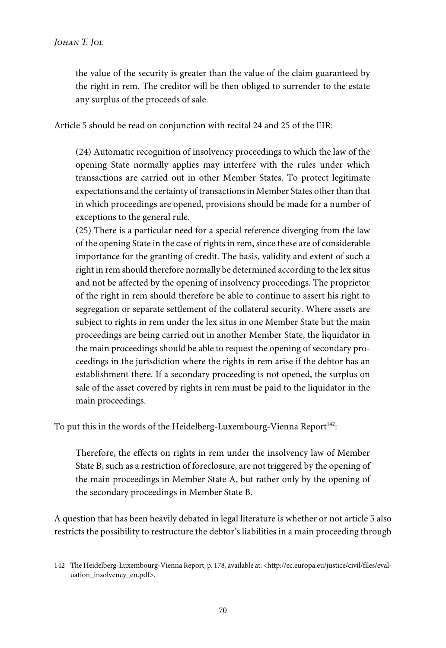the value of the security is greater than the value of the claim guaranteed by the right in rem. The creditor will be then obliged to surrender to the estate any surplus of the proceeds of sale.

Article 5 should be read on conjunction with recital 24 and 25 of the EIR:

(24) Automatic recognition of insolvency proceedings to which the law of the opening State normally applies may interfere with the rules under which transactions are carried out in other Member States. To protect legitimate expectations and the certainty of transactions in Member States other than that in which proceedings are opened, provisions should be made for a number of exceptions to the general rule.

(25) There is a particular need for a special reference diverging from the law of the opening State in the case of rights in rem, since these are of considerable importance for the granting of credit. The basis, validity and extent of such a right in rem should therefore normally be determined according to the lex situs and not be affected by the opening of insolvency proceedings. The proprietor of the right in rem should therefore be able to continue to assert his right to segregation or separate settlement of the collateral security. Where assets are subject to rights in rem under the lex situs in one Member State but the main proceedings are being carried out in another Member State, the liquidator in the main proceedings should be able to request the opening of secondary proceedings in the jurisdiction where the rights in rem arise if the debtor has an establishment there. If a secondary proceeding is not opened, the surplus on sale of the asset covered by rights in rem must be paid to the liquidator in the main proceedings.

To put this in the words of the Heidelberg-Luxembourg-Vienna Report $^{\rm 142}$ :

Therefore, the effects on rights in rem under the insolvency law of Member State B, such as a restriction of foreclosure, are not triggered by the opening of the main proceedings in Member State A, but rather only by the opening of the secondary proceedings in Member State B.

A question that has been heavily debated in legal literature is whether or not article 5 also restricts the possibility to restructure the debtor's liabilities in a main proceeding through

<sup>142</sup> The Heidelberg-Luxembourg-Vienna Report, p. 178, available at: <http://ec.europa.eu/justice/civil/files/evaluation\_insolvency\_en.pdf>.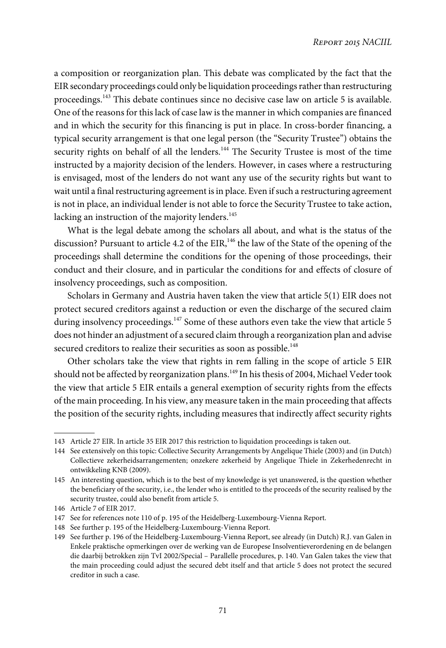a composition or reorganization plan. This debate was complicated by the fact that the EIR secondary proceedings could only be liquidation proceedings rather than restructuring proceedings.<sup>143</sup> This debate continues since no decisive case law on article 5 is available. One of the reasons for this lack of case law is the manner in which companies are financed and in which the security for this financing is put in place. In cross-border financing, a typical security arrangement is that one legal person (the "Security Trustee") obtains the security rights on behalf of all the lenders.<sup>144</sup> The Security Trustee is most of the time instructed by a majority decision of the lenders. However, in cases where a restructuring is envisaged, most of the lenders do not want any use of the security rights but want to wait until a final restructuring agreement is in place. Even if such a restructuring agreement is not in place, an individual lender is not able to force the Security Trustee to take action, lacking an instruction of the majority lenders.<sup>145</sup>

What is the legal debate among the scholars all about, and what is the status of the discussion? Pursuant to article 4.2 of the EIR,<sup>146</sup> the law of the State of the opening of the proceedings shall determine the conditions for the opening of those proceedings, their conduct and their closure, and in particular the conditions for and effects of closure of insolvency proceedings, such as composition.

Scholars in Germany and Austria haven taken the view that article 5(1) EIR does not protect secured creditors against a reduction or even the discharge of the secured claim during insolvency proceedings.<sup>147</sup> Some of these authors even take the view that article 5 does not hinder an adjustment of a secured claim through a reorganization plan and advise secured creditors to realize their securities as soon as possible.<sup>148</sup>

Other scholars take the view that rights in rem falling in the scope of article 5 EIR should not be affected by reorganization plans.<sup>149</sup> In his thesis of 2004, Michael Veder took the view that article 5 EIR entails a general exemption of security rights from the effects of the main proceeding. In his view, any measure taken in the main proceeding that affects the position of the security rights, including measures that indirectly affect security rights

<sup>143</sup> Article 27 EIR. In article 35 EIR 2017 this restriction to liquidation proceedings is taken out.

<sup>144</sup> See extensively on this topic: Collective Security Arrangements by Angelique Thiele (2003) and (in Dutch) Collectieve zekerheidsarrangementen; onzekere zekerheid by Angelique Thiele in Zekerhedenrecht in ontwikkeling KNB (2009).

<sup>145</sup> An interesting question, which is to the best of my knowledge is yet unanswered, is the question whether the beneficiary of the security, i.e., the lender who is entitled to the proceeds of the security realised by the security trustee, could also benefit from article 5.

<sup>146</sup> Article 7 of EIR 2017.

<sup>147</sup> See for references note 110 of p. 195 of the Heidelberg-Luxembourg-Vienna Report.

<sup>148</sup> See further p. 195 of the Heidelberg-Luxembourg-Vienna Report.

<sup>149</sup> See further p. 196 of the Heidelberg-Luxembourg-Vienna Report, see already (in Dutch) R.J. van Galen in Enkele praktische opmerkingen over de werking van de Europese Insolventieverordening en de belangen die daarbij betrokken zijn TvI 2002/Special – Parallelle procedures, p. 140. Van Galen takes the view that the main proceeding could adjust the secured debt itself and that article 5 does not protect the secured creditor in such a case.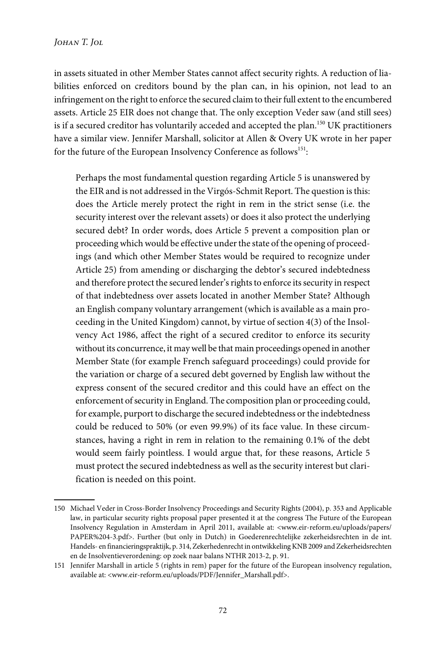in assets situated in other Member States cannot affect security rights. A reduction of liabilities enforced on creditors bound by the plan can, in his opinion, not lead to an infringement on the right to enforce the secured claim to their full extent to the encumbered assets. Article 25 EIR does not change that. The only exception Veder saw (and still sees) is if a secured creditor has voluntarily acceded and accepted the plan.<sup>150</sup> UK practitioners have a similar view. Jennifer Marshall, solicitor at Allen & Overy UK wrote in her paper for the future of the European Insolvency Conference as follows<sup>151</sup>:

Perhaps the most fundamental question regarding Article 5 is unanswered by the EIR and is not addressed in the Virgós-Schmit Report. The question is this: does the Article merely protect the right in rem in the strict sense (i.e. the security interest over the relevant assets) or does it also protect the underlying secured debt? In order words, does Article 5 prevent a composition plan or proceeding which would be effective under the state of the opening of proceedings (and which other Member States would be required to recognize under Article 25) from amending or discharging the debtor's secured indebtedness and therefore protect the secured lender's rights to enforce its security in respect of that indebtedness over assets located in another Member State? Although an English company voluntary arrangement (which is available as a main proceeding in the United Kingdom) cannot, by virtue of section 4(3) of the Insolvency Act 1986, affect the right of a secured creditor to enforce its security without its concurrence, it may well be that main proceedings opened in another Member State (for example French safeguard proceedings) could provide for the variation or charge of a secured debt governed by English law without the express consent of the secured creditor and this could have an effect on the enforcement of security in England. The composition plan or proceeding could, for example, purport to discharge the secured indebtedness or the indebtedness could be reduced to 50% (or even 99.9%) of its face value. In these circumstances, having a right in rem in relation to the remaining 0.1% of the debt would seem fairly pointless. I would argue that, for these reasons, Article 5 must protect the secured indebtedness as well as the security interest but clarification is needed on this point.

<sup>150</sup> Michael Veder in Cross-Border Insolvency Proceedings and Security Rights (2004), p. 353 and Applicable law, in particular security rights proposal paper presented it at the congress The Future of the European Insolvency Regulation in Amsterdam in April 2011, available at: <www.eir-reform.eu/uploads/papers/ PAPER%204-3.pdf>. Further (but only in Dutch) in Goederenrechtelijke zekerheidsrechten in de int. Handels- en financieringspraktijk, p. 314, Zekerhedenrecht in ontwikkeling KNB 2009 and Zekerheidsrechten en de Insolventieverordening: op zoek naar balans NTHR 2013-2, p. 91.

<sup>151</sup> Jennifer Marshall in article 5 (rights in rem) paper for the future of the European insolvency regulation, available at: <www.eir-reform.eu/uploads/PDF/Jennifer\_Marshall.pdf>.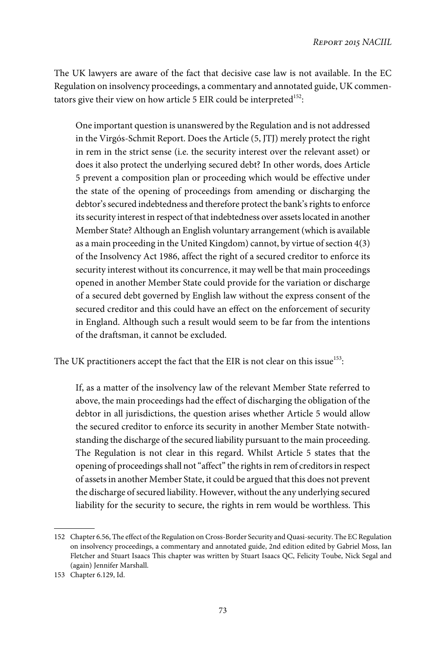The UK lawyers are aware of the fact that decisive case law is not available. In the EC Regulation on insolvency proceedings, a commentary and annotated guide, UK commentators give their view on how article 5 EIR could be interpreted<sup>152</sup>:

One important question is unanswered by the Regulation and is not addressed in the Virgós-Schmit Report. Does the Article (5, JTJ) merely protect the right in rem in the strict sense (i.e. the security interest over the relevant asset) or does it also protect the underlying secured debt? In other words, does Article 5 prevent a composition plan or proceeding which would be effective under the state of the opening of proceedings from amending or discharging the debtor's secured indebtedness and therefore protect the bank's rights to enforce its security interest in respect of that indebtedness over assets located in another Member State? Although an English voluntary arrangement (which is available as a main proceeding in the United Kingdom) cannot, by virtue of section 4(3) of the Insolvency Act 1986, affect the right of a secured creditor to enforce its security interest without its concurrence, it may well be that main proceedings opened in another Member State could provide for the variation or discharge of a secured debt governed by English law without the express consent of the secured creditor and this could have an effect on the enforcement of security in England. Although such a result would seem to be far from the intentions of the draftsman, it cannot be excluded.

The UK practitioners accept the fact that the EIR is not clear on this issue $^{153}$ :

If, as a matter of the insolvency law of the relevant Member State referred to above, the main proceedings had the effect of discharging the obligation of the debtor in all jurisdictions, the question arises whether Article 5 would allow the secured creditor to enforce its security in another Member State notwithstanding the discharge of the secured liability pursuant to the main proceeding. The Regulation is not clear in this regard. Whilst Article 5 states that the opening of proceedings shall not"affect" the rights in rem of creditors in respect of assets in another Member State, it could be argued that this does not prevent the discharge of secured liability. However, without the any underlying secured liability for the security to secure, the rights in rem would be worthless. This

<sup>152</sup> Chapter 6.56, The effect of the Regulation on Cross-Border Security and Quasi-security. The EC Regulation on insolvency proceedings, a commentary and annotated guide, 2nd edition edited by Gabriel Moss, Ian Fletcher and Stuart Isaacs This chapter was written by Stuart Isaacs QC, Felicity Toube, Nick Segal and (again) Jennifer Marshall.

<sup>153</sup> Chapter 6.129, Id.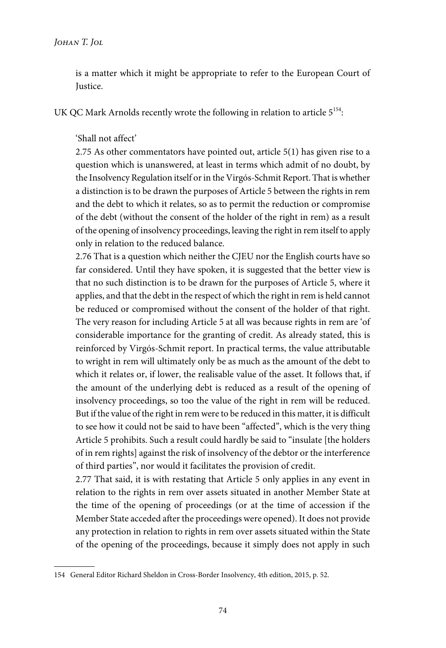is a matter which it might be appropriate to refer to the European Court of Justice.

UK QC Mark Arnolds recently wrote the following in relation to article  $5^{154}\!$ :

'Shall not affect'

2.75 As other commentators have pointed out, article 5(1) has given rise to a question which is unanswered, at least in terms which admit of no doubt, by the Insolvency Regulation itself or in the Virgós-Schmit Report. That is whether a distinction is to be drawn the purposes of Article 5 between the rights in rem and the debt to which it relates, so as to permit the reduction or compromise of the debt (without the consent of the holder of the right in rem) as a result of the opening of insolvency proceedings, leaving the right in rem itself to apply only in relation to the reduced balance.

2.76 That is a question which neither the CJEU nor the English courts have so far considered. Until they have spoken, it is suggested that the better view is that no such distinction is to be drawn for the purposes of Article 5, where it applies, and that the debt in the respect of which the right in rem is held cannot be reduced or compromised without the consent of the holder of that right. The very reason for including Article 5 at all was because rights in rem are 'of considerable importance for the granting of credit. As already stated, this is reinforced by Virgós-Schmit report. In practical terms, the value attributable to wright in rem will ultimately only be as much as the amount of the debt to which it relates or, if lower, the realisable value of the asset. It follows that, if the amount of the underlying debt is reduced as a result of the opening of insolvency proceedings, so too the value of the right in rem will be reduced. But if the value of the right in rem were to be reduced in this matter, it is difficult to see how it could not be said to have been "affected", which is the very thing Article 5 prohibits. Such a result could hardly be said to "insulate [the holders of in rem rights] against the risk of insolvency of the debtor or the interference of third parties", nor would it facilitates the provision of credit.

2.77 That said, it is with restating that Article 5 only applies in any event in relation to the rights in rem over assets situated in another Member State at the time of the opening of proceedings (or at the time of accession if the Member State acceded after the proceedings were opened). It does not provide any protection in relation to rights in rem over assets situated within the State of the opening of the proceedings, because it simply does not apply in such

<sup>154</sup> General Editor Richard Sheldon in Cross-Border Insolvency, 4th edition, 2015, p. 52.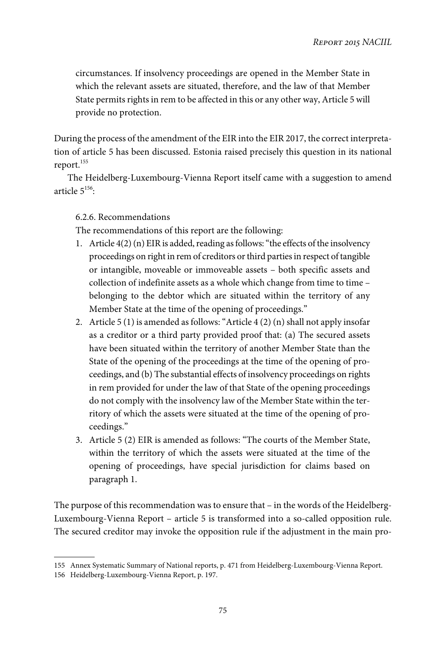circumstances. If insolvency proceedings are opened in the Member State in which the relevant assets are situated, therefore, and the law of that Member State permits rights in rem to be affected in this or any other way, Article 5 will provide no protection.

During the process of the amendment of the EIR into the EIR 2017, the correct interpretation of article 5 has been discussed. Estonia raised precisely this question in its national report.<sup>155</sup>

The Heidelberg-Luxembourg-Vienna Report itself came with a suggestion to amend article  $5^{156}$ :

## 6.2.6. Recommendations

The recommendations of this report are the following:

- 1. Article 4(2) (n) EIR is added, reading as follows:"the effects of the insolvency proceedings on right in rem of creditors or third parties in respect of tangible or intangible, moveable or immoveable assets – both specific assets and collection of indefinite assets as a whole which change from time to time belonging to the debtor which are situated within the territory of any Member State at the time of the opening of proceedings."
- 2. Article  $5(1)$  is amended as follows: "Article  $4(2)(n)$  shall not apply insofar as a creditor or a third party provided proof that: (a) The secured assets have been situated within the territory of another Member State than the State of the opening of the proceedings at the time of the opening of proceedings, and (b) The substantial effects of insolvency proceedings on rights in rem provided for under the law of that State of the opening proceedings do not comply with the insolvency law of the Member State within the territory of which the assets were situated at the time of the opening of proceedings."
- 3. Article 5 (2) EIR is amended as follows: "The courts of the Member State, within the territory of which the assets were situated at the time of the opening of proceedings, have special jurisdiction for claims based on paragraph 1.

The purpose of this recommendation was to ensure that – in the words of the Heidelberg-Luxembourg-Vienna Report – article 5 is transformed into a so-called opposition rule. The secured creditor may invoke the opposition rule if the adjustment in the main pro-

<sup>155</sup> Annex Systematic Summary of National reports, p. 471 from Heidelberg-Luxembourg-Vienna Report.

<sup>156</sup> Heidelberg-Luxembourg-Vienna Report, p. 197.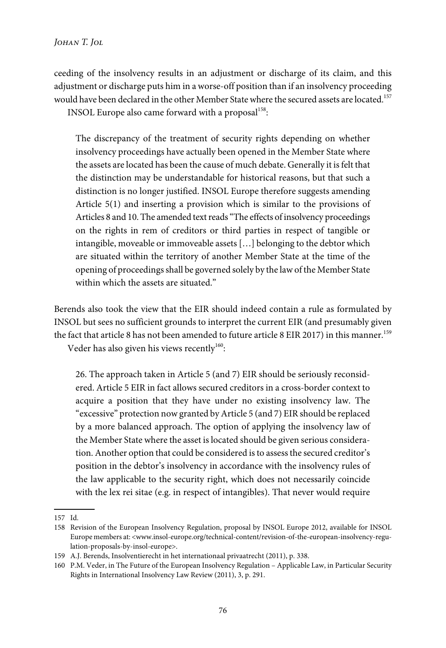ceeding of the insolvency results in an adjustment or discharge of its claim, and this adjustment or discharge puts him in a worse-off position than if an insolvency proceeding would have been declared in the other Member State where the secured assets are located.<sup>157</sup> INSOL Europe also came forward with a proposal<sup>158</sup>:

The discrepancy of the treatment of security rights depending on whether insolvency proceedings have actually been opened in the Member State where the assets are located has been the cause of much debate. Generally it is felt that the distinction may be understandable for historical reasons, but that such a distinction is no longer justified. INSOL Europe therefore suggests amending Article 5(1) and inserting a provision which is similar to the provisions of Articles 8 and 10. The amended text reads"The effects of insolvency proceedings on the rights in rem of creditors or third parties in respect of tangible or intangible, moveable or immoveable assets […] belonging to the debtor which are situated within the territory of another Member State at the time of the opening of proceedings shall be governed solely by the law of the Member State within which the assets are situated."

Berends also took the view that the EIR should indeed contain a rule as formulated by INSOL but sees no sufficient grounds to interpret the current EIR (and presumably given the fact that article 8 has not been amended to future article 8 EIR 2017) in this manner.<sup>159</sup> Veder has also given his views recently $^{160}$ :

26. The approach taken in Article 5 (and 7) EIR should be seriously reconsidered. Article 5 EIR in fact allows secured creditors in a cross-border context to acquire a position that they have under no existing insolvency law. The "excessive" protection now granted by Article 5 (and 7) EIR should be replaced by a more balanced approach. The option of applying the insolvency law of the Member State where the asset is located should be given serious consideration. Another option that could be considered is to assess the secured creditor's position in the debtor's insolvency in accordance with the insolvency rules of the law applicable to the security right, which does not necessarily coincide

with the lex rei sitae (e.g. in respect of intangibles). That never would require

<sup>157</sup> Id.

<sup>158</sup> Revision of the European Insolvency Regulation, proposal by INSOL Europe 2012, available for INSOL Europe members at: <www.insol-europe.org/technical-content/revision-of-the-european-insolvency-regulation-proposals-by-insol-europe>.

<sup>159</sup> A.J. Berends, Insolventierecht in het internationaal privaatrecht (2011), p. 338.

<sup>160</sup> P.M. Veder, in The Future of the European Insolvency Regulation – Applicable Law, in Particular Security Rights in International Insolvency Law Review (2011), 3, p. 291.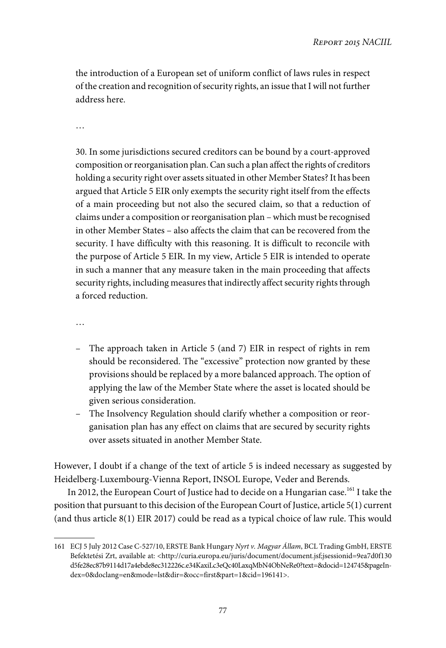the introduction of a European set of uniform conflict of laws rules in respect of the creation and recognition of security rights, an issue that I will not further address here.

…

30. In some jurisdictions secured creditors can be bound by a court-approved composition or reorganisation plan. Can such a plan affect the rights of creditors holding a security right over assets situated in other Member States? It has been argued that Article 5 EIR only exempts the security right itself from the effects of a main proceeding but not also the secured claim, so that a reduction of claims under a composition or reorganisation plan – which must be recognised in other Member States – also affects the claim that can be recovered from the security. I have difficulty with this reasoning. It is difficult to reconcile with the purpose of Article 5 EIR. In my view, Article 5 EIR is intended to operate in such a manner that any measure taken in the main proceeding that affects security rights, including measures that indirectly affect security rights through a forced reduction.

…

- The approach taken in Article 5 (and 7) EIR in respect of rights in rem should be reconsidered. The "excessive" protection now granted by these provisions should be replaced by a more balanced approach. The option of applying the law of the Member State where the asset is located should be given serious consideration.
- The Insolvency Regulation should clarify whether a composition or reorganisation plan has any effect on claims that are secured by security rights over assets situated in another Member State.

However, I doubt if a change of the text of article 5 is indeed necessary as suggested by Heidelberg-Luxembourg-Vienna Report, INSOL Europe, Veder and Berends.

In 2012, the European Court of Justice had to decide on a Hungarian case.<sup>161</sup> I take the position that pursuant to this decision of the European Court of Justice, article 5(1) current (and thus article 8(1) EIR 2017) could be read as a typical choice of law rule. This would

<sup>161</sup> ECJ 5 July 2012 Case C-527/10, ERSTE Bank Hungary Nyrt v. Magyar Állam, BCL Trading GmbH, ERSTE Befektetési Zrt, available at: <http://curia.europa.eu/juris/document/document.jsf;jsessionid=9ea7d0f130 d5fe28ec87b9114d17a4ebde8ec312226c.e34KaxiLc3eQc40LaxqMbN4ObNeRe0?text=&docid=124745&pageIndex=0&doclang=en&mode=lst&dir=&occ=first&part=1&cid=196141>.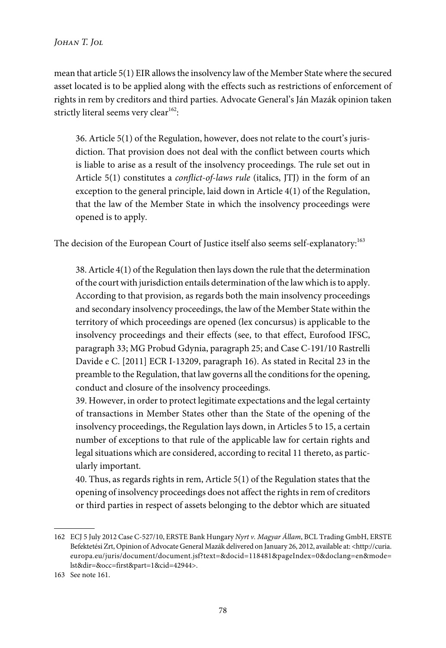mean that article 5(1) EIR allows the insolvency law of the Member State where the secured asset located is to be applied along with the effects such as restrictions of enforcement of rights in rem by creditors and third parties. Advocate General's Ján Mazák opinion taken strictly literal seems very clear $^{162}$ :

36. Article 5(1) of the Regulation, however, does not relate to the court's jurisdiction. That provision does not deal with the conflict between courts which is liable to arise as a result of the insolvency proceedings. The rule set out in Article 5(1) constitutes a *conflict-of-laws rule* (italics, JTJ) in the form of an exception to the general principle, laid down in Article 4(1) of the Regulation, that the law of the Member State in which the insolvency proceedings were opened is to apply.

The decision of the European Court of Justice itself also seems self-explanatory:<sup>163</sup>

38. Article 4(1) of the Regulation then lays down the rule that the determination of the court with jurisdiction entails determination of the law which is to apply. According to that provision, as regards both the main insolvency proceedings and secondary insolvency proceedings, the law of the Member State within the territory of which proceedings are opened (lex concursus) is applicable to the insolvency proceedings and their effects (see, to that effect, Eurofood IFSC, paragraph 33; MG Probud Gdynia, paragraph 25; and Case C-191/10 Rastrelli Davide e C. [2011] ECR I-13209, paragraph 16). As stated in Recital 23 in the preamble to the Regulation, that law governs all the conditions for the opening, conduct and closure of the insolvency proceedings.

39. However, in order to protect legitimate expectations and the legal certainty of transactions in Member States other than the State of the opening of the insolvency proceedings, the Regulation lays down, in Articles 5 to 15, a certain number of exceptions to that rule of the applicable law for certain rights and legal situations which are considered, according to recital 11 thereto, as particularly important.

40. Thus, as regards rights in rem, Article 5(1) of the Regulation states that the opening of insolvency proceedings does not affect the rights in rem of creditors or third parties in respect of assets belonging to the debtor which are situated

<sup>162</sup> ECJ 5 July 2012 Case C-527/10, ERSTE Bank Hungary Nyrt v. Magyar Állam, BCL Trading GmbH, ERSTE Befektetési Zrt, Opinion of Advocate General Mazák delivered on January 26, 2012, available at: <http://curia. europa.eu/juris/document/document.jsf?text=&docid=118481&pageIndex=0&doclang=en&mode= lst&dir=&occ=first&part=1&cid=42944>.

<sup>163</sup> See note 161.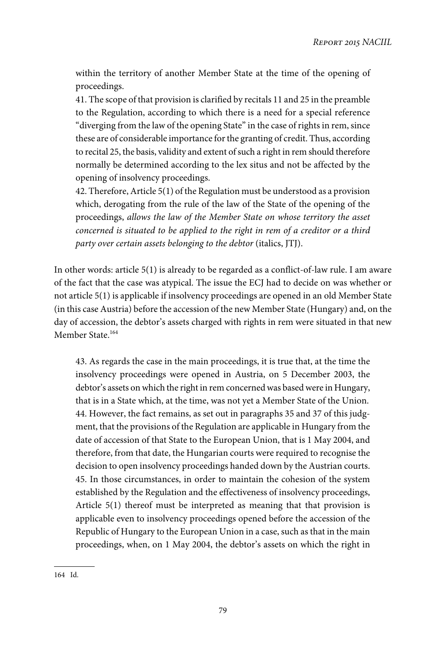within the territory of another Member State at the time of the opening of proceedings.

41. The scope of that provision is clarified by recitals 11 and 25 in the preamble to the Regulation, according to which there is a need for a special reference "diverging from the law of the opening State" in the case of rights in rem, since these are of considerable importance for the granting of credit. Thus, according to recital 25, the basis, validity and extent of such a right in rem should therefore normally be determined according to the lex situs and not be affected by the opening of insolvency proceedings.

42. Therefore, Article 5(1) of the Regulation must be understood as a provision which, derogating from the rule of the law of the State of the opening of the proceedings, allows the law of the Member State on whose territory the asset concerned is situated to be applied to the right in rem of a creditor or a third party over certain assets belonging to the debtor (italics, JTJ).

In other words: article 5(1) is already to be regarded as a conflict-of-law rule. I am aware of the fact that the case was atypical. The issue the ECJ had to decide on was whether or not article 5(1) is applicable if insolvency proceedings are opened in an old Member State (in this case Austria) before the accession of the new Member State (Hungary) and, on the day of accession, the debtor's assets charged with rights in rem were situated in that new Member State.<sup>164</sup>

43. As regards the case in the main proceedings, it is true that, at the time the insolvency proceedings were opened in Austria, on 5 December 2003, the debtor's assets on which the right in rem concerned was based were in Hungary, that is in a State which, at the time, was not yet a Member State of the Union. 44. However, the fact remains, as set out in paragraphs 35 and 37 of this judgment, that the provisions of the Regulation are applicable in Hungary from the date of accession of that State to the European Union, that is 1 May 2004, and therefore, from that date, the Hungarian courts were required to recognise the decision to open insolvency proceedings handed down by the Austrian courts. 45. In those circumstances, in order to maintain the cohesion of the system established by the Regulation and the effectiveness of insolvency proceedings, Article 5(1) thereof must be interpreted as meaning that that provision is applicable even to insolvency proceedings opened before the accession of the Republic of Hungary to the European Union in a case, such as that in the main proceedings, when, on 1 May 2004, the debtor's assets on which the right in

<sup>164</sup> Id.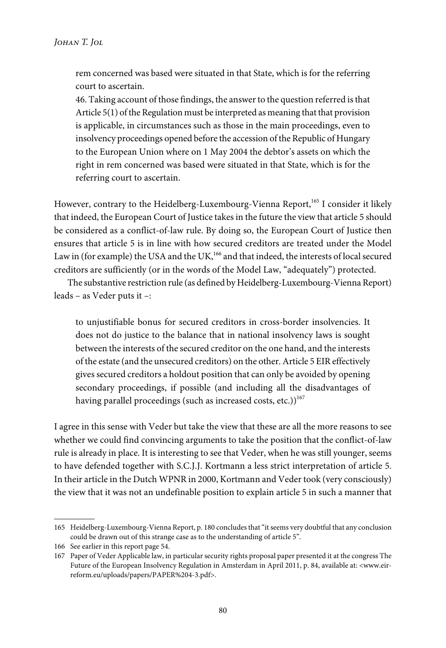rem concerned was based were situated in that State, which is for the referring court to ascertain.

46. Taking account of those findings, the answer to the question referred is that Article 5(1) of the Regulation must be interpreted as meaning that that provision is applicable, in circumstances such as those in the main proceedings, even to insolvency proceedings opened before the accession of the Republic of Hungary to the European Union where on 1 May 2004 the debtor's assets on which the right in rem concerned was based were situated in that State, which is for the referring court to ascertain.

However, contrary to the Heidelberg-Luxembourg-Vienna Report,<sup>165</sup> I consider it likely that indeed, the European Court of Justice takes in the future the view that article 5 should be considered as a conflict-of-law rule. By doing so, the European Court of Justice then ensures that article 5 is in line with how secured creditors are treated under the Model Law in (for example) the USA and the UK,<sup>166</sup> and that indeed, the interests of local secured creditors are sufficiently (or in the words of the Model Law, "adequately") protected.

The substantive restriction rule (as defined by Heidelberg-Luxembourg-Vienna Report) leads – as Veder puts it –:

to unjustifiable bonus for secured creditors in cross-border insolvencies. It does not do justice to the balance that in national insolvency laws is sought between the interests of the secured creditor on the one hand, and the interests of the estate (and the unsecured creditors) on the other. Article 5 EIR effectively gives secured creditors a holdout position that can only be avoided by opening secondary proceedings, if possible (and including all the disadvantages of having parallel proceedings (such as increased costs, etc.))<sup>167</sup>

I agree in this sense with Veder but take the view that these are all the more reasons to see whether we could find convincing arguments to take the position that the conflict-of-law rule is already in place. It is interesting to see that Veder, when he was still younger, seems to have defended together with S.C.J.J. Kortmann a less strict interpretation of article 5. In their article in the Dutch WPNR in 2000, Kortmann and Veder took (very consciously) the view that it was not an undefinable position to explain article 5 in such a manner that

<sup>165</sup> Heidelberg-Luxembourg-Vienna Report, p. 180 concludes that"it seems very doubtful that any conclusion could be drawn out of this strange case as to the understanding of article 5".

<sup>166</sup> See earlier in this report page 54.

<sup>167</sup> Paper of Veder Applicable law, in particular security rights proposal paper presented it at the congress The Future of the European Insolvency Regulation in Amsterdam in April 2011, p. 84, available at: <www.eirreform.eu/uploads/papers/PAPER%204-3.pdf>.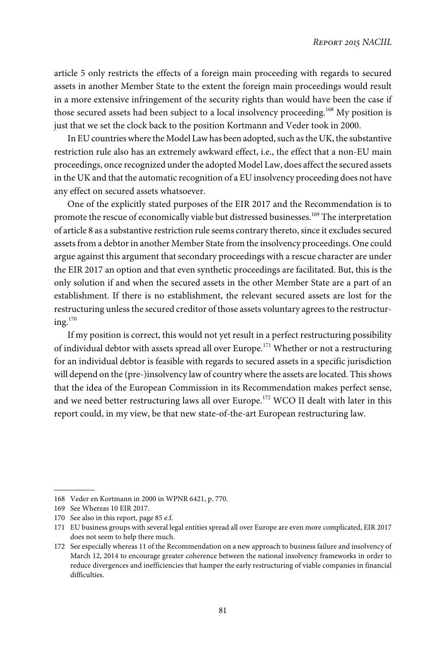article 5 only restricts the effects of a foreign main proceeding with regards to secured assets in another Member State to the extent the foreign main proceedings would result in a more extensive infringement of the security rights than would have been the case if those secured assets had been subject to a local insolvency proceeding.<sup>168</sup> My position is just that we set the clock back to the position Kortmann and Veder took in 2000.

In EU countries where the Model Law has been adopted, such as the UK, the substantive restriction rule also has an extremely awkward effect, i.e., the effect that a non-EU main proceedings, once recognized under the adopted Model Law, does affect the secured assets in the UK and that the automatic recognition of a EU insolvency proceeding does not have any effect on secured assets whatsoever.

One of the explicitly stated purposes of the EIR 2017 and the Recommendation is to promote the rescue of economically viable but distressed businesses.<sup>169</sup> The interpretation of article 8 as a substantive restriction rule seems contrary thereto, since it excludes secured assets from a debtor in another Member State from the insolvency proceedings. One could argue against this argument that secondary proceedings with a rescue character are under the EIR 2017 an option and that even synthetic proceedings are facilitated. But, this is the only solution if and when the secured assets in the other Member State are a part of an establishment. If there is no establishment, the relevant secured assets are lost for the restructuring unless the secured creditor of those assets voluntary agrees to the restructur $in \mathfrak{g}$ <sub>170</sub>

If my position is correct, this would not yet result in a perfect restructuring possibility of individual debtor with assets spread all over Europe.<sup>171</sup> Whether or not a restructuring for an individual debtor is feasible with regards to secured assets in a specific jurisdiction will depend on the (pre-)insolvency law of country where the assets are located. This shows that the idea of the European Commission in its Recommendation makes perfect sense, and we need better restructuring laws all over Europe.<sup>172</sup> WCO II dealt with later in this report could, in my view, be that new state-of-the-art European restructuring law.

<sup>168</sup> Veder en Kortmann in 2000 in WPNR 6421, p. 770.

<sup>169</sup> See Whereas 10 EIR 2017.

<sup>170</sup> See also in this report, page 85 e.f.

<sup>171</sup> EU business groups with several legal entities spread all over Europe are even more complicated, EIR 2017 does not seem to help there much.

<sup>172</sup> See especially whereas 11 of the Recommendation on a new approach to business failure and insolvency of March 12, 2014 to encourage greater coherence between the national insolvency frameworks in order to reduce divergences and inefficiencies that hamper the early restructuring of viable companies in financial difficulties.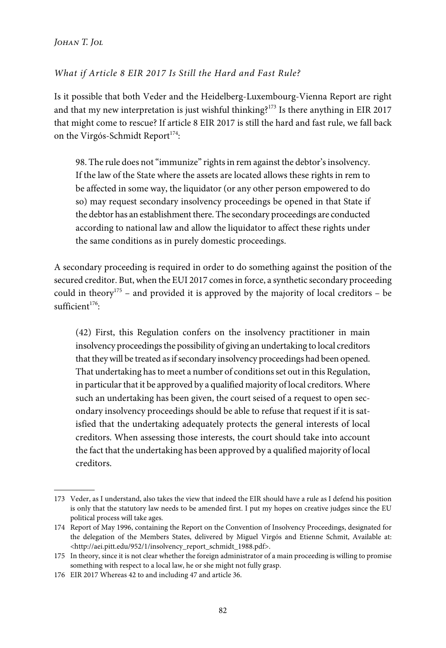*Johan T. Jol*

## What if Article 8 EIR 2017 Is Still the Hard and Fast Rule?

Is it possible that both Veder and the Heidelberg-Luxembourg-Vienna Report are right and that my new interpretation is just wishful thinking?<sup>173</sup> Is there anything in EIR 2017 that might come to rescue? If article 8 EIR 2017 is still the hard and fast rule, we fall back on the Virgós-Schmidt Report $^{174}$ :

98. The rule does not"immunize" rights in rem against the debtor's insolvency. If the law of the State where the assets are located allows these rights in rem to be affected in some way, the liquidator (or any other person empowered to do so) may request secondary insolvency proceedings be opened in that State if the debtor has an establishment there. The secondary proceedings are conducted according to national law and allow the liquidator to affect these rights under the same conditions as in purely domestic proceedings.

A secondary proceeding is required in order to do something against the position of the secured creditor. But, when the EUI 2017 comes in force, a synthetic secondary proceeding could in theory<sup>175</sup> – and provided it is approved by the majority of local creditors – be  $\text{suffixient}^{176}$ :

(42) First, this Regulation confers on the insolvency practitioner in main insolvency proceedings the possibility of giving an undertaking to local creditors that they will be treated as if secondary insolvency proceedings had been opened. That undertaking has to meet a number of conditions set out in this Regulation, in particular that it be approved by a qualified majority of local creditors. Where such an undertaking has been given, the court seised of a request to open secondary insolvency proceedings should be able to refuse that request if it is satisfied that the undertaking adequately protects the general interests of local creditors. When assessing those interests, the court should take into account the fact that the undertaking has been approved by a qualified majority of local creditors.

<sup>173</sup> Veder, as I understand, also takes the view that indeed the EIR should have a rule as I defend his position is only that the statutory law needs to be amended first. I put my hopes on creative judges since the EU political process will take ages.

<sup>174</sup> Report of May 1996, containing the Report on the Convention of Insolvency Proceedings, designated for the delegation of the Members States, delivered by Miguel Virgós and Etienne Schmit, Available at: <http://aei.pitt.edu/952/1/insolvency\_report\_schmidt\_1988.pdf>.

<sup>175</sup> In theory, since it is not clear whether the foreign administrator of a main proceeding is willing to promise something with respect to a local law, he or she might not fully grasp.

<sup>176</sup> EIR 2017 Whereas 42 to and including 47 and article 36.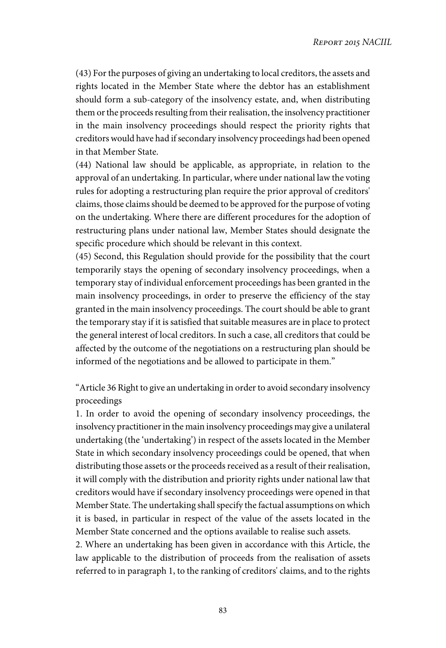(43) For the purposes of giving an undertaking to local creditors, the assets and rights located in the Member State where the debtor has an establishment should form a sub-category of the insolvency estate, and, when distributing them or the proceeds resulting from their realisation, the insolvency practitioner in the main insolvency proceedings should respect the priority rights that creditors would have had if secondary insolvency proceedings had been opened in that Member State.

(44) National law should be applicable, as appropriate, in relation to the approval of an undertaking. In particular, where under national law the voting rules for adopting a restructuring plan require the prior approval of creditors' claims, those claims should be deemed to be approved for the purpose of voting on the undertaking. Where there are different procedures for the adoption of restructuring plans under national law, Member States should designate the specific procedure which should be relevant in this context.

(45) Second, this Regulation should provide for the possibility that the court temporarily stays the opening of secondary insolvency proceedings, when a temporary stay of individual enforcement proceedings has been granted in the main insolvency proceedings, in order to preserve the efficiency of the stay granted in the main insolvency proceedings. The court should be able to grant the temporary stay if it is satisfied that suitable measures are in place to protect the general interest of local creditors. In such a case, all creditors that could be affected by the outcome of the negotiations on a restructuring plan should be informed of the negotiations and be allowed to participate in them."

"Article 36 Right to give an undertaking in order to avoid secondary insolvency proceedings

1. In order to avoid the opening of secondary insolvency proceedings, the insolvency practitioner in the main insolvency proceedings may give a unilateral undertaking (the 'undertaking') in respect of the assets located in the Member State in which secondary insolvency proceedings could be opened, that when distributing those assets or the proceeds received as a result of their realisation, it will comply with the distribution and priority rights under national law that creditors would have if secondary insolvency proceedings were opened in that Member State. The undertaking shall specify the factual assumptions on which it is based, in particular in respect of the value of the assets located in the Member State concerned and the options available to realise such assets.

2. Where an undertaking has been given in accordance with this Article, the law applicable to the distribution of proceeds from the realisation of assets referred to in paragraph 1, to the ranking of creditors' claims, and to the rights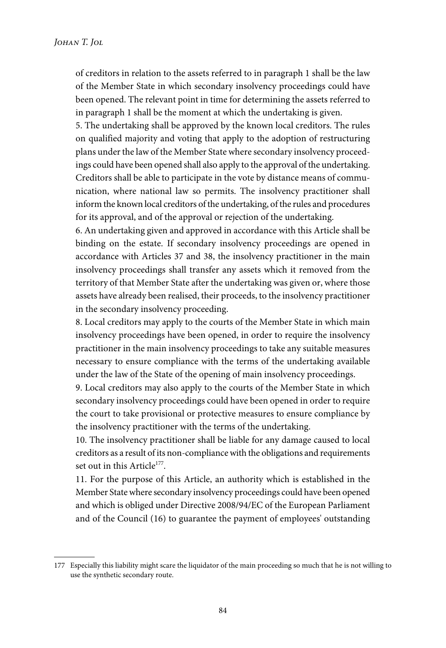of creditors in relation to the assets referred to in paragraph 1 shall be the law of the Member State in which secondary insolvency proceedings could have been opened. The relevant point in time for determining the assets referred to in paragraph 1 shall be the moment at which the undertaking is given.

5. The undertaking shall be approved by the known local creditors. The rules on qualified majority and voting that apply to the adoption of restructuring plans under the law of the Member State where secondary insolvency proceedings could have been opened shall also apply to the approval of the undertaking. Creditors shall be able to participate in the vote by distance means of communication, where national law so permits. The insolvency practitioner shall inform the known local creditors of the undertaking, of the rules and procedures for its approval, and of the approval or rejection of the undertaking.

6. An undertaking given and approved in accordance with this Article shall be binding on the estate. If secondary insolvency proceedings are opened in accordance with Articles 37 and 38, the insolvency practitioner in the main insolvency proceedings shall transfer any assets which it removed from the territory of that Member State after the undertaking was given or, where those assets have already been realised, their proceeds, to the insolvency practitioner in the secondary insolvency proceeding.

8. Local creditors may apply to the courts of the Member State in which main insolvency proceedings have been opened, in order to require the insolvency practitioner in the main insolvency proceedings to take any suitable measures necessary to ensure compliance with the terms of the undertaking available under the law of the State of the opening of main insolvency proceedings.

9. Local creditors may also apply to the courts of the Member State in which secondary insolvency proceedings could have been opened in order to require the court to take provisional or protective measures to ensure compliance by the insolvency practitioner with the terms of the undertaking.

10. The insolvency practitioner shall be liable for any damage caused to local creditors as a result of its non-compliance with the obligations and requirements set out in this Article<sup>177</sup>.

11. For the purpose of this Article, an authority which is established in the Member State where secondary insolvency proceedings could have been opened and which is obliged under Directive 2008/94/EC of the European Parliament and of the Council (16) to guarantee the payment of employees' outstanding

<sup>177</sup> Especially this liability might scare the liquidator of the main proceeding so much that he is not willing to use the synthetic secondary route.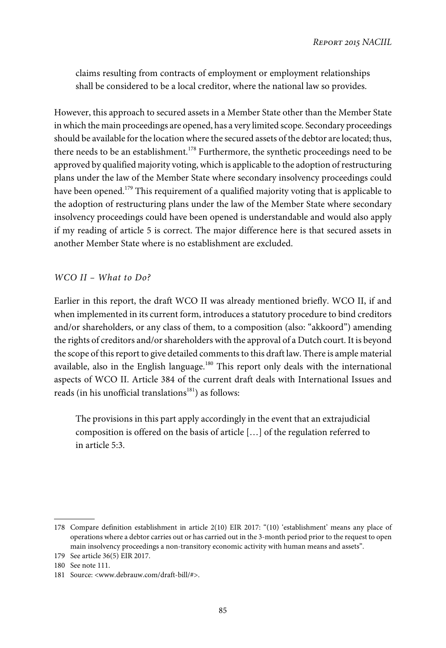claims resulting from contracts of employment or employment relationships shall be considered to be a local creditor, where the national law so provides.

However, this approach to secured assets in a Member State other than the Member State in which the main proceedings are opened, has a very limited scope. Secondary proceedings should be available for the location where the secured assets of the debtor are located; thus, there needs to be an establishment.<sup>178</sup> Furthermore, the synthetic proceedings need to be approved by qualified majority voting, which is applicable to the adoption of restructuring plans under the law of the Member State where secondary insolvency proceedings could have been opened.<sup>179</sup> This requirement of a qualified majority voting that is applicable to the adoption of restructuring plans under the law of the Member State where secondary insolvency proceedings could have been opened is understandable and would also apply if my reading of article 5 is correct. The major difference here is that secured assets in another Member State where is no establishment are excluded.

## WCO II – What to Do?

Earlier in this report, the draft WCO II was already mentioned briefly. WCO II, if and when implemented in its current form, introduces a statutory procedure to bind creditors and/or shareholders, or any class of them, to a composition (also: "akkoord") amending the rights of creditors and/or shareholders with the approval of a Dutch court. It is beyond the scope of this report to give detailed comments to this draft law. There is ample material available, also in the English language.<sup>180</sup> This report only deals with the international aspects of WCO II. Article 384 of the current draft deals with International Issues and reads (in his unofficial translations<sup>181</sup>) as follows:

The provisions in this part apply accordingly in the event that an extrajudicial composition is offered on the basis of article […] of the regulation referred to in article 5:3.

<sup>178</sup> Compare definition establishment in article 2(10) EIR 2017: "(10) 'establishment' means any place of operations where a debtor carries out or has carried out in the 3-month period prior to the request to open main insolvency proceedings a non-transitory economic activity with human means and assets".

<sup>179</sup> See article 36(5) EIR 2017.

<sup>180</sup> See note 111.

<sup>181</sup> Source: <www.debrauw.com/draft-bill/#>.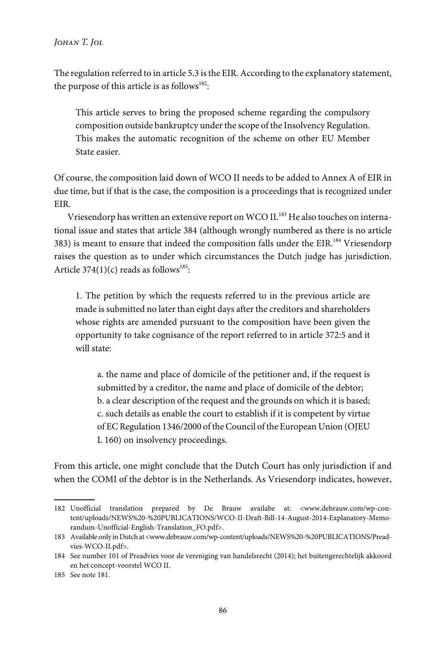The regulation referred to in article 5.3 is the EIR. According to the explanatory statement, the purpose of this article is as follows<sup>182</sup>:

This article serves to bring the proposed scheme regarding the compulsory composition outside bankruptcy under the scope of the Insolvency Regulation. This makes the automatic recognition of the scheme on other EU Member State easier.

Of course, the composition laid down of WCO II needs to be added to Annex A of EIR in due time, but if that is the case, the composition is a proceedings that is recognized under EIR.

Vriesendorp has written an extensive report on WCO II.<sup>183</sup> He also touches on international issue and states that article 384 (although wrongly numbered as there is no article 383) is meant to ensure that indeed the composition falls under the  $EIR$ .<sup>184</sup> Vriesendorp raises the question as to under which circumstances the Dutch judge has jurisdiction. Article 374 $(1)(c)$  reads as follows<sup>185</sup>:

1. The petition by which the requests referred to in the previous article are made is submitted no later than eight days after the creditors and shareholders whose rights are amended pursuant to the composition have been given the opportunity to take cognisance of the report referred to in article 372:5 and it will state:

a. the name and place of domicile of the petitioner and, if the request is submitted by a creditor, the name and place of domicile of the debtor; b. a clear description of the request and the grounds on which it is based; c. such details as enable the court to establish if it is competent by virtue of EC Regulation 1346/2000 of the Council of the European Union (OJEU L 160) on insolvency proceedings.

From this article, one might conclude that the Dutch Court has only jurisdiction if and when the COMI of the debtor is in the Netherlands. As Vriesendorp indicates, however,

<sup>182</sup> Unofficial translation prepared by De Brauw availabe at: <www.debrauw.com/wp-content/uploads/NEWS%20-%20PUBLICATIONS/WCO-II-Draft-Bill-14-August-2014-Explanatory-Memorandum-Unofficial-English-Translation\_FO.pdf>.

<sup>183</sup> Available only in Dutch at <www.debrauw.com/wp-content/uploads/NEWS%20-%20PUBLICATIONS/Preadvies-WCO-II.pdf>.

<sup>184</sup> See number 101 of Preadvies voor de vereniging van handelsrecht (2014); het buitengerechtelijk akkoord en het concept-voorstel WCO II.

<sup>185</sup> See note 181.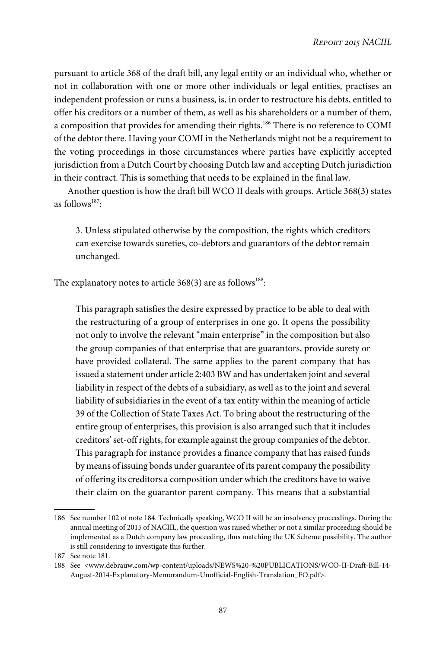pursuant to article 368 of the draft bill, any legal entity or an individual who, whether or not in collaboration with one or more other individuals or legal entities, practises an independent profession or runs a business, is, in order to restructure his debts, entitled to offer his creditors or a number of them, as well as his shareholders or a number of them, a composition that provides for amending their rights.<sup>186</sup> There is no reference to COMI of the debtor there. Having your COMI in the Netherlands might not be a requirement to the voting proceedings in those circumstances where parties have explicitly accepted jurisdiction from a Dutch Court by choosing Dutch law and accepting Dutch jurisdiction in their contract. This is something that needs to be explained in the final law.

Another question is how the draft bill WCO II deals with groups. Article 368(3) states as follows<sup>187</sup>:

3. Unless stipulated otherwise by the composition, the rights which creditors can exercise towards sureties, co-debtors and guarantors of the debtor remain unchanged.

The explanatory notes to article 368(3) are as follows $^{188}$ :

This paragraph satisfies the desire expressed by practice to be able to deal with the restructuring of a group of enterprises in one go. It opens the possibility not only to involve the relevant "main enterprise" in the composition but also the group companies of that enterprise that are guarantors, provide surety or have provided collateral. The same applies to the parent company that has issued a statement under article 2:403 BW and has undertaken joint and several liability in respect of the debts of a subsidiary, as well as to the joint and several liability of subsidiaries in the event of a tax entity within the meaning of article 39 of the Collection of State Taxes Act. To bring about the restructuring of the entire group of enterprises, this provision is also arranged such that it includes creditors'set-off rights, for example against the group companies of the debtor. This paragraph for instance provides a finance company that has raised funds by means of issuing bonds under guarantee of its parent company the possibility of offering its creditors a composition under which the creditors have to waive their claim on the guarantor parent company. This means that a substantial

<sup>186</sup> See number 102 of note 184. Technically speaking, WCO II will be an insolvency proceedings. During the annual meeting of 2015 of NACIIL, the question was raised whether or not a similar proceeding should be implemented as a Dutch company law proceeding, thus matching the UK Scheme possibility. The author is still considering to investigate this further.

<sup>187</sup> See note 181.

<sup>188</sup> See <www.debrauw.com/wp-content/uploads/NEWS%20-%20PUBLICATIONS/WCO-II-Draft-Bill-14- August-2014-Explanatory-Memorandum-Unofficial-English-Translation\_FO.pdf>.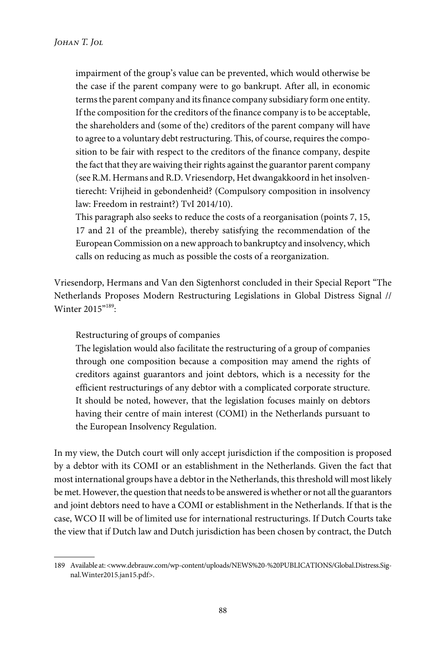impairment of the group's value can be prevented, which would otherwise be the case if the parent company were to go bankrupt. After all, in economic terms the parent company and its finance company subsidiary form one entity. If the composition for the creditors of the finance company is to be acceptable, the shareholders and (some of the) creditors of the parent company will have to agree to a voluntary debt restructuring. This, of course, requires the composition to be fair with respect to the creditors of the finance company, despite the fact that they are waiving their rights against the guarantor parent company (see R.M. Hermans and R.D. Vriesendorp, Het dwangakkoord in het insolventierecht: Vrijheid in gebondenheid? (Compulsory composition in insolvency law: Freedom in restraint?) TvI 2014/10).

This paragraph also seeks to reduce the costs of a reorganisation (points 7, 15, 17 and 21 of the preamble), thereby satisfying the recommendation of the European Commission on a new approach to bankruptcy and insolvency, which calls on reducing as much as possible the costs of a reorganization.

Vriesendorp, Hermans and Van den Sigtenhorst concluded in their Special Report "The Netherlands Proposes Modern Restructuring Legislations in Global Distress Signal // Winter 2015"<sup>189</sup>:

Restructuring of groups of companies

The legislation would also facilitate the restructuring of a group of companies through one composition because a composition may amend the rights of creditors against guarantors and joint debtors, which is a necessity for the efficient restructurings of any debtor with a complicated corporate structure. It should be noted, however, that the legislation focuses mainly on debtors having their centre of main interest (COMI) in the Netherlands pursuant to the European Insolvency Regulation.

In my view, the Dutch court will only accept jurisdiction if the composition is proposed by a debtor with its COMI or an establishment in the Netherlands. Given the fact that most international groups have a debtor in the Netherlands, this threshold will most likely be met. However, the question that needs to be answered is whether or not all the guarantors and joint debtors need to have a COMI or establishment in the Netherlands. If that is the case, WCO II will be of limited use for international restructurings. If Dutch Courts take the view that if Dutch law and Dutch jurisdiction has been chosen by contract, the Dutch

<sup>189</sup> Available at: <www.debrauw.com/wp-content/uploads/NEWS%20-%20PUBLICATIONS/Global.Distress.Signal.Winter2015.jan15.pdf>.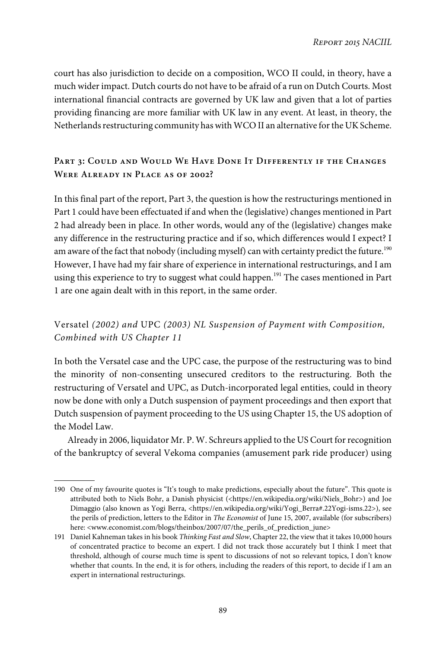court has also jurisdiction to decide on a composition, WCO II could, in theory, have a much wider impact. Dutch courts do not have to be afraid of a run on Dutch Courts. Most international financial contracts are governed by UK law and given that a lot of parties providing financing are more familiar with UK law in any event. At least, in theory, the Netherlands restructuring community has with WCO II an alternative for the UK Scheme.

## **Part 3: Could and Would We Have Done It Differently if the Changes Were Already in Place as of 2002?**

In this final part of the report, Part 3, the question is how the restructurings mentioned in Part 1 could have been effectuated if and when the (legislative) changes mentioned in Part 2 had already been in place. In other words, would any of the (legislative) changes make any difference in the restructuring practice and if so, which differences would I expect? I am aware of the fact that nobody (including myself) can with certainty predict the future.<sup>190</sup> However, I have had my fair share of experience in international restructurings, and I am using this experience to try to suggest what could happen.<sup>191</sup> The cases mentioned in Part 1 are one again dealt with in this report, in the same order.

# Versatel (2002) and UPC (2003) NL Suspension of Payment with Composition, Combined with US Chapter 11

In both the Versatel case and the UPC case, the purpose of the restructuring was to bind the minority of non-consenting unsecured creditors to the restructuring. Both the restructuring of Versatel and UPC, as Dutch-incorporated legal entities, could in theory now be done with only a Dutch suspension of payment proceedings and then export that Dutch suspension of payment proceeding to the US using Chapter 15, the US adoption of the Model Law.

Already in 2006, liquidator Mr. P. W. Schreurs applied to the US Court for recognition of the bankruptcy of several Vekoma companies (amusement park ride producer) using

<sup>190</sup> One of my favourite quotes is "It's tough to make predictions, especially about the future". This quote is attributed both to Niels Bohr, a Danish physicist (<https://en.wikipedia.org/wiki/Niels Bohr>) and Joe Dimaggio (also known as Yogi Berra, <https://en.wikipedia.org/wiki/Yogi\_Berra#.22Yogi-isms.22>), see the perils of prediction, letters to the Editor in The Economist of June 15, 2007, available (for subscribers) here: <www.economist.com/blogs/theinbox/2007/07/the\_perils\_of\_prediction\_june>

<sup>191</sup> Daniel Kahneman takes in his book Thinking Fast and Slow, Chapter 22, the view that it takes 10,000 hours of concentrated practice to become an expert. I did not track those accurately but I think I meet that threshold, although of course much time is spent to discussions of not so relevant topics, I don't know whether that counts. In the end, it is for others, including the readers of this report, to decide if I am an expert in international restructurings.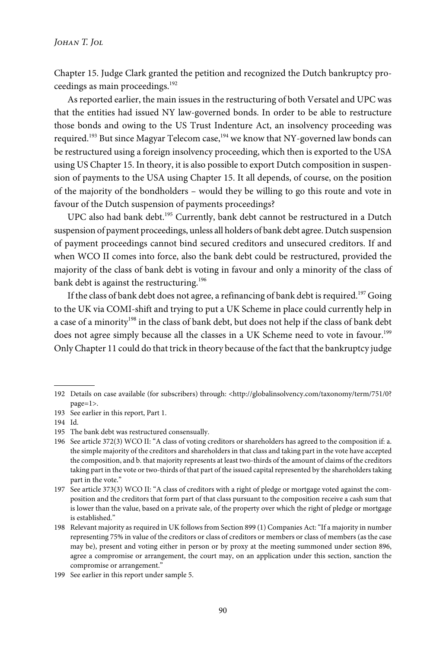Chapter 15. Judge Clark granted the petition and recognized the Dutch bankruptcy proceedings as main proceedings.<sup>192</sup>

As reported earlier, the main issues in the restructuring of both Versatel and UPC was that the entities had issued NY law-governed bonds. In order to be able to restructure those bonds and owing to the US Trust Indenture Act, an insolvency proceeding was required.<sup>193</sup> But since Magyar Telecom case,<sup>194</sup> we know that NY-governed law bonds can be restructured using a foreign insolvency proceeding, which then is exported to the USA using US Chapter 15. In theory, it is also possible to export Dutch composition in suspension of payments to the USA using Chapter 15. It all depends, of course, on the position of the majority of the bondholders – would they be willing to go this route and vote in favour of the Dutch suspension of payments proceedings?

UPC also had bank debt.<sup>195</sup> Currently, bank debt cannot be restructured in a Dutch suspension of payment proceedings, unless all holders of bank debt agree. Dutch suspension of payment proceedings cannot bind secured creditors and unsecured creditors. If and when WCO II comes into force, also the bank debt could be restructured, provided the majority of the class of bank debt is voting in favour and only a minority of the class of bank debt is against the restructuring.<sup>196</sup>

If the class of bank debt does not agree, a refinancing of bank debt is required.<sup>197</sup> Going to the UK via COMI-shift and trying to put a UK Scheme in place could currently help in a case of a minority<sup>198</sup> in the class of bank debt, but does not help if the class of bank debt does not agree simply because all the classes in a UK Scheme need to vote in favour.<sup>199</sup> Only Chapter 11 could do that trick in theory because of the fact that the bankruptcy judge

<sup>192</sup> Details on case available (for subscribers) through: <http://globalinsolvency.com/taxonomy/term/751/0? page=1>.

<sup>193</sup> See earlier in this report, Part 1.

<sup>194</sup> Id.

<sup>195</sup> The bank debt was restructured consensually.

<sup>196</sup> See article 372(3) WCO II: "A class of voting creditors or shareholders has agreed to the composition if: a. the simple majority of the creditors and shareholders in that class and taking part in the vote have accepted the composition, and b. that majority represents at least two-thirds of the amount of claims of the creditors taking part in the vote or two-thirds of that part of the issued capital represented by the shareholders taking part in the vote."

<sup>197</sup> See article 373(3) WCO II: "A class of creditors with a right of pledge or mortgage voted against the composition and the creditors that form part of that class pursuant to the composition receive a cash sum that is lower than the value, based on a private sale, of the property over which the right of pledge or mortgage is established."

<sup>198</sup> Relevant majority as required in UK follows from Section 899 (1) Companies Act:"If a majority in number representing 75% in value of the creditors or class of creditors or members or class of members (as the case may be), present and voting either in person or by proxy at the meeting summoned under section 896, agree a compromise or arrangement, the court may, on an application under this section, sanction the compromise or arrangement."

<sup>199</sup> See earlier in this report under sample 5.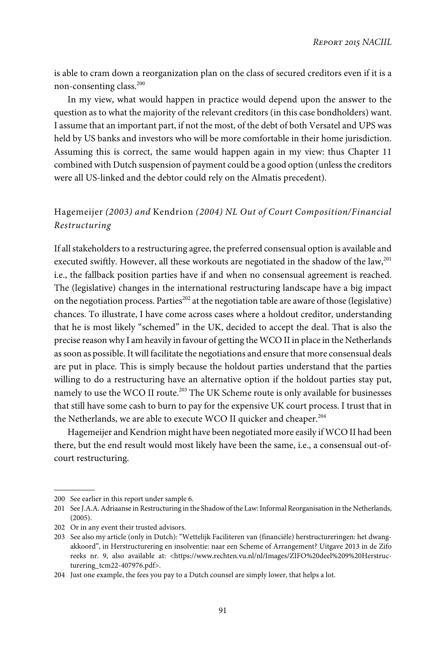is able to cram down a reorganization plan on the class of secured creditors even if it is a non-consenting class.<sup>200</sup>

In my view, what would happen in practice would depend upon the answer to the question as to what the majority of the relevant creditors (in this case bondholders) want. I assume that an important part, if not the most, of the debt of both Versatel and UPS was held by US banks and investors who will be more comfortable in their home jurisdiction. Assuming this is correct, the same would happen again in my view: thus Chapter 11 combined with Dutch suspension of payment could be a good option (unless the creditors were all US-linked and the debtor could rely on the Almatis precedent).

# Hagemeijer (2003) and Kendrion (2004) NL Out of Court Composition/Financial Restructuring

If all stakeholders to a restructuring agree, the preferred consensual option is available and executed swiftly. However, all these workouts are negotiated in the shadow of the law, $^{201}$ i.e., the fallback position parties have if and when no consensual agreement is reached. The (legislative) changes in the international restructuring landscape have a big impact on the negotiation process. Parties<sup>202</sup> at the negotiation table are aware of those (legislative) chances. To illustrate, I have come across cases where a holdout creditor, understanding that he is most likely "schemed" in the UK, decided to accept the deal. That is also the precise reason why I am heavily in favour of getting the WCO II in place in the Netherlands as soon as possible. It will facilitate the negotiations and ensure that more consensual deals are put in place. This is simply because the holdout parties understand that the parties willing to do a restructuring have an alternative option if the holdout parties stay put, namely to use the WCO II route.<sup>203</sup> The UK Scheme route is only available for businesses that still have some cash to burn to pay for the expensive UK court process. I trust that in the Netherlands, we are able to execute WCO II quicker and cheaper.<sup>204</sup>

Hagemeijer and Kendrion might have been negotiated more easily if WCO II had been there, but the end result would most likely have been the same, i.e., a consensual out-ofcourt restructuring.

<sup>200</sup> See earlier in this report under sample 6.

<sup>201</sup> See J.A.A. Adriaanse in Restructuring in the Shadow of the Law: Informal Reorganisation in the Netherlands, (2005).

<sup>202</sup> Or in any event their trusted advisors.

<sup>203</sup> See also my article (only in Dutch): "Wettelijk Faciliteren van (financiële) herstructureringen: het dwangakkoord", in Herstructurering en insolventie: naar een Scheme of Arrangement? Uitgave 2013 in de Zifo reeks nr. 9, also available at: <https://www.rechten.vu.nl/nl/Images/ZIFO%20deel%209%20Herstructurering\_tcm22-407976.pdf>.

<sup>204</sup> Just one example, the fees you pay to a Dutch counsel are simply lower, that helps a lot.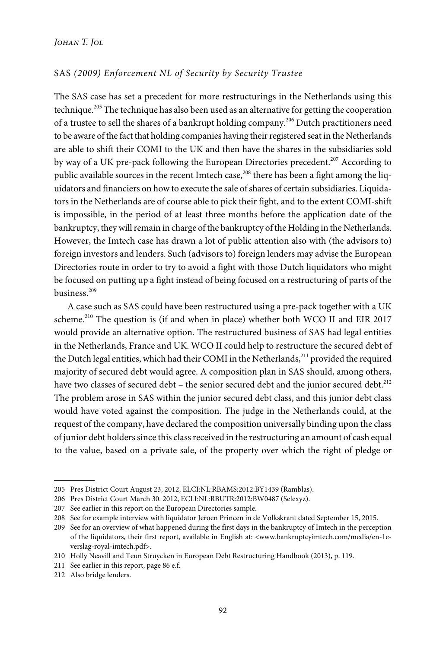## SAS (2009) Enforcement NL of Security by Security Trustee

The SAS case has set a precedent for more restructurings in the Netherlands using this technique.<sup>205</sup> The technique has also been used as an alternative for getting the cooperation of a trustee to sell the shares of a bankrupt holding company.<sup>206</sup> Dutch practitioners need to be aware of the fact that holding companies having their registered seat in the Netherlands are able to shift their COMI to the UK and then have the shares in the subsidiaries sold by way of a UK pre-pack following the European Directories precedent.<sup>207</sup> According to public available sources in the recent Imtech case,<sup>208</sup> there has been a fight among the liquidators and financiers on how to execute the sale of shares of certain subsidiaries. Liquidators in the Netherlands are of course able to pick their fight, and to the extent COMI-shift is impossible, in the period of at least three months before the application date of the bankruptcy, they will remain in charge of the bankruptcy of the Holding in the Netherlands. However, the Imtech case has drawn a lot of public attention also with (the advisors to) foreign investors and lenders. Such (advisors to) foreign lenders may advise the European Directories route in order to try to avoid a fight with those Dutch liquidators who might be focused on putting up a fight instead of being focused on a restructuring of parts of the business.<sup>209</sup>

A case such as SAS could have been restructured using a pre-pack together with a UK scheme.<sup>210</sup> The question is (if and when in place) whether both WCO II and EIR 2017 would provide an alternative option. The restructured business of SAS had legal entities in the Netherlands, France and UK. WCO II could help to restructure the secured debt of the Dutch legal entities, which had their COMI in the Netherlands,<sup>211</sup> provided the required majority of secured debt would agree. A composition plan in SAS should, among others, have two classes of secured debt – the senior secured debt and the junior secured debt.<sup>212</sup> The problem arose in SAS within the junior secured debt class, and this junior debt class would have voted against the composition. The judge in the Netherlands could, at the request of the company, have declared the composition universally binding upon the class of junior debt holders since this class received in the restructuring an amount of cash equal to the value, based on a private sale, of the property over which the right of pledge or

<sup>205</sup> Pres District Court August 23, 2012, ELCI:NL:RBAMS:2012:BY1439 (Ramblas).

<sup>206</sup> Pres District Court March 30. 2012, ECLI:NL:RBUTR:2012:BW0487 (Selexyz).

<sup>207</sup> See earlier in this report on the European Directories sample.

<sup>208</sup> See for example interview with liquidator Jeroen Princen in de Volkskrant dated September 15, 2015.

<sup>209</sup> See for an overview of what happened during the first days in the bankruptcy of Imtech in the perception of the liquidators, their first report, available in English at: <www.bankruptcyimtech.com/media/en-1everslag-royal-imtech.pdf>.

<sup>210</sup> Holly Neavill and Teun Struycken in European Debt Restructuring Handbook (2013), p. 119.

<sup>211</sup> See earlier in this report, page 86 e.f.

<sup>212</sup> Also bridge lenders.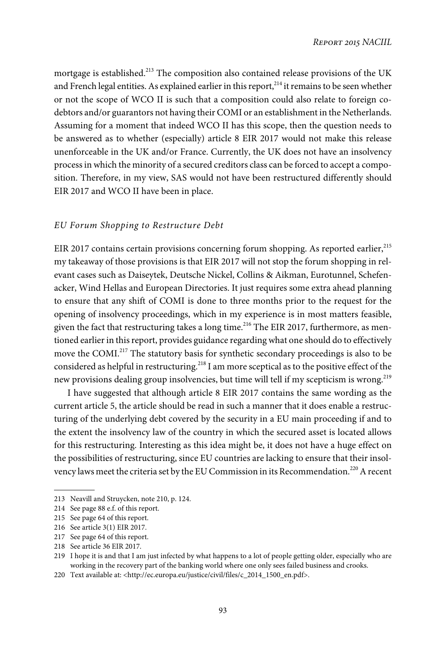mortgage is established.<sup>213</sup> The composition also contained release provisions of the UK and French legal entities. As explained earlier in this report,<sup>214</sup> it remains to be seen whether or not the scope of WCO II is such that a composition could also relate to foreign codebtors and/or guarantors not having their COMI or an establishment in the Netherlands. Assuming for a moment that indeed WCO II has this scope, then the question needs to be answered as to whether (especially) article 8 EIR 2017 would not make this release unenforceable in the UK and/or France. Currently, the UK does not have an insolvency process in which the minority of a secured creditors class can be forced to accept a composition. Therefore, in my view, SAS would not have been restructured differently should EIR 2017 and WCO II have been in place.

## EU Forum Shopping to Restructure Debt

EIR 2017 contains certain provisions concerning forum shopping. As reported earlier,<sup>215</sup> my takeaway of those provisions is that EIR 2017 will not stop the forum shopping in relevant cases such as Daiseytek, Deutsche Nickel, Collins & Aikman, Eurotunnel, Schefenacker, Wind Hellas and European Directories. It just requires some extra ahead planning to ensure that any shift of COMI is done to three months prior to the request for the opening of insolvency proceedings, which in my experience is in most matters feasible, given the fact that restructuring takes a long time.<sup>216</sup> The EIR 2017, furthermore, as mentioned earlier in this report, provides guidance regarding what one should do to effectively move the COMI.<sup>217</sup> The statutory basis for synthetic secondary proceedings is also to be considered as helpful in restructuring.<sup>218</sup> I am more sceptical as to the positive effect of the new provisions dealing group insolvencies, but time will tell if my scepticism is wrong.<sup>219</sup>

I have suggested that although article 8 EIR 2017 contains the same wording as the current article 5, the article should be read in such a manner that it does enable a restructuring of the underlying debt covered by the security in a EU main proceeding if and to the extent the insolvency law of the country in which the secured asset is located allows for this restructuring. Interesting as this idea might be, it does not have a huge effect on the possibilities of restructuring, since EU countries are lacking to ensure that their insolvency laws meet the criteria set by the EU Commission in its Recommendation.<sup>220</sup> A recent

<sup>213</sup> Neavill and Struycken, note 210, p. 124.

<sup>214</sup> See page 88 e.f. of this report.

<sup>215</sup> See page 64 of this report.

<sup>216</sup> See article 3(1) EIR 2017.

<sup>217</sup> See page 64 of this report.

<sup>218</sup> See article 36 EIR 2017.

<sup>219</sup> I hope it is and that I am just infected by what happens to a lot of people getting older, especially who are working in the recovery part of the banking world where one only sees failed business and crooks.

<sup>220</sup> Text available at: <http://ec.europa.eu/justice/civil/files/c\_2014\_1500\_en.pdf>.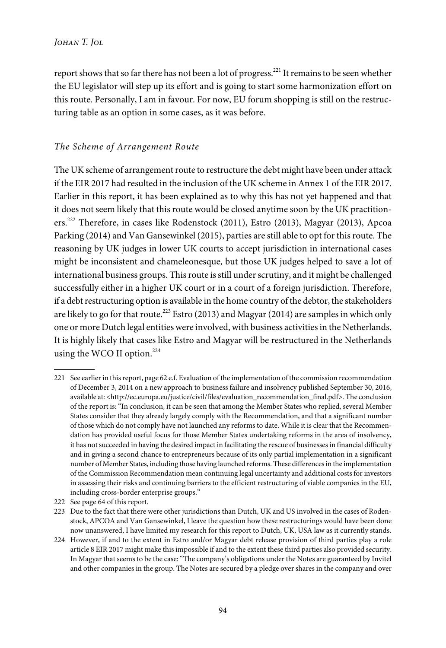report shows that so far there has not been a lot of progress.<sup>221</sup> It remains to be seen whether the EU legislator will step up its effort and is going to start some harmonization effort on this route. Personally, I am in favour. For now, EU forum shopping is still on the restructuring table as an option in some cases, as it was before.

## The Scheme of Arrangement Route

The UK scheme of arrangement route to restructure the debt might have been under attack if the EIR 2017 had resulted in the inclusion of the UK scheme in Annex 1 of the EIR 2017. Earlier in this report, it has been explained as to why this has not yet happened and that it does not seem likely that this route would be closed anytime soon by the UK practitioners.<sup>222</sup> Therefore, in cases like Rodenstock (2011), Estro (2013), Magyar (2013), Apcoa Parking (2014) and Van Gansewinkel (2015), parties are still able to opt for this route. The reasoning by UK judges in lower UK courts to accept jurisdiction in international cases might be inconsistent and chameleonesque, but those UK judges helped to save a lot of international business groups. This route is still under scrutiny, and it might be challenged successfully either in a higher UK court or in a court of a foreign jurisdiction. Therefore, if a debt restructuring option is available in the home country of the debtor, the stakeholders are likely to go for that route.<sup>223</sup> Estro (2013) and Magyar (2014) are samples in which only one or more Dutch legal entities were involved, with business activities in the Netherlands. It is highly likely that cases like Estro and Magyar will be restructured in the Netherlands using the WCO II option.<sup>224</sup>

<sup>221</sup> See earlier in this report, page 62 e.f. Evaluation of the implementation of the commission recommendation of December 3, 2014 on a new approach to business failure and insolvency published September 30, 2016, available at: <http://ec.europa.eu/justice/civil/files/evaluation\_recommendation\_final.pdf>. The conclusion of the report is: "In conclusion, it can be seen that among the Member States who replied, several Member States consider that they already largely comply with the Recommendation, and that a significant number of those which do not comply have not launched any reforms to date. While it is clear that the Recommendation has provided useful focus for those Member States undertaking reforms in the area of insolvency, it has not succeeded in having the desired impact in facilitating the rescue of businesses in financial difficulty and in giving a second chance to entrepreneurs because of its only partial implementation in a significant number of Member States, including those having launched reforms. These differences in the implementation of the Commission Recommendation mean continuing legal uncertainty and additional costs for investors in assessing their risks and continuing barriers to the efficient restructuring of viable companies in the EU, including cross-border enterprise groups."

<sup>222</sup> See page 64 of this report.

<sup>223</sup> Due to the fact that there were other jurisdictions than Dutch, UK and US involved in the cases of Rodenstock, APCOA and Van Gansewinkel, I leave the question how these restructurings would have been done now unanswered, I have limited my research for this report to Dutch, UK, USA law as it currently stands.

<sup>224</sup> However, if and to the extent in Estro and/or Magyar debt release provision of third parties play a role article 8 EIR 2017 might make this impossible if and to the extent these third parties also provided security. In Magyar that seems to be the case:"The company's obligations under the Notes are guaranteed by Invitel and other companies in the group. The Notes are secured by a pledge over shares in the company and over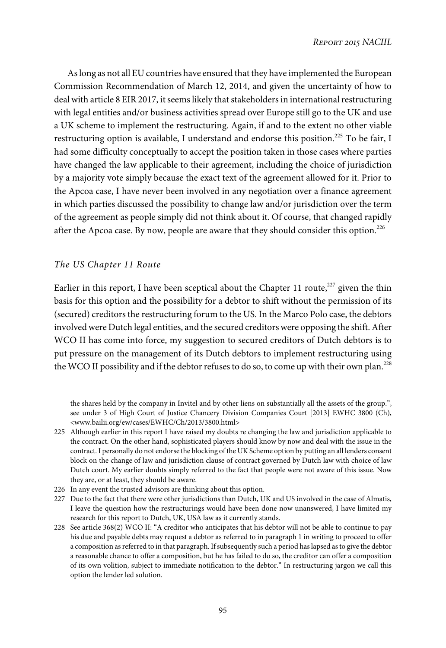As long as not all EU countries have ensured that they have implemented the European Commission Recommendation of March 12, 2014, and given the uncertainty of how to deal with article 8 EIR 2017, it seems likely that stakeholders in international restructuring with legal entities and/or business activities spread over Europe still go to the UK and use a UK scheme to implement the restructuring. Again, if and to the extent no other viable restructuring option is available, I understand and endorse this position.<sup>225</sup> To be fair, I had some difficulty conceptually to accept the position taken in those cases where parties have changed the law applicable to their agreement, including the choice of jurisdiction by a majority vote simply because the exact text of the agreement allowed for it. Prior to the Apcoa case, I have never been involved in any negotiation over a finance agreement in which parties discussed the possibility to change law and/or jurisdiction over the term of the agreement as people simply did not think about it. Of course, that changed rapidly after the Apcoa case. By now, people are aware that they should consider this option.<sup>226</sup>

## The US Chapter 11 Route

Earlier in this report, I have been sceptical about the Chapter 11 route, $227$  given the thin basis for this option and the possibility for a debtor to shift without the permission of its (secured) creditors the restructuring forum to the US. In the Marco Polo case, the debtors involved were Dutch legal entities, and the secured creditors were opposing the shift. After WCO II has come into force, my suggestion to secured creditors of Dutch debtors is to put pressure on the management of its Dutch debtors to implement restructuring using the WCO II possibility and if the debtor refuses to do so, to come up with their own plan.<sup>228</sup>

the shares held by the company in Invitel and by other liens on substantially all the assets of the group.", see under 3 of High Court of Justice Chancery Division Companies Court [2013] EWHC 3800 (Ch), <www.bailii.org/ew/cases/EWHC/Ch/2013/3800.html>

<sup>225</sup> Although earlier in this report I have raised my doubts re changing the law and jurisdiction applicable to the contract. On the other hand, sophisticated players should know by now and deal with the issue in the contract. I personally do not endorse the blocking of the UK Scheme option by putting an all lenders consent block on the change of law and jurisdiction clause of contract governed by Dutch law with choice of law Dutch court. My earlier doubts simply referred to the fact that people were not aware of this issue. Now they are, or at least, they should be aware.

<sup>226</sup> In any event the trusted advisors are thinking about this option.

<sup>227</sup> Due to the fact that there were other jurisdictions than Dutch, UK and US involved in the case of Almatis, I leave the question how the restructurings would have been done now unanswered, I have limited my research for this report to Dutch, UK, USA law as it currently stands.

<sup>228</sup> See article 368(2) WCO II: "A creditor who anticipates that his debtor will not be able to continue to pay his due and payable debts may request a debtor as referred to in paragraph 1 in writing to proceed to offer a composition as referred to in that paragraph. If subsequently such a period has lapsed as to give the debtor a reasonable chance to offer a composition, but he has failed to do so, the creditor can offer a composition of its own volition, subject to immediate notification to the debtor." In restructuring jargon we call this option the lender led solution.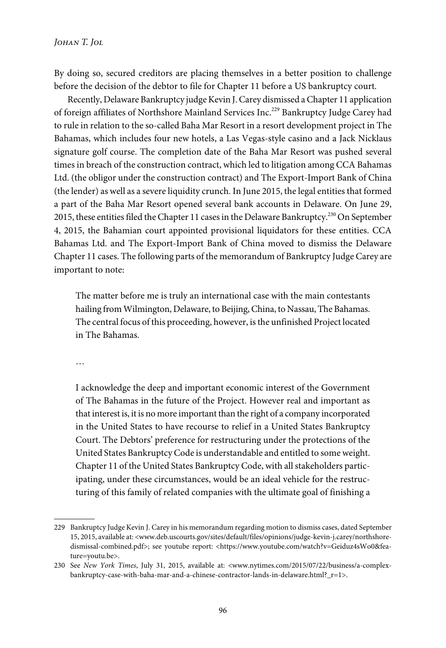By doing so, secured creditors are placing themselves in a better position to challenge before the decision of the debtor to file for Chapter 11 before a US bankruptcy court.

Recently, Delaware Bankruptcy judge Kevin J. Carey dismissed a Chapter 11 application of foreign affiliates of Northshore Mainland Services Inc.<sup>229</sup> Bankruptcy Judge Carey had to rule in relation to the so-called Baha Mar Resort in a resort development project in The Bahamas, which includes four new hotels, a Las Vegas-style casino and a Jack Nicklaus signature golf course. The completion date of the Baha Mar Resort was pushed several times in breach of the construction contract, which led to litigation among CCA Bahamas Ltd. (the obligor under the construction contract) and The Export-Import Bank of China (the lender) as well as a severe liquidity crunch. In June 2015, the legal entities that formed a part of the Baha Mar Resort opened several bank accounts in Delaware. On June 29, 2015, these entities filed the Chapter 11 cases in the Delaware Bankruptcy.<sup>230</sup> On September 4, 2015, the Bahamian court appointed provisional liquidators for these entities. CCA Bahamas Ltd. and The Export-Import Bank of China moved to dismiss the Delaware Chapter 11 cases. The following parts of the memorandum of Bankruptcy Judge Carey are important to note:

The matter before me is truly an international case with the main contestants hailing from Wilmington, Delaware, to Beijing, China, to Nassau, The Bahamas. The central focus of this proceeding, however, is the unfinished Project located in The Bahamas.

…

I acknowledge the deep and important economic interest of the Government of The Bahamas in the future of the Project. However real and important as that interest is, it is no more important than the right of a company incorporated in the United States to have recourse to relief in a United States Bankruptcy Court. The Debtors' preference for restructuring under the protections of the United States Bankruptcy Code is understandable and entitled to some weight. Chapter 11 of the United States Bankruptcy Code, with all stakeholders participating, under these circumstances, would be an ideal vehicle for the restructuring of this family of related companies with the ultimate goal of finishing a

<sup>229</sup> Bankruptcy Judge Kevin J. Carey in his memorandum regarding motion to dismiss cases, dated September 15, 2015, available at: <www.deb.uscourts.gov/sites/default/files/opinions/judge-kevin-j.carey/northshoredismissal-combined.pdf>; see youtube report: <https://www.youtube.com/watch?v=Geiduz4sWo0&feature=youtu.be>.

<sup>230</sup> See New York Times, July 31, 2015, available at: <www.nytimes.com/2015/07/22/business/a-complexbankruptcy-case-with-baha-mar-and-a-chinese-contractor-lands-in-delaware.html?\_r=1>.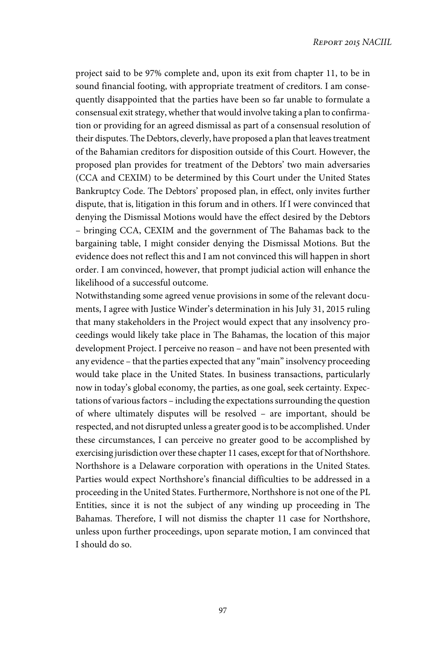project said to be 97% complete and, upon its exit from chapter 11, to be in sound financial footing, with appropriate treatment of creditors. I am consequently disappointed that the parties have been so far unable to formulate a consensual exit strategy, whether that would involve taking a plan to confirmation or providing for an agreed dismissal as part of a consensual resolution of their disputes. The Debtors, cleverly, have proposed a plan that leaves treatment of the Bahamian creditors for disposition outside of this Court. However, the proposed plan provides for treatment of the Debtors' two main adversaries (CCA and CEXIM) to be determined by this Court under the United States Bankruptcy Code. The Debtors' proposed plan, in effect, only invites further dispute, that is, litigation in this forum and in others. If I were convinced that denying the Dismissal Motions would have the effect desired by the Debtors – bringing CCA, CEXIM and the government of The Bahamas back to the bargaining table, I might consider denying the Dismissal Motions. But the evidence does not reflect this and I am not convinced this will happen in short order. I am convinced, however, that prompt judicial action will enhance the likelihood of a successful outcome.

Notwithstanding some agreed venue provisions in some of the relevant documents, I agree with Justice Winder's determination in his July 31, 2015 ruling that many stakeholders in the Project would expect that any insolvency proceedings would likely take place in The Bahamas, the location of this major development Project. I perceive no reason – and have not been presented with any evidence – that the parties expected that any "main" insolvency proceeding would take place in the United States. In business transactions, particularly now in today's global economy, the parties, as one goal, seek certainty. Expectations of various factors – including the expectations surrounding the question of where ultimately disputes will be resolved – are important, should be respected, and not disrupted unless a greater good is to be accomplished. Under these circumstances, I can perceive no greater good to be accomplished by exercising jurisdiction over these chapter 11 cases, except for that of Northshore. Northshore is a Delaware corporation with operations in the United States. Parties would expect Northshore's financial difficulties to be addressed in a proceeding in the United States. Furthermore, Northshore is not one of the PL Entities, since it is not the subject of any winding up proceeding in The Bahamas. Therefore, I will not dismiss the chapter 11 case for Northshore, unless upon further proceedings, upon separate motion, I am convinced that I should do so.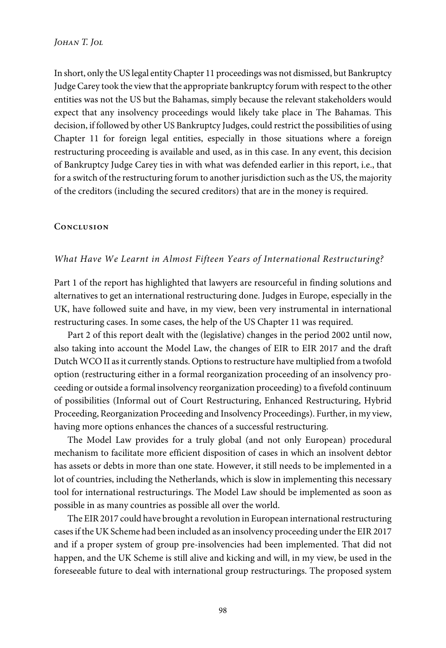In short, only the US legal entity Chapter 11 proceedings was not dismissed, but Bankruptcy Judge Carey took the view that the appropriate bankruptcy forum with respect to the other entities was not the US but the Bahamas, simply because the relevant stakeholders would expect that any insolvency proceedings would likely take place in The Bahamas. This decision, if followed by other US Bankruptcy Judges, could restrict the possibilities of using Chapter 11 for foreign legal entities, especially in those situations where a foreign restructuring proceeding is available and used, as in this case. In any event, this decision of Bankruptcy Judge Carey ties in with what was defended earlier in this report, i.e., that for a switch of the restructuring forum to another jurisdiction such as the US, the majority of the creditors (including the secured creditors) that are in the money is required.

#### **Conclusion**

#### What Have We Learnt in Almost Fifteen Years of International Restructuring?

Part 1 of the report has highlighted that lawyers are resourceful in finding solutions and alternatives to get an international restructuring done. Judges in Europe, especially in the UK, have followed suite and have, in my view, been very instrumental in international restructuring cases. In some cases, the help of the US Chapter 11 was required.

Part 2 of this report dealt with the (legislative) changes in the period 2002 until now, also taking into account the Model Law, the changes of EIR to EIR 2017 and the draft Dutch WCO II as it currently stands. Options to restructure have multiplied from a twofold option (restructuring either in a formal reorganization proceeding of an insolvency proceeding or outside a formal insolvency reorganization proceeding) to a fivefold continuum of possibilities (Informal out of Court Restructuring, Enhanced Restructuring, Hybrid Proceeding, Reorganization Proceeding and Insolvency Proceedings). Further, in my view, having more options enhances the chances of a successful restructuring.

The Model Law provides for a truly global (and not only European) procedural mechanism to facilitate more efficient disposition of cases in which an insolvent debtor has assets or debts in more than one state. However, it still needs to be implemented in a lot of countries, including the Netherlands, which is slow in implementing this necessary tool for international restructurings. The Model Law should be implemented as soon as possible in as many countries as possible all over the world.

The EIR 2017 could have brought a revolution in European international restructuring cases if the UK Scheme had been included as an insolvency proceeding under the EIR 2017 and if a proper system of group pre-insolvencies had been implemented. That did not happen, and the UK Scheme is still alive and kicking and will, in my view, be used in the foreseeable future to deal with international group restructurings. The proposed system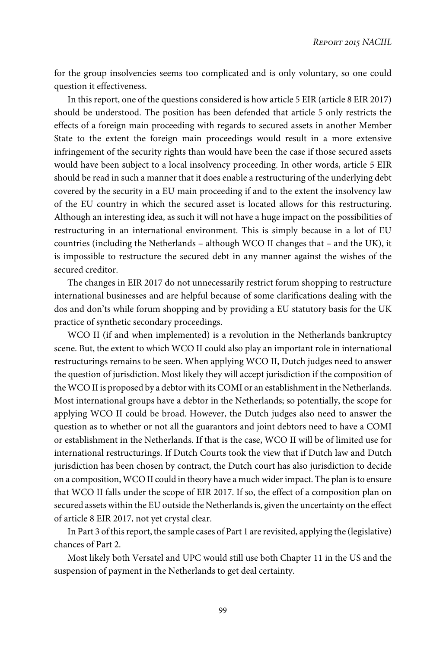for the group insolvencies seems too complicated and is only voluntary, so one could question it effectiveness.

In this report, one of the questions considered is how article 5 EIR (article 8 EIR 2017) should be understood. The position has been defended that article 5 only restricts the effects of a foreign main proceeding with regards to secured assets in another Member State to the extent the foreign main proceedings would result in a more extensive infringement of the security rights than would have been the case if those secured assets would have been subject to a local insolvency proceeding. In other words, article 5 EIR should be read in such a manner that it does enable a restructuring of the underlying debt covered by the security in a EU main proceeding if and to the extent the insolvency law of the EU country in which the secured asset is located allows for this restructuring. Although an interesting idea, as such it will not have a huge impact on the possibilities of restructuring in an international environment. This is simply because in a lot of EU countries (including the Netherlands – although WCO II changes that – and the UK), it is impossible to restructure the secured debt in any manner against the wishes of the secured creditor.

The changes in EIR 2017 do not unnecessarily restrict forum shopping to restructure international businesses and are helpful because of some clarifications dealing with the dos and don'ts while forum shopping and by providing a EU statutory basis for the UK practice of synthetic secondary proceedings.

WCO II (if and when implemented) is a revolution in the Netherlands bankruptcy scene. But, the extent to which WCO II could also play an important role in international restructurings remains to be seen. When applying WCO II, Dutch judges need to answer the question of jurisdiction. Most likely they will accept jurisdiction if the composition of the WCO II is proposed by a debtor with its COMI or an establishment in the Netherlands. Most international groups have a debtor in the Netherlands; so potentially, the scope for applying WCO II could be broad. However, the Dutch judges also need to answer the question as to whether or not all the guarantors and joint debtors need to have a COMI or establishment in the Netherlands. If that is the case, WCO II will be of limited use for international restructurings. If Dutch Courts took the view that if Dutch law and Dutch jurisdiction has been chosen by contract, the Dutch court has also jurisdiction to decide on a composition, WCO II could in theory have a much wider impact. The plan is to ensure that WCO II falls under the scope of EIR 2017. If so, the effect of a composition plan on secured assets within the EU outside the Netherlands is, given the uncertainty on the effect of article 8 EIR 2017, not yet crystal clear.

In Part 3 of this report, the sample cases of Part 1 are revisited, applying the (legislative) chances of Part 2.

Most likely both Versatel and UPC would still use both Chapter 11 in the US and the suspension of payment in the Netherlands to get deal certainty.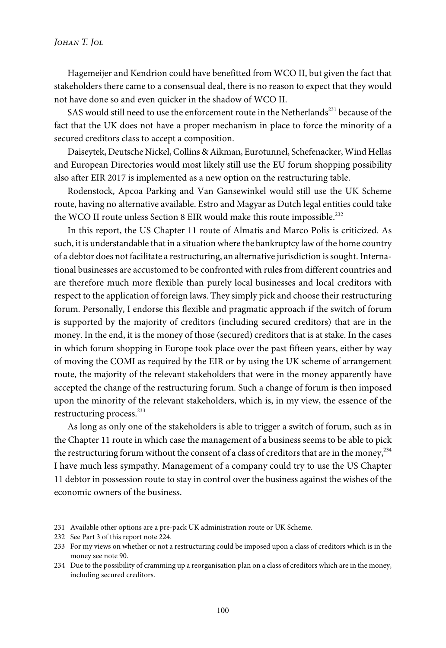#### *Johan T. Jol*

Hagemeijer and Kendrion could have benefitted from WCO II, but given the fact that stakeholders there came to a consensual deal, there is no reason to expect that they would not have done so and even quicker in the shadow of WCO II.

SAS would still need to use the enforcement route in the Netherlands<sup>231</sup> because of the fact that the UK does not have a proper mechanism in place to force the minority of a secured creditors class to accept a composition.

Daiseytek, Deutsche Nickel, Collins & Aikman, Eurotunnel, Schefenacker, Wind Hellas and European Directories would most likely still use the EU forum shopping possibility also after EIR 2017 is implemented as a new option on the restructuring table.

Rodenstock, Apcoa Parking and Van Gansewinkel would still use the UK Scheme route, having no alternative available. Estro and Magyar as Dutch legal entities could take the WCO II route unless Section 8 EIR would make this route impossible.<sup>232</sup>

In this report, the US Chapter 11 route of Almatis and Marco Polis is criticized. As such, it is understandable that in a situation where the bankruptcy law of the home country of a debtor does not facilitate a restructuring, an alternative jurisdiction is sought. International businesses are accustomed to be confronted with rules from different countries and are therefore much more flexible than purely local businesses and local creditors with respect to the application of foreign laws. They simply pick and choose their restructuring forum. Personally, I endorse this flexible and pragmatic approach if the switch of forum is supported by the majority of creditors (including secured creditors) that are in the money. In the end, it is the money of those (secured) creditors that is at stake. In the cases in which forum shopping in Europe took place over the past fifteen years, either by way of moving the COMI as required by the EIR or by using the UK scheme of arrangement route, the majority of the relevant stakeholders that were in the money apparently have accepted the change of the restructuring forum. Such a change of forum is then imposed upon the minority of the relevant stakeholders, which is, in my view, the essence of the restructuring process.<sup>233</sup>

As long as only one of the stakeholders is able to trigger a switch of forum, such as in the Chapter 11 route in which case the management of a business seems to be able to pick the restructuring forum without the consent of a class of creditors that are in the money,  $^{234}$ I have much less sympathy. Management of a company could try to use the US Chapter 11 debtor in possession route to stay in control over the business against the wishes of the economic owners of the business.

<sup>231</sup> Available other options are a pre-pack UK administration route or UK Scheme.

<sup>232</sup> See Part 3 of this report note 224.

<sup>233</sup> For my views on whether or not a restructuring could be imposed upon a class of creditors which is in the money see note 90.

<sup>234</sup> Due to the possibility of cramming up a reorganisation plan on a class of creditors which are in the money, including secured creditors.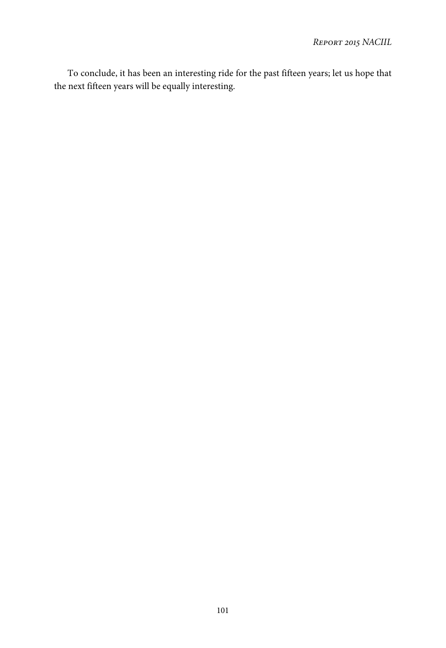To conclude, it has been an interesting ride for the past fifteen years; let us hope that the next fifteen years will be equally interesting.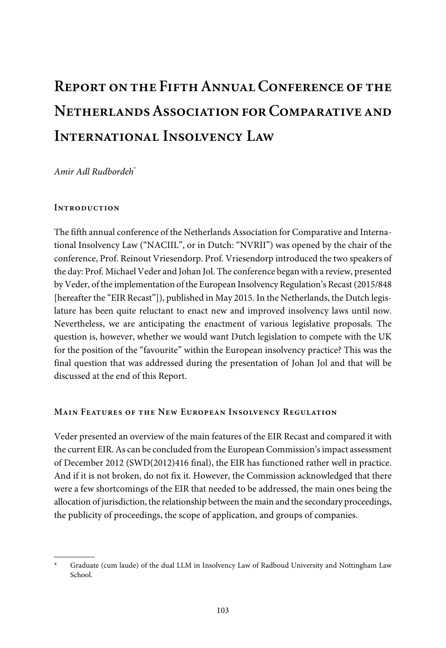# **Report on the Fifth Annual Conference of the Netherlands Association for Comparative and International Insolvency Law**

Amir Adl Rudbordeh\*

#### **Introduction**

The fifth annual conference of the Netherlands Association for Comparative and International Insolvency Law ("NACIIL", or in Dutch: "NVRII") was opened by the chair of the conference, Prof. Reinout Vriesendorp. Prof. Vriesendorp introduced the two speakers of the day: Prof. Michael Veder and Johan Jol. The conference began with a review, presented by Veder, of the implementation of the European Insolvency Regulation's Recast (2015/848 [hereafter the "EIR Recast"]), published in May 2015. In the Netherlands, the Dutch legislature has been quite reluctant to enact new and improved insolvency laws until now. Nevertheless, we are anticipating the enactment of various legislative proposals. The question is, however, whether we would want Dutch legislation to compete with the UK for the position of the "favourite" within the European insolvency practice? This was the final question that was addressed during the presentation of Johan Jol and that will be discussed at the end of this Report.

#### **Main Features of the New European Insolvency Regulation**

Veder presented an overview of the main features of the EIR Recast and compared it with the current EIR. As can be concluded from the European Commission's impact assessment of December 2012 (SWD(2012)416 final), the EIR has functioned rather well in practice. And if it is not broken, do not fix it. However, the Commission acknowledged that there were a few shortcomings of the EIR that needed to be addressed, the main ones being the allocation of jurisdiction, the relationship between the main and the secondary proceedings, the publicity of proceedings, the scope of application, and groups of companies.

Graduate (cum laude) of the dual LLM in Insolvency Law of Radboud University and Nottingham Law School.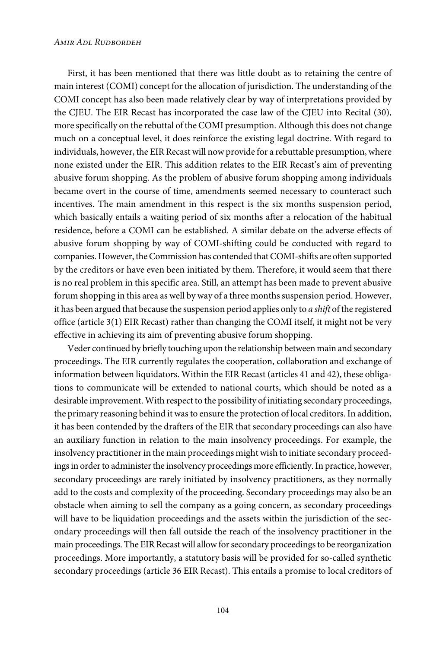#### *Amir Adl Rudbordeh*

First, it has been mentioned that there was little doubt as to retaining the centre of main interest (COMI) concept for the allocation of jurisdiction. The understanding of the COMI concept has also been made relatively clear by way of interpretations provided by the CJEU. The EIR Recast has incorporated the case law of the CJEU into Recital (30), more specifically on the rebuttal of the COMI presumption. Although this does not change much on a conceptual level, it does reinforce the existing legal doctrine. With regard to individuals, however, the EIR Recast will now provide for a rebuttable presumption, where none existed under the EIR. This addition relates to the EIR Recast's aim of preventing abusive forum shopping. As the problem of abusive forum shopping among individuals became overt in the course of time, amendments seemed necessary to counteract such incentives. The main amendment in this respect is the six months suspension period, which basically entails a waiting period of six months after a relocation of the habitual residence, before a COMI can be established. A similar debate on the adverse effects of abusive forum shopping by way of COMI-shifting could be conducted with regard to companies. However, the Commission has contended that COMI-shifts are often supported by the creditors or have even been initiated by them. Therefore, it would seem that there is no real problem in this specific area. Still, an attempt has been made to prevent abusive forum shopping in this area as well by way of a three months suspension period. However, it has been argued that because the suspension period applies only to a shift of the registered office (article 3(1) EIR Recast) rather than changing the COMI itself, it might not be very effective in achieving its aim of preventing abusive forum shopping.

Veder continued by briefly touching upon the relationship between main and secondary proceedings. The EIR currently regulates the cooperation, collaboration and exchange of information between liquidators. Within the EIR Recast (articles 41 and 42), these obligations to communicate will be extended to national courts, which should be noted as a desirable improvement. With respect to the possibility of initiating secondary proceedings, the primary reasoning behind it was to ensure the protection of local creditors. In addition, it has been contended by the drafters of the EIR that secondary proceedings can also have an auxiliary function in relation to the main insolvency proceedings. For example, the insolvency practitioner in the main proceedings might wish to initiate secondary proceedings in order to administer the insolvency proceedings more efficiently. In practice, however, secondary proceedings are rarely initiated by insolvency practitioners, as they normally add to the costs and complexity of the proceeding. Secondary proceedings may also be an obstacle when aiming to sell the company as a going concern, as secondary proceedings will have to be liquidation proceedings and the assets within the jurisdiction of the secondary proceedings will then fall outside the reach of the insolvency practitioner in the main proceedings. The EIR Recast will allow for secondary proceedings to be reorganization proceedings. More importantly, a statutory basis will be provided for so-called synthetic secondary proceedings (article 36 EIR Recast). This entails a promise to local creditors of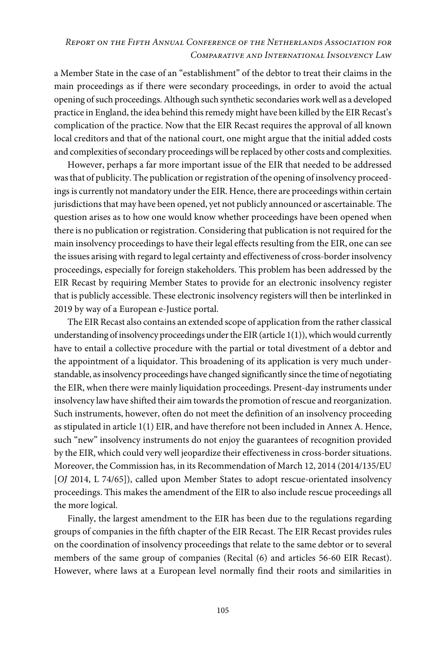## *Report on the Fifth Annual Conference of the Netherlands Association for Comparative and International Insolvency Law*

a Member State in the case of an "establishment" of the debtor to treat their claims in the main proceedings as if there were secondary proceedings, in order to avoid the actual opening of such proceedings. Although such synthetic secondaries work well as a developed practice in England, the idea behind this remedy might have been killed by the EIR Recast's complication of the practice. Now that the EIR Recast requires the approval of all known local creditors and that of the national court, one might argue that the initial added costs and complexities of secondary proceedings will be replaced by other costs and complexities.

However, perhaps a far more important issue of the EIR that needed to be addressed was that of publicity. The publication or registration of the opening of insolvency proceedings is currently not mandatory under the EIR. Hence, there are proceedings within certain jurisdictions that may have been opened, yet not publicly announced or ascertainable. The question arises as to how one would know whether proceedings have been opened when there is no publication or registration. Considering that publication is not required for the main insolvency proceedings to have their legal effects resulting from the EIR, one can see the issues arising with regard to legal certainty and effectiveness of cross-border insolvency proceedings, especially for foreign stakeholders. This problem has been addressed by the EIR Recast by requiring Member States to provide for an electronic insolvency register that is publicly accessible. These electronic insolvency registers will then be interlinked in 2019 by way of a European e-Justice portal.

The EIR Recast also contains an extended scope of application from the rather classical understanding of insolvency proceedings under the EIR (article 1(1)), which would currently have to entail a collective procedure with the partial or total divestment of a debtor and the appointment of a liquidator. This broadening of its application is very much understandable, as insolvency proceedings have changed significantly since the time of negotiating the EIR, when there were mainly liquidation proceedings. Present-day instruments under insolvency law have shifted their aim towards the promotion of rescue and reorganization. Such instruments, however, often do not meet the definition of an insolvency proceeding as stipulated in article 1(1) EIR, and have therefore not been included in Annex A. Hence, such "new" insolvency instruments do not enjoy the guarantees of recognition provided by the EIR, which could very well jeopardize their effectiveness in cross-border situations. Moreover, the Commission has, in its Recommendation of March 12, 2014 (2014/135/EU [OJ 2014, L 74/65]), called upon Member States to adopt rescue-orientated insolvency proceedings. This makes the amendment of the EIR to also include rescue proceedings all the more logical.

Finally, the largest amendment to the EIR has been due to the regulations regarding groups of companies in the fifth chapter of the EIR Recast. The EIR Recast provides rules on the coordination of insolvency proceedings that relate to the same debtor or to several members of the same group of companies (Recital (6) and articles 56-60 EIR Recast). However, where laws at a European level normally find their roots and similarities in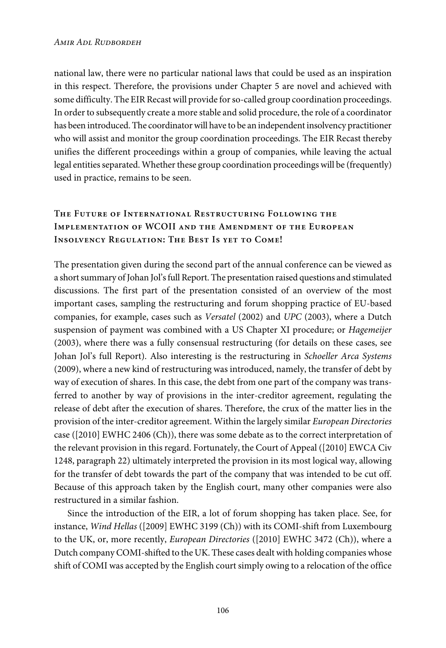national law, there were no particular national laws that could be used as an inspiration in this respect. Therefore, the provisions under Chapter 5 are novel and achieved with some difficulty. The EIR Recast will provide for so-called group coordination proceedings. In order to subsequently create a more stable and solid procedure, the role of a coordinator has been introduced. The coordinator will have to be an independent insolvency practitioner who will assist and monitor the group coordination proceedings. The EIR Recast thereby unifies the different proceedings within a group of companies, while leaving the actual legal entities separated. Whether these group coordination proceedings will be (frequently) used in practice, remains to be seen.

## **The Future of International Restructuring Following the Implementation of WCOII and the Amendment of the European Insolvency Regulation: The Best Is yet to Come!**

The presentation given during the second part of the annual conference can be viewed as a short summary of Johan Jol's full Report. The presentation raised questions and stimulated discussions. The first part of the presentation consisted of an overview of the most important cases, sampling the restructuring and forum shopping practice of EU-based companies, for example, cases such as Versatel (2002) and UPC (2003), where a Dutch suspension of payment was combined with a US Chapter XI procedure; or Hagemeijer (2003), where there was a fully consensual restructuring (for details on these cases, see Johan Jol's full Report). Also interesting is the restructuring in Schoeller Arca Systems (2009), where a new kind of restructuring was introduced, namely, the transfer of debt by way of execution of shares. In this case, the debt from one part of the company was transferred to another by way of provisions in the inter-creditor agreement, regulating the release of debt after the execution of shares. Therefore, the crux of the matter lies in the provision of the inter-creditor agreement. Within the largely similar European Directories case ([2010] EWHC 2406 (Ch)), there was some debate as to the correct interpretation of the relevant provision in this regard. Fortunately, the Court of Appeal ([2010] EWCA Civ 1248, paragraph 22) ultimately interpreted the provision in its most logical way, allowing for the transfer of debt towards the part of the company that was intended to be cut off. Because of this approach taken by the English court, many other companies were also restructured in a similar fashion.

Since the introduction of the EIR, a lot of forum shopping has taken place. See, for instance, Wind Hellas ([2009] EWHC 3199 (Ch)) with its COMI-shift from Luxembourg to the UK, or, more recently, European Directories ([2010] EWHC 3472 (Ch)), where a Dutch company COMI-shifted to the UK. These cases dealt with holding companies whose shift of COMI was accepted by the English court simply owing to a relocation of the office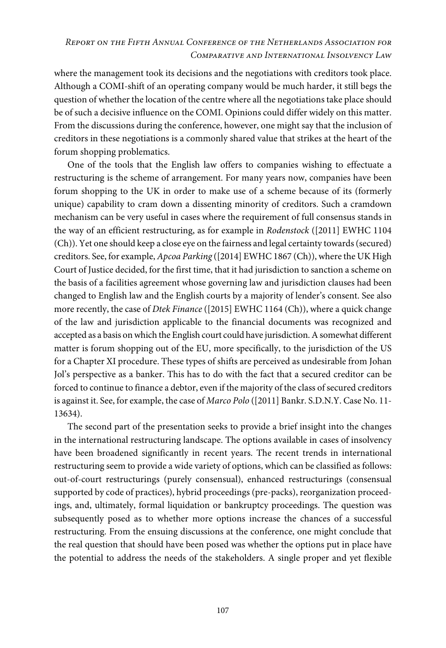## *Report on the Fifth Annual Conference of the Netherlands Association for Comparative and International Insolvency Law*

where the management took its decisions and the negotiations with creditors took place. Although a COMI-shift of an operating company would be much harder, it still begs the question of whether the location of the centre where all the negotiations take place should be of such a decisive influence on the COMI. Opinions could differ widely on this matter. From the discussions during the conference, however, one might say that the inclusion of creditors in these negotiations is a commonly shared value that strikes at the heart of the forum shopping problematics.

One of the tools that the English law offers to companies wishing to effectuate a restructuring is the scheme of arrangement. For many years now, companies have been forum shopping to the UK in order to make use of a scheme because of its (formerly unique) capability to cram down a dissenting minority of creditors. Such a cramdown mechanism can be very useful in cases where the requirement of full consensus stands in the way of an efficient restructuring, as for example in Rodenstock ([2011] EWHC 1104 (Ch)). Yet one should keep a close eye on the fairness and legal certainty towards (secured) creditors. See, for example, Apcoa Parking ([2014] EWHC 1867 (Ch)), where the UK High Court of Justice decided, for the first time, that it had jurisdiction to sanction a scheme on the basis of a facilities agreement whose governing law and jurisdiction clauses had been changed to English law and the English courts by a majority of lender's consent. See also more recently, the case of Dtek Finance ([2015] EWHC 1164 (Ch)), where a quick change of the law and jurisdiction applicable to the financial documents was recognized and accepted as a basis on which the English court could have jurisdiction. A somewhat different matter is forum shopping out of the EU, more specifically, to the jurisdiction of the US for a Chapter XI procedure. These types of shifts are perceived as undesirable from Johan Jol's perspective as a banker. This has to do with the fact that a secured creditor can be forced to continue to finance a debtor, even if the majority of the class of secured creditors is against it. See, for example, the case of Marco Polo ([2011] Bankr. S.D.N.Y. Case No. 11-13634).

The second part of the presentation seeks to provide a brief insight into the changes in the international restructuring landscape. The options available in cases of insolvency have been broadened significantly in recent years. The recent trends in international restructuring seem to provide a wide variety of options, which can be classified as follows: out-of-court restructurings (purely consensual), enhanced restructurings (consensual supported by code of practices), hybrid proceedings (pre-packs), reorganization proceedings, and, ultimately, formal liquidation or bankruptcy proceedings. The question was subsequently posed as to whether more options increase the chances of a successful restructuring. From the ensuing discussions at the conference, one might conclude that the real question that should have been posed was whether the options put in place have the potential to address the needs of the stakeholders. A single proper and yet flexible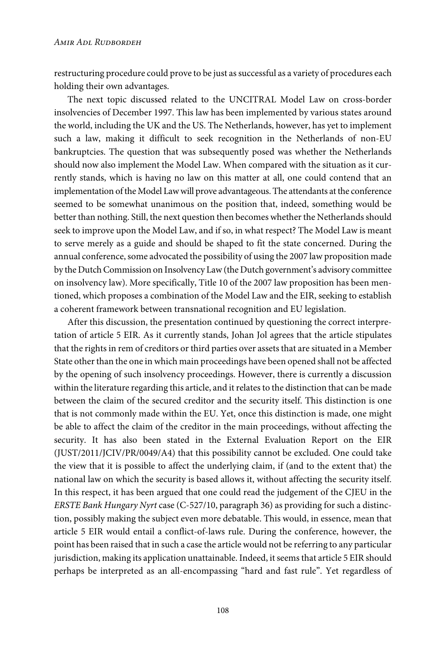restructuring procedure could prove to be just as successful as a variety of procedures each holding their own advantages.

The next topic discussed related to the UNCITRAL Model Law on cross-border insolvencies of December 1997. This law has been implemented by various states around the world, including the UK and the US. The Netherlands, however, has yet to implement such a law, making it difficult to seek recognition in the Netherlands of non-EU bankruptcies. The question that was subsequently posed was whether the Netherlands should now also implement the Model Law. When compared with the situation as it currently stands, which is having no law on this matter at all, one could contend that an implementation of the Model Law will prove advantageous. The attendants at the conference seemed to be somewhat unanimous on the position that, indeed, something would be better than nothing. Still, the next question then becomes whether the Netherlands should seek to improve upon the Model Law, and if so, in what respect? The Model Law is meant to serve merely as a guide and should be shaped to fit the state concerned. During the annual conference, some advocated the possibility of using the 2007 law proposition made by the Dutch Commission on Insolvency Law (the Dutch government's advisory committee on insolvency law). More specifically, Title 10 of the 2007 law proposition has been mentioned, which proposes a combination of the Model Law and the EIR, seeking to establish a coherent framework between transnational recognition and EU legislation.

After this discussion, the presentation continued by questioning the correct interpretation of article 5 EIR. As it currently stands, Johan Jol agrees that the article stipulates that the rights in rem of creditors or third parties over assets that are situated in a Member State other than the one in which main proceedings have been opened shall not be affected by the opening of such insolvency proceedings. However, there is currently a discussion within the literature regarding this article, and it relates to the distinction that can be made between the claim of the secured creditor and the security itself. This distinction is one that is not commonly made within the EU. Yet, once this distinction is made, one might be able to affect the claim of the creditor in the main proceedings, without affecting the security. It has also been stated in the External Evaluation Report on the EIR (JUST/2011/JCIV/PR/0049/A4) that this possibility cannot be excluded. One could take the view that it is possible to affect the underlying claim, if (and to the extent that) the national law on which the security is based allows it, without affecting the security itself. In this respect, it has been argued that one could read the judgement of the CJEU in the ERSTE Bank Hungary Nyrt case (C-527/10, paragraph 36) as providing for such a distinction, possibly making the subject even more debatable. This would, in essence, mean that article 5 EIR would entail a conflict-of-laws rule. During the conference, however, the point has been raised that in such a case the article would not be referring to any particular jurisdiction, making its application unattainable. Indeed, it seems that article 5 EIR should perhaps be interpreted as an all-encompassing "hard and fast rule". Yet regardless of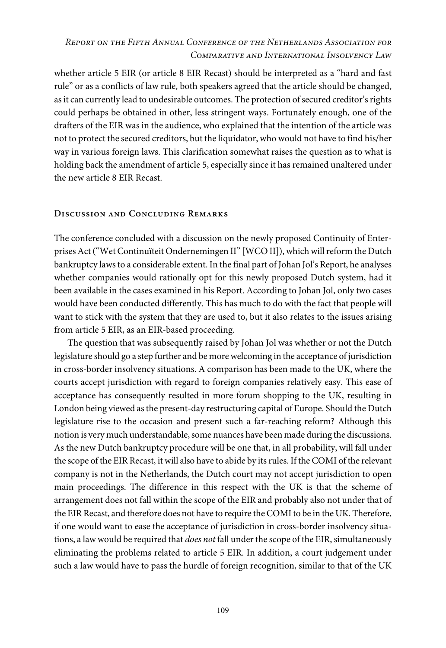## *Report on the Fifth Annual Conference of the Netherlands Association for Comparative and International Insolvency Law*

whether article 5 EIR (or article 8 EIR Recast) should be interpreted as a "hard and fast rule" or as a conflicts of law rule, both speakers agreed that the article should be changed, as it can currently lead to undesirable outcomes. The protection of secured creditor's rights could perhaps be obtained in other, less stringent ways. Fortunately enough, one of the drafters of the EIR was in the audience, who explained that the intention of the article was not to protect the secured creditors, but the liquidator, who would not have to find his/her way in various foreign laws. This clarification somewhat raises the question as to what is holding back the amendment of article 5, especially since it has remained unaltered under the new article 8 EIR Recast.

#### **Discussion and Concluding Remarks**

The conference concluded with a discussion on the newly proposed Continuity of Enterprises Act ("Wet Continuïteit Ondernemingen II" [WCO II]), which will reform the Dutch bankruptcy laws to a considerable extent. In the final part of Johan Jol's Report, he analyses whether companies would rationally opt for this newly proposed Dutch system, had it been available in the cases examined in his Report. According to Johan Jol, only two cases would have been conducted differently. This has much to do with the fact that people will want to stick with the system that they are used to, but it also relates to the issues arising from article 5 EIR, as an EIR-based proceeding.

The question that was subsequently raised by Johan Jol was whether or not the Dutch legislature should go a step further and be more welcoming in the acceptance of jurisdiction in cross-border insolvency situations. A comparison has been made to the UK, where the courts accept jurisdiction with regard to foreign companies relatively easy. This ease of acceptance has consequently resulted in more forum shopping to the UK, resulting in London being viewed as the present-day restructuring capital of Europe. Should the Dutch legislature rise to the occasion and present such a far-reaching reform? Although this notion is very much understandable, some nuances have been made during the discussions. As the new Dutch bankruptcy procedure will be one that, in all probability, will fall under the scope of the EIR Recast, it will also have to abide by its rules. If the COMI of the relevant company is not in the Netherlands, the Dutch court may not accept jurisdiction to open main proceedings. The difference in this respect with the UK is that the scheme of arrangement does not fall within the scope of the EIR and probably also not under that of the EIR Recast, and therefore does not have to require the COMI to be in the UK. Therefore, if one would want to ease the acceptance of jurisdiction in cross-border insolvency situations, a law would be required that does not fall under the scope of the EIR, simultaneously eliminating the problems related to article 5 EIR. In addition, a court judgement under such a law would have to pass the hurdle of foreign recognition, similar to that of the UK